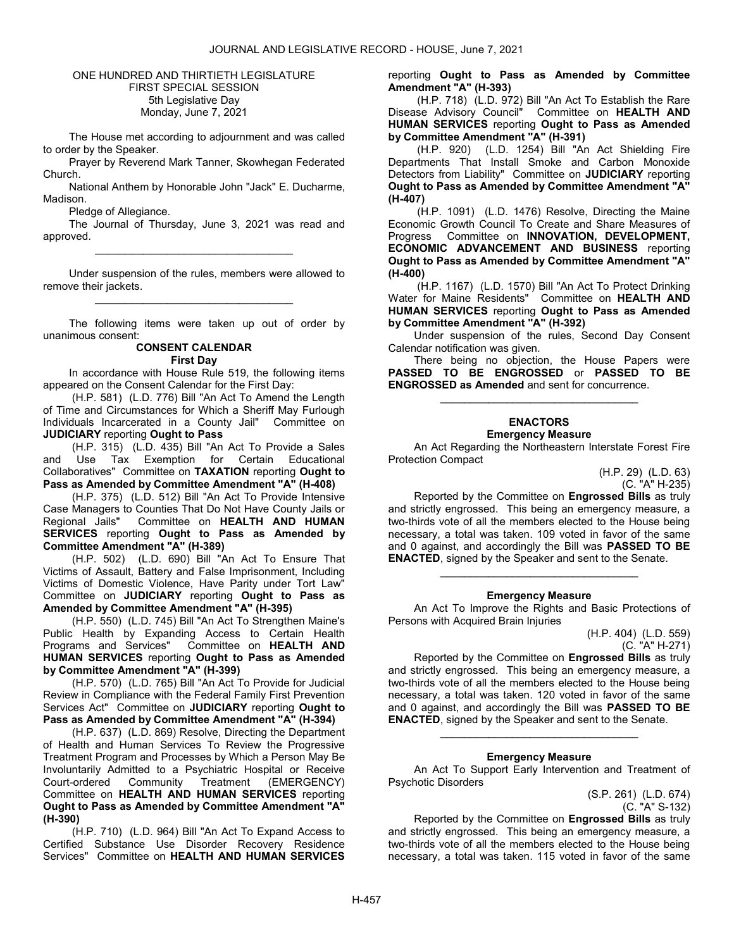# ONE HUNDRED AND THIRTIETH LEGISLATURE FIRST SPECIAL SESSION 5th Legislative Day Monday, June 7, 2021

 The House met according to adjournment and was called to order by the Speaker.

 Prayer by Reverend Mark Tanner, Skowhegan Federated Church.

National Anthem by Honorable John "Jack" E. Ducharme, Madison.

Pledge of Allegiance.

 The Journal of Thursday, June 3, 2021 was read and approved. \_\_\_\_\_\_\_\_\_\_\_\_\_\_\_\_\_\_\_\_\_\_\_\_\_\_\_\_\_\_\_\_\_

 Under suspension of the rules, members were allowed to remove their jackets. \_\_\_\_\_\_\_\_\_\_\_\_\_\_\_\_\_\_\_\_\_\_\_\_\_\_\_\_\_\_\_\_\_

 The following items were taken up out of order by unanimous consent:

# CONSENT CALENDAR First Day

 In accordance with House Rule 519, the following items appeared on the Consent Calendar for the First Day:

 (H.P. 581) (L.D. 776) Bill "An Act To Amend the Length of Time and Circumstances for Which a Sheriff May Furlough Individuals Incarcerated in a County Jail" Committee on JUDICIARY reporting Ought to Pass

 (H.P. 315) (L.D. 435) Bill "An Act To Provide a Sales and Use Tax Exemption for Certain Educational Collaboratives" Committee on TAXATION reporting Ought to Pass as Amended by Committee Amendment "A" (H-408)

 (H.P. 375) (L.D. 512) Bill "An Act To Provide Intensive Case Managers to Counties That Do Not Have County Jails or<br>Regional Jails" Committee on HEALTH AND HUMAN Committee on HEALTH AND HUMAN SERVICES reporting Ought to Pass as Amended by Committee Amendment "A" (H-389)

 (H.P. 502) (L.D. 690) Bill "An Act To Ensure That Victims of Assault, Battery and False Imprisonment, Including Victims of Domestic Violence, Have Parity under Tort Law" Committee on JUDICIARY reporting Ought to Pass as Amended by Committee Amendment "A" (H-395)

 (H.P. 550) (L.D. 745) Bill "An Act To Strengthen Maine's Public Health by Expanding Access to Certain Health<br>Programs and Services" Committee on HEALTH AND Committee on HEALTH AND HUMAN SERVICES reporting Ought to Pass as Amended by Committee Amendment "A" (H-399)

 (H.P. 570) (L.D. 765) Bill "An Act To Provide for Judicial Review in Compliance with the Federal Family First Prevention Services Act" Committee on JUDICIARY reporting Ought to Pass as Amended by Committee Amendment "A" (H-394)

 (H.P. 637) (L.D. 869) Resolve, Directing the Department of Health and Human Services To Review the Progressive Treatment Program and Processes by Which a Person May Be Involuntarily Admitted to a Psychiatric Hospital or Receive Court-ordered Community Treatment (EMERGENCY) Committee on HEALTH AND HUMAN SERVICES reporting Ought to Pass as Amended by Committee Amendment "A" (H-390)

 (H.P. 710) (L.D. 964) Bill "An Act To Expand Access to Certified Substance Use Disorder Recovery Residence Services" Committee on HEALTH AND HUMAN SERVICES reporting Ought to Pass as Amended by Committee Amendment "A" (H-393)

 (H.P. 718) (L.D. 972) Bill "An Act To Establish the Rare Disease Advisory Council" Committee on HEALTH AND HUMAN SERVICES reporting Ought to Pass as Amended by Committee Amendment "A" (H-391)

 (H.P. 920) (L.D. 1254) Bill "An Act Shielding Fire Departments That Install Smoke and Carbon Monoxide Detectors from Liability" Committee on JUDICIARY reporting Ought to Pass as Amended by Committee Amendment "A" (H-407)

 (H.P. 1091) (L.D. 1476) Resolve, Directing the Maine Economic Growth Council To Create and Share Measures of Progress Committee on INNOVATION, DEVELOPMENT, ECONOMIC ADVANCEMENT AND BUSINESS reporting Ought to Pass as Amended by Committee Amendment "A" (H-400)

 (H.P. 1167) (L.D. 1570) Bill "An Act To Protect Drinking Water for Maine Residents" Committee on HEALTH AND HUMAN SERVICES reporting Ought to Pass as Amended by Committee Amendment "A" (H-392)

 Under suspension of the rules, Second Day Consent Calendar notification was given.

 There being no objection, the House Papers were PASSED TO BE ENGROSSED or PASSED TO BE ENGROSSED as Amended and sent for concurrence.

\_\_\_\_\_\_\_\_\_\_\_\_\_\_\_\_\_\_\_\_\_\_\_\_\_\_\_\_\_\_\_\_\_

# ENACTORS Emergency Measure

 An Act Regarding the Northeastern Interstate Forest Fire Protection Compact

> (H.P. 29) (L.D. 63) (C. "A" H-235)

 Reported by the Committee on Engrossed Bills as truly and strictly engrossed. This being an emergency measure, a two-thirds vote of all the members elected to the House being necessary, a total was taken. 109 voted in favor of the same and 0 against, and accordingly the Bill was PASSED TO BE ENACTED, signed by the Speaker and sent to the Senate.

# \_\_\_\_\_\_\_\_\_\_\_\_\_\_\_\_\_\_\_\_\_\_\_\_\_\_\_\_\_\_\_\_\_ Emergency Measure

 An Act To Improve the Rights and Basic Protections of Persons with Acquired Brain Injuries

> (H.P. 404) (L.D. 559) (C. "A" H-271)

 Reported by the Committee on Engrossed Bills as truly and strictly engrossed. This being an emergency measure, a two-thirds vote of all the members elected to the House being necessary, a total was taken. 120 voted in favor of the same and 0 against, and accordingly the Bill was PASSED TO BE ENACTED, signed by the Speaker and sent to the Senate.

# Emergency Measure

\_\_\_\_\_\_\_\_\_\_\_\_\_\_\_\_\_\_\_\_\_\_\_\_\_\_\_\_\_\_\_\_\_

 An Act To Support Early Intervention and Treatment of Psychotic Disorders

> (S.P. 261) (L.D. 674) (C. "A" S-132)

 Reported by the Committee on Engrossed Bills as truly and strictly engrossed. This being an emergency measure, a two-thirds vote of all the members elected to the House being necessary, a total was taken. 115 voted in favor of the same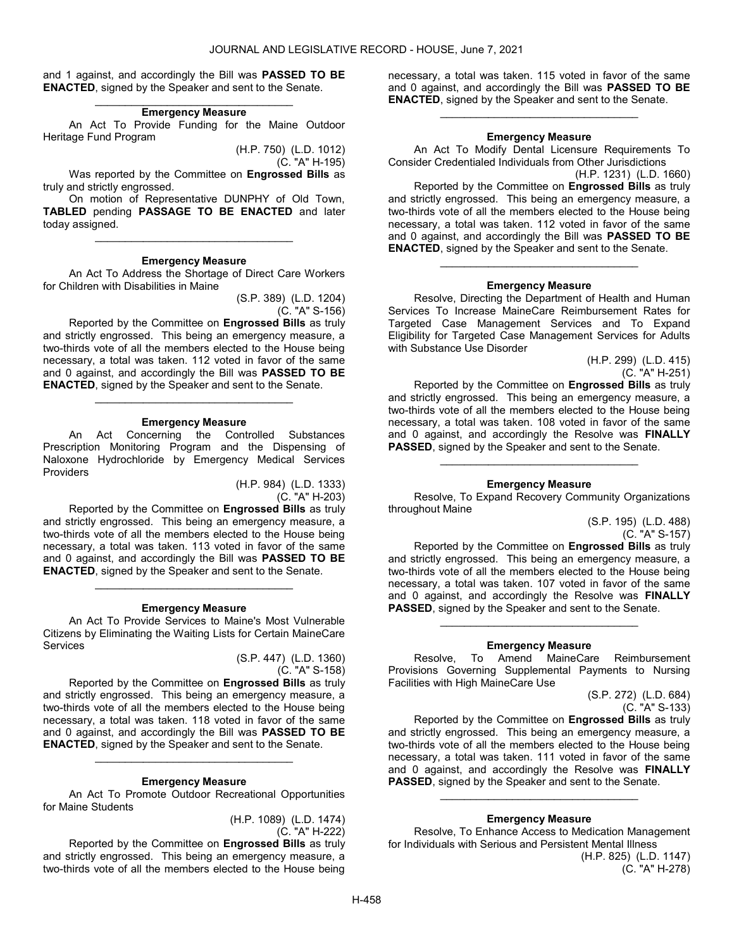and 1 against, and accordingly the Bill was PASSED TO BE ENACTED, signed by the Speaker and sent to the Senate.

#### \_\_\_\_\_\_\_\_\_\_\_\_\_\_\_\_\_\_\_\_\_\_\_\_\_\_\_\_\_\_\_\_\_ Emergency Measure

 An Act To Provide Funding for the Maine Outdoor Heritage Fund Program

(H.P. 750) (L.D. 1012)

(C. "A" H-195)

Was reported by the Committee on Engrossed Bills as truly and strictly engrossed.

 On motion of Representative DUNPHY of Old Town, TABLED pending PASSAGE TO BE ENACTED and later today assigned.

\_\_\_\_\_\_\_\_\_\_\_\_\_\_\_\_\_\_\_\_\_\_\_\_\_\_\_\_\_\_\_\_\_

#### Emergency Measure

 An Act To Address the Shortage of Direct Care Workers for Children with Disabilities in Maine

> (S.P. 389) (L.D. 1204) (C. "A" S-156)

 Reported by the Committee on Engrossed Bills as truly and strictly engrossed. This being an emergency measure, a two-thirds vote of all the members elected to the House being necessary, a total was taken. 112 voted in favor of the same and 0 against, and accordingly the Bill was PASSED TO BE ENACTED, signed by the Speaker and sent to the Senate.

\_\_\_\_\_\_\_\_\_\_\_\_\_\_\_\_\_\_\_\_\_\_\_\_\_\_\_\_\_\_\_\_\_

**Emergency Measure**<br>ncerning the Controlled An Act Concerning the Controlled Substances Prescription Monitoring Program and the Dispensing of Naloxone Hydrochloride by Emergency Medical Services Providers

> (H.P. 984) (L.D. 1333) (C. "A" H-203)

 Reported by the Committee on Engrossed Bills as truly and strictly engrossed. This being an emergency measure, a two-thirds vote of all the members elected to the House being necessary, a total was taken. 113 voted in favor of the same and 0 against, and accordingly the Bill was PASSED TO BE ENACTED, signed by the Speaker and sent to the Senate. \_\_\_\_\_\_\_\_\_\_\_\_\_\_\_\_\_\_\_\_\_\_\_\_\_\_\_\_\_\_\_\_\_

#### Emergency Measure

 An Act To Provide Services to Maine's Most Vulnerable Citizens by Eliminating the Waiting Lists for Certain MaineCare Services

> (S.P. 447) (L.D. 1360) (C. "A" S-158)

 Reported by the Committee on Engrossed Bills as truly and strictly engrossed. This being an emergency measure, a two-thirds vote of all the members elected to the House being necessary, a total was taken. 118 voted in favor of the same and 0 against, and accordingly the Bill was PASSED TO BE ENACTED, signed by the Speaker and sent to the Senate.

#### Emergency Measure

\_\_\_\_\_\_\_\_\_\_\_\_\_\_\_\_\_\_\_\_\_\_\_\_\_\_\_\_\_\_\_\_\_

 An Act To Promote Outdoor Recreational Opportunities for Maine Students

> (H.P. 1089) (L.D. 1474) (C. "A" H-222)

 Reported by the Committee on Engrossed Bills as truly and strictly engrossed. This being an emergency measure, a two-thirds vote of all the members elected to the House being necessary, a total was taken. 115 voted in favor of the same and 0 against, and accordingly the Bill was PASSED TO BE ENACTED, signed by the Speaker and sent to the Senate.

\_\_\_\_\_\_\_\_\_\_\_\_\_\_\_\_\_\_\_\_\_\_\_\_\_\_\_\_\_\_\_\_\_

# Emergency Measure

 An Act To Modify Dental Licensure Requirements To Consider Credentialed Individuals from Other Jurisdictions

(H.P. 1231) (L.D. 1660) Reported by the Committee on Engrossed Bills as truly and strictly engrossed. This being an emergency measure, a two-thirds vote of all the members elected to the House being necessary, a total was taken. 112 voted in favor of the same and 0 against, and accordingly the Bill was PASSED TO BE ENACTED, signed by the Speaker and sent to the Senate.

#### Emergency Measure

\_\_\_\_\_\_\_\_\_\_\_\_\_\_\_\_\_\_\_\_\_\_\_\_\_\_\_\_\_\_\_\_\_

 Resolve, Directing the Department of Health and Human Services To Increase MaineCare Reimbursement Rates for Targeted Case Management Services and To Expand Eligibility for Targeted Case Management Services for Adults with Substance Use Disorder

(H.P. 299) (L.D. 415) (C. "A" H-251)

 Reported by the Committee on Engrossed Bills as truly and strictly engrossed. This being an emergency measure, a two-thirds vote of all the members elected to the House being necessary, a total was taken. 108 voted in favor of the same and 0 against, and accordingly the Resolve was FINALLY PASSED, signed by the Speaker and sent to the Senate.

#### Emergency Measure

\_\_\_\_\_\_\_\_\_\_\_\_\_\_\_\_\_\_\_\_\_\_\_\_\_\_\_\_\_\_\_\_\_

 Resolve, To Expand Recovery Community Organizations throughout Maine

> (S.P. 195) (L.D. 488) (C. "A" S-157)

 Reported by the Committee on Engrossed Bills as truly and strictly engrossed. This being an emergency measure, a two-thirds vote of all the members elected to the House being necessary, a total was taken. 107 voted in favor of the same and 0 against, and accordingly the Resolve was FINALLY PASSED, signed by the Speaker and sent to the Senate.

# \_\_\_\_\_\_\_\_\_\_\_\_\_\_\_\_\_\_\_\_\_\_\_\_\_\_\_\_\_\_\_\_\_ Emergency Measure

 Resolve, To Amend MaineCare Reimbursement Provisions Governing Supplemental Payments to Nursing Facilities with High MaineCare Use

> (S.P. 272) (L.D. 684) (C. "A" S-133)

 Reported by the Committee on Engrossed Bills as truly and strictly engrossed. This being an emergency measure, a two-thirds vote of all the members elected to the House being necessary, a total was taken. 111 voted in favor of the same and 0 against, and accordingly the Resolve was FINALLY PASSED, signed by the Speaker and sent to the Senate.

# Emergency Measure

\_\_\_\_\_\_\_\_\_\_\_\_\_\_\_\_\_\_\_\_\_\_\_\_\_\_\_\_\_\_\_\_\_

 Resolve, To Enhance Access to Medication Management for Individuals with Serious and Persistent Mental Illness (H.P. 825) (L.D. 1147)

(C. "A" H-278)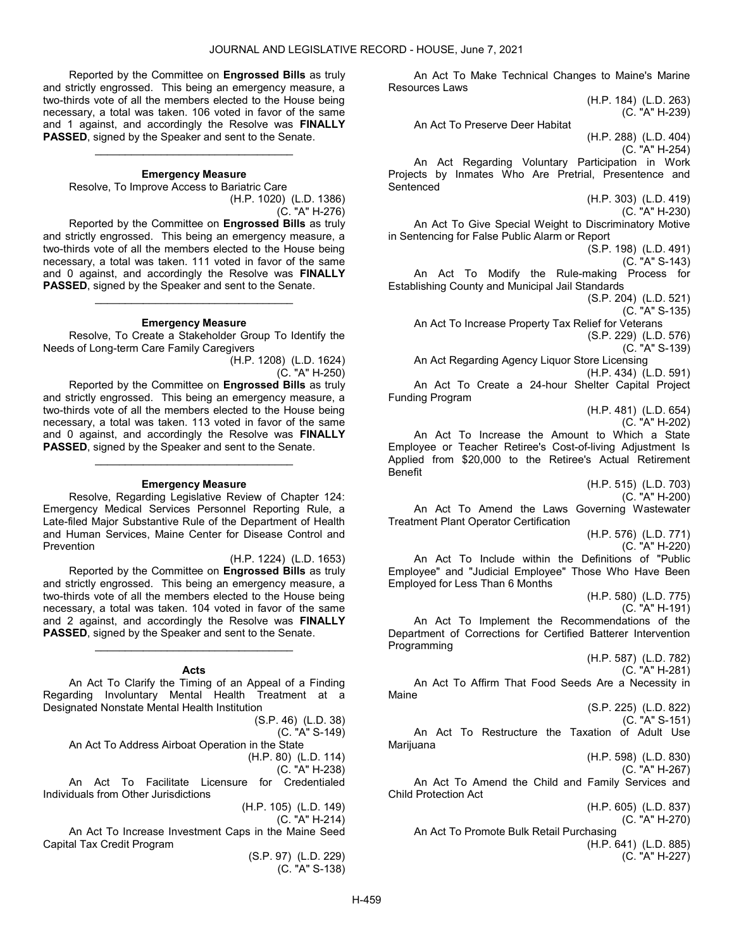Reported by the Committee on Engrossed Bills as truly and strictly engrossed. This being an emergency measure, a two-thirds vote of all the members elected to the House being necessary, a total was taken. 106 voted in favor of the same and 1 against, and accordingly the Resolve was FINALLY PASSED, signed by the Speaker and sent to the Senate.

#### Emergency Measure

\_\_\_\_\_\_\_\_\_\_\_\_\_\_\_\_\_\_\_\_\_\_\_\_\_\_\_\_\_\_\_\_\_

Resolve, To Improve Access to Bariatric Care

(H.P. 1020) (L.D. 1386) (C. "A" H-276)

 Reported by the Committee on Engrossed Bills as truly and strictly engrossed. This being an emergency measure, a two-thirds vote of all the members elected to the House being necessary, a total was taken. 111 voted in favor of the same and 0 against, and accordingly the Resolve was FINALLY PASSED, signed by the Speaker and sent to the Senate.

#### Emergency Measure

\_\_\_\_\_\_\_\_\_\_\_\_\_\_\_\_\_\_\_\_\_\_\_\_\_\_\_\_\_\_\_\_\_

 Resolve, To Create a Stakeholder Group To Identify the Needs of Long-term Care Family Caregivers

> (H.P. 1208) (L.D. 1624) (C. "A" H-250)

 Reported by the Committee on Engrossed Bills as truly and strictly engrossed. This being an emergency measure, a two-thirds vote of all the members elected to the House being necessary, a total was taken. 113 voted in favor of the same and 0 against, and accordingly the Resolve was FINALLY PASSED, signed by the Speaker and sent to the Senate.

#### Emergency Measure

\_\_\_\_\_\_\_\_\_\_\_\_\_\_\_\_\_\_\_\_\_\_\_\_\_\_\_\_\_\_\_\_\_

 Resolve, Regarding Legislative Review of Chapter 124: Emergency Medical Services Personnel Reporting Rule, a Late-filed Major Substantive Rule of the Department of Health and Human Services, Maine Center for Disease Control and Prevention

(H.P. 1224) (L.D. 1653) Reported by the Committee on Engrossed Bills as truly and strictly engrossed. This being an emergency measure, a two-thirds vote of all the members elected to the House being necessary, a total was taken. 104 voted in favor of the same and 2 against, and accordingly the Resolve was FINALLY PASSED, signed by the Speaker and sent to the Senate. \_\_\_\_\_\_\_\_\_\_\_\_\_\_\_\_\_\_\_\_\_\_\_\_\_\_\_\_\_\_\_\_\_

# Acts

 An Act To Clarify the Timing of an Appeal of a Finding Regarding Involuntary Mental Health Treatment at a Designated Nonstate Mental Health Institution

(S.P. 46) (L.D. 38) (C. "A" S-149) An Act To Address Airboat Operation in the State (H.P. 80) (L.D. 114) (C. "A" H-238) An Act To Facilitate Licensure for Credentialed Individuals from Other Jurisdictions (H.P. 105) (L.D. 149) (C. "A" H-214) An Act To Increase Investment Caps in the Maine Seed Capital Tax Credit Program

(S.P. 97) (L.D. 229) (C. "A" S-138)

 An Act To Make Technical Changes to Maine's Marine Resources Laws (H.P. 184) (L.D. 263) (C. "A" H-239) An Act To Preserve Deer Habitat (H.P. 288) (L.D. 404) (C. "A" H-254) An Act Regarding Voluntary Participation in Work Projects by Inmates Who Are Pretrial, Presentence and **Sentenced** (H.P. 303) (L.D. 419) (C. "A" H-230) An Act To Give Special Weight to Discriminatory Motive in Sentencing for False Public Alarm or Report (S.P. 198) (L.D. 491) (C. "A" S-143) An Act To Modify the Rule-making Process for Establishing County and Municipal Jail Standards (S.P. 204) (L.D. 521) (C. "A" S-135) An Act To Increase Property Tax Relief for Veterans (S.P. 229) (L.D. 576) (C. "A" S-139) An Act Regarding Agency Liquor Store Licensing (H.P. 434) (L.D. 591) An Act To Create a 24-hour Shelter Capital Project Funding Program (H.P. 481) (L.D. 654) (C. "A" H-202) An Act To Increase the Amount to Which a State Employee or Teacher Retiree's Cost-of-living Adjustment Is Applied from \$20,000 to the Retiree's Actual Retirement Benefit (H.P. 515) (L.D. 703) (C. "A" H-200) An Act To Amend the Laws Governing Wastewater Treatment Plant Operator Certification (H.P. 576) (L.D. 771) (C. "A" H-220) An Act To Include within the Definitions of "Public Employee" and "Judicial Employee" Those Who Have Been Employed for Less Than 6 Months (H.P. 580) (L.D. 775) (C. "A" H-191) An Act To Implement the Recommendations of the Department of Corrections for Certified Batterer Intervention Programming (H.P. 587) (L.D. 782) (C. "A" H-281) An Act To Affirm That Food Seeds Are a Necessity in Maine (S.P. 225) (L.D. 822) (C. "A" S-151) An Act To Restructure the Taxation of Adult Use Marijuana (H.P. 598) (L.D. 830) (C. "A" H-267) An Act To Amend the Child and Family Services and Child Protection Act (H.P. 605) (L.D. 837) (C. "A" H-270) An Act To Promote Bulk Retail Purchasing (H.P. 641) (L.D. 885) (C. "A" H-227)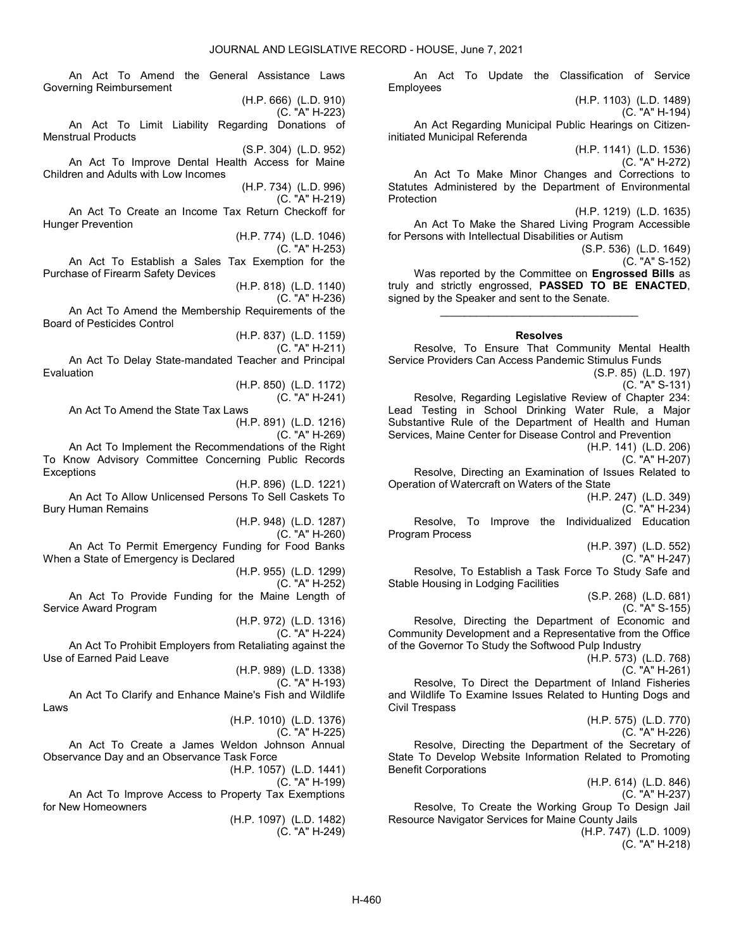Employees

 An Act To Amend the General Assistance Laws Governing Reimbursement (H.P. 666) (L.D. 910) (C. "A" H-223) An Act To Limit Liability Regarding Donations of Menstrual Products (S.P. 304) (L.D. 952) An Act To Improve Dental Health Access for Maine Children and Adults with Low Incomes (H.P. 734) (L.D. 996) (C. "A" H-219) An Act To Create an Income Tax Return Checkoff for Hunger Prevention (H.P. 774) (L.D. 1046) (C. "A" H-253) An Act To Establish a Sales Tax Exemption for the Purchase of Firearm Safety Devices (H.P. 818) (L.D. 1140) (C. "A" H-236) An Act To Amend the Membership Requirements of the Board of Pesticides Control (H.P. 837) (L.D. 1159) (C. "A" H-211) An Act To Delay State-mandated Teacher and Principal Evaluation (H.P. 850) (L.D. 1172) (C. "A" H-241) An Act To Amend the State Tax Laws (H.P. 891) (L.D. 1216) (C. "A" H-269) An Act To Implement the Recommendations of the Right To Know Advisory Committee Concerning Public Records **Exceptions** (H.P. 896) (L.D. 1221) An Act To Allow Unlicensed Persons To Sell Caskets To Bury Human Remains (H.P. 948) (L.D. 1287) (C. "A" H-260) An Act To Permit Emergency Funding for Food Banks When a State of Emergency is Declared (H.P. 955) (L.D. 1299) (C. "A" H-252) An Act To Provide Funding for the Maine Length of Service Award Program (H.P. 972) (L.D. 1316) (C. "A" H-224) An Act To Prohibit Employers from Retaliating against the Use of Earned Paid Leave (H.P. 989) (L.D. 1338) (C. "A" H-193) An Act To Clarify and Enhance Maine's Fish and Wildlife Laws (H.P. 1010) (L.D. 1376) (C. "A" H-225) An Act To Create a James Weldon Johnson Annual Observance Day and an Observance Task Force (H.P. 1057) (L.D. 1441) (C. "A" H-199) An Act To Improve Access to Property Tax Exemptions for New Homeowners (H.P. 1097) (L.D. 1482) (C. "A" H-249)

(H.P. 1103) (L.D. 1489) (C. "A" H-194) An Act Regarding Municipal Public Hearings on Citizeninitiated Municipal Referenda (H.P. 1141) (L.D. 1536) (C. "A" H-272) An Act To Make Minor Changes and Corrections to Statutes Administered by the Department of Environmental Protection (H.P. 1219) (L.D. 1635) An Act To Make the Shared Living Program Accessible for Persons with Intellectual Disabilities or Autism (S.P. 536) (L.D. 1649) (C. "A" S-152) Was reported by the Committee on **Engrossed Bills** as truly and strictly engrossed, PASSED TO BE ENACTED, signed by the Speaker and sent to the Senate. \_\_\_\_\_\_\_\_\_\_\_\_\_\_\_\_\_\_\_\_\_\_\_\_\_\_\_\_\_\_\_\_\_ Resolves Resolve, To Ensure That Community Mental Health Service Providers Can Access Pandemic Stimulus Funds (S.P. 85) (L.D. 197) (C. "A" S-131) Resolve, Regarding Legislative Review of Chapter 234: Lead Testing in School Drinking Water Rule, a Major Substantive Rule of the Department of Health and Human Services, Maine Center for Disease Control and Prevention

An Act To Update the Classification of Service

(H.P. 141) (L.D. 206)

(C. "A" H-207) Resolve, Directing an Examination of Issues Related to Operation of Watercraft on Waters of the State

(H.P. 247) (L.D. 349)

(C. "A" H-234) Resolve, To Improve the Individualized Education Program Process

(H.P. 397) (L.D. 552)

(C. "A" H-247)

 Resolve, To Establish a Task Force To Study Safe and Stable Housing in Lodging Facilities

> (S.P. 268) (L.D. 681) (C. "A" S-155)

 Resolve, Directing the Department of Economic and Community Development and a Representative from the Office of the Governor To Study the Softwood Pulp Industry

(H.P. 573) (L.D. 768)

(C. "A" H-261)

 Resolve, To Direct the Department of Inland Fisheries and Wildlife To Examine Issues Related to Hunting Dogs and Civil Trespass

> (H.P. 575) (L.D. 770) (C. "A" H-226)

 Resolve, Directing the Department of the Secretary of State To Develop Website Information Related to Promoting Benefit Corporations

> (H.P. 614) (L.D. 846) (C. "A" H-237)

 Resolve, To Create the Working Group To Design Jail Resource Navigator Services for Maine County Jails

> (H.P. 747) (L.D. 1009) (C. "A" H-218)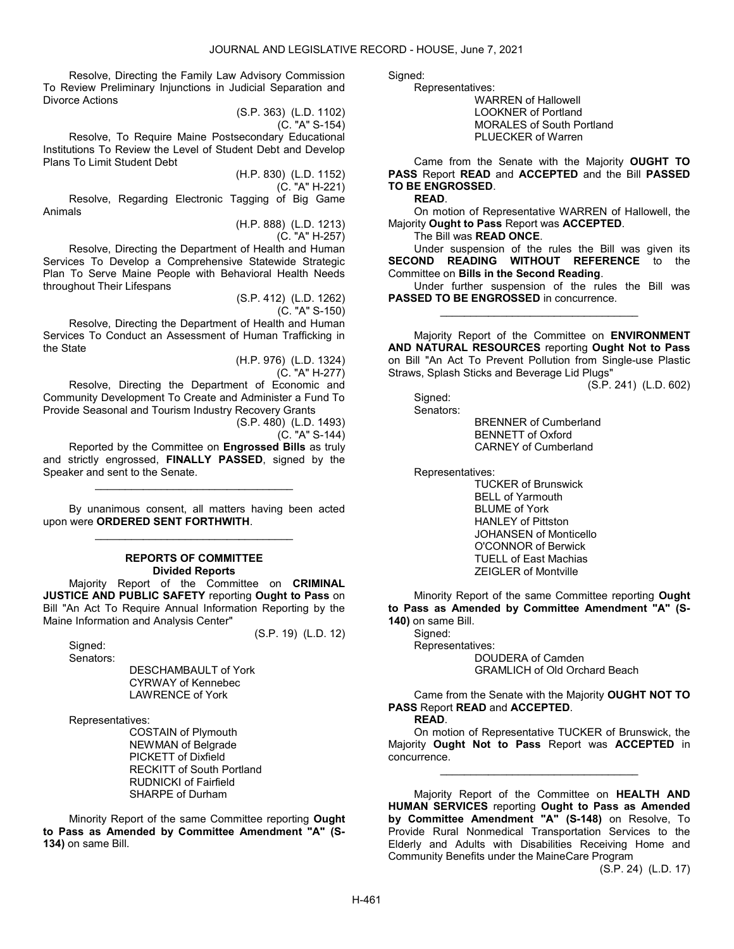Resolve, Directing the Family Law Advisory Commission To Review Preliminary Injunctions in Judicial Separation and Divorce Actions

(S.P. 363) (L.D. 1102) (C. "A" S-154)

 Resolve, To Require Maine Postsecondary Educational Institutions To Review the Level of Student Debt and Develop Plans To Limit Student Debt

> (H.P. 830) (L.D. 1152) (C. "A" H-221)

 Resolve, Regarding Electronic Tagging of Big Game Animals

> (H.P. 888) (L.D. 1213) (C. "A" H-257)

 Resolve, Directing the Department of Health and Human Services To Develop a Comprehensive Statewide Strategic Plan To Serve Maine People with Behavioral Health Needs throughout Their Lifespans

> (S.P. 412) (L.D. 1262) (C. "A" S-150)

 Resolve, Directing the Department of Health and Human Services To Conduct an Assessment of Human Trafficking in the State

> (H.P. 976) (L.D. 1324) (C. "A" H-277)

 Resolve, Directing the Department of Economic and Community Development To Create and Administer a Fund To Provide Seasonal and Tourism Industry Recovery Grants

(S.P. 480) (L.D. 1493)

(S.P. 19) (L.D. 12)

 $(C. "A" S-144)$ 

 Reported by the Committee on Engrossed Bills as truly and strictly engrossed, FINALLY PASSED, signed by the Speaker and sent to the Senate.

\_\_\_\_\_\_\_\_\_\_\_\_\_\_\_\_\_\_\_\_\_\_\_\_\_\_\_\_\_\_\_\_\_

 By unanimous consent, all matters having been acted upon were ORDERED SENT FORTHWITH. \_\_\_\_\_\_\_\_\_\_\_\_\_\_\_\_\_\_\_\_\_\_\_\_\_\_\_\_\_\_\_\_\_

#### REPORTS OF COMMITTEE Divided Reports

 Majority Report of the Committee on CRIMINAL JUSTICE AND PUBLIC SAFETY reporting Ought to Pass on Bill "An Act To Require Annual Information Reporting by the Maine Information and Analysis Center"

 Signed: Senators:

 DESCHAMBAULT of York CYRWAY of Kennebec LAWRENCE of York

Representatives:

 COSTAIN of Plymouth NEWMAN of Belgrade PICKETT of Dixfield RECKITT of South Portland RUDNICKI of Fairfield SHARPE of Durham

 Minority Report of the same Committee reporting Ought to Pass as Amended by Committee Amendment "A" (S-134) on same Bill.

Sianed:

 Representatives: WARREN of Hallowell LOOKNER of Portland MORALES of South Portland PLUECKER of Warren

 Came from the Senate with the Majority OUGHT TO PASS Report READ and ACCEPTED and the Bill PASSED TO BE ENGROSSED.

READ.

 On motion of Representative WARREN of Hallowell, the Majority Ought to Pass Report was ACCEPTED.

The Bill was READ ONCE.

 Under suspension of the rules the Bill was given its SECOND READING WITHOUT REFERENCE to the Committee on Bills in the Second Reading.

 Under further suspension of the rules the Bill was PASSED TO BE ENGROSSED in concurrence. \_\_\_\_\_\_\_\_\_\_\_\_\_\_\_\_\_\_\_\_\_\_\_\_\_\_\_\_\_\_\_\_\_

 Majority Report of the Committee on ENVIRONMENT AND NATURAL RESOURCES reporting Ought Not to Pass on Bill "An Act To Prevent Pollution from Single-use Plastic Straws, Splash Sticks and Beverage Lid Plugs"

(S.P. 241) (L.D. 602)

 Signed: Senators:

 BRENNER of Cumberland BENNETT of Oxford CARNEY of Cumberland

Representatives:

 TUCKER of Brunswick BELL of Yarmouth BLUME of York HANLEY of Pittston JOHANSEN of Monticello O'CONNOR of Berwick TUELL of East Machias ZEIGLER of Montville

 Minority Report of the same Committee reporting Ought to Pass as Amended by Committee Amendment "A" (S-140) on same Bill.

 Signed: Representatives: DOUDERA of Camden GRAMLICH of Old Orchard Beach

 Came from the Senate with the Majority OUGHT NOT TO PASS Report READ and ACCEPTED.

READ.

 On motion of Representative TUCKER of Brunswick, the Majority Ought Not to Pass Report was ACCEPTED in concurrence.

\_\_\_\_\_\_\_\_\_\_\_\_\_\_\_\_\_\_\_\_\_\_\_\_\_\_\_\_\_\_\_\_\_

 Majority Report of the Committee on HEALTH AND HUMAN SERVICES reporting Ought to Pass as Amended by Committee Amendment "A" (S-148) on Resolve, To Provide Rural Nonmedical Transportation Services to the Elderly and Adults with Disabilities Receiving Home and Community Benefits under the MaineCare Program

(S.P. 24) (L.D. 17)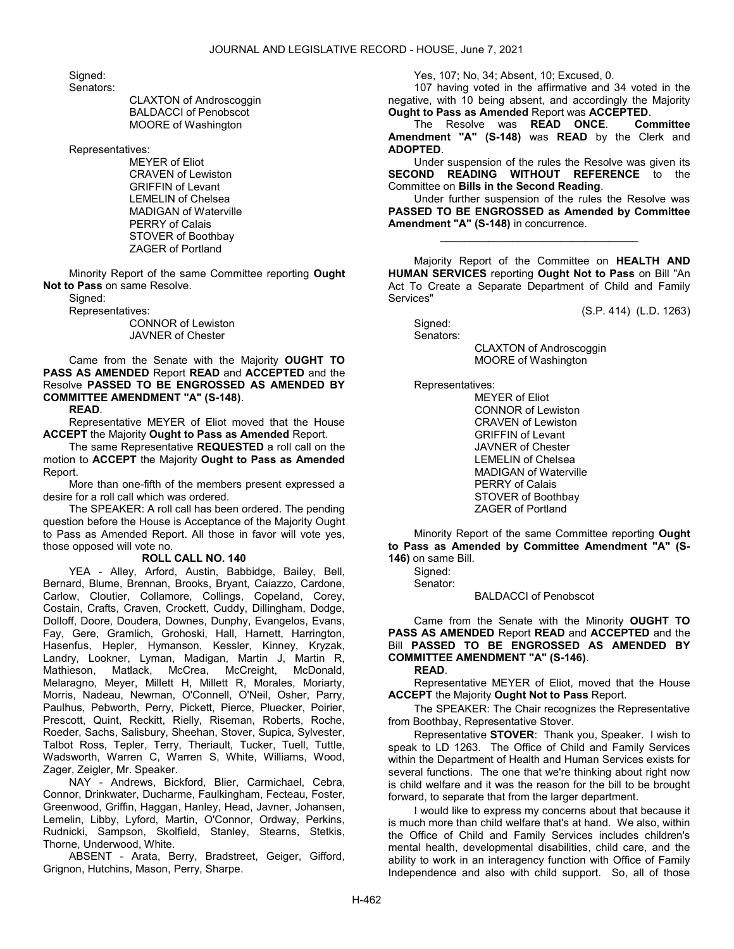Signed: Senators:

 CLAXTON of Androscoggin BALDACCI of Penobscot MOORE of Washington

Representatives:

 MEYER of Eliot CRAVEN of Lewiston GRIFFIN of Levant LEMELIN of Chelsea MADIGAN of Waterville PERRY of Calais STOVER of Boothbay ZAGER of Portland

 Minority Report of the same Committee reporting Ought Not to Pass on same Resolve.

Signed:

 Representatives: CONNOR of Lewiston JAVNER of Chester

 Came from the Senate with the Majority OUGHT TO PASS AS AMENDED Report READ and ACCEPTED and the Resolve PASSED TO BE ENGROSSED AS AMENDED BY COMMITTEE AMENDMENT "A" (S-148).

READ.

 Representative MEYER of Eliot moved that the House ACCEPT the Majority Ought to Pass as Amended Report.

 The same Representative REQUESTED a roll call on the motion to ACCEPT the Majority Ought to Pass as Amended Report.

 More than one-fifth of the members present expressed a desire for a roll call which was ordered.

 The SPEAKER: A roll call has been ordered. The pending question before the House is Acceptance of the Majority Ought to Pass as Amended Report. All those in favor will vote yes, those opposed will vote no.

#### ROLL CALL NO. 140

 YEA - Alley, Arford, Austin, Babbidge, Bailey, Bell, Bernard, Blume, Brennan, Brooks, Bryant, Caiazzo, Cardone, Carlow, Cloutier, Collamore, Collings, Copeland, Corey, Costain, Crafts, Craven, Crockett, Cuddy, Dillingham, Dodge, Dolloff, Doore, Doudera, Downes, Dunphy, Evangelos, Evans, Fay, Gere, Gramlich, Grohoski, Hall, Harnett, Harrington, Hasenfus, Hepler, Hymanson, Kessler, Kinney, Kryzak, Landry, Lookner, Lyman, Madigan, Martin J, Martin R, Mathieson, Matlack, McCrea, McCreight, McDonald, Melaragno, Meyer, Millett H, Millett R, Morales, Moriarty, Morris, Nadeau, Newman, O'Connell, O'Neil, Osher, Parry, Paulhus, Pebworth, Perry, Pickett, Pierce, Pluecker, Poirier, Prescott, Quint, Reckitt, Rielly, Riseman, Roberts, Roche, Roeder, Sachs, Salisbury, Sheehan, Stover, Supica, Sylvester, Talbot Ross, Tepler, Terry, Theriault, Tucker, Tuell, Tuttle, Wadsworth, Warren C, Warren S, White, Williams, Wood, Zager, Zeigler, Mr. Speaker.

 NAY - Andrews, Bickford, Blier, Carmichael, Cebra, Connor, Drinkwater, Ducharme, Faulkingham, Fecteau, Foster, Greenwood, Griffin, Haggan, Hanley, Head, Javner, Johansen, Lemelin, Libby, Lyford, Martin, O'Connor, Ordway, Perkins, Rudnicki, Sampson, Skolfield, Stanley, Stearns, Stetkis, Thorne, Underwood, White.

 ABSENT - Arata, Berry, Bradstreet, Geiger, Gifford, Grignon, Hutchins, Mason, Perry, Sharpe.

Yes, 107; No, 34; Absent, 10; Excused, 0.

 107 having voted in the affirmative and 34 voted in the negative, with 10 being absent, and accordingly the Majority Ought to Pass as Amended Report was ACCEPTED.

 The Resolve was READ ONCE. Committee Amendment "A" (S-148) was READ by the Clerk and ADOPTED.

 Under suspension of the rules the Resolve was given its SECOND READING WITHOUT REFERENCE to the Committee on Bills in the Second Reading.

 Under further suspension of the rules the Resolve was PASSED TO BE ENGROSSED as Amended by Committee Amendment "A" (S-148) in concurrence.

\_\_\_\_\_\_\_\_\_\_\_\_\_\_\_\_\_\_\_\_\_\_\_\_\_\_\_\_\_\_\_\_\_

 Majority Report of the Committee on HEALTH AND HUMAN SERVICES reporting Ought Not to Pass on Bill "An Act To Create a Separate Department of Child and Family Services"

(S.P. 414) (L.D. 1263)

Sianed:

Senators:

 CLAXTON of Androscoggin MOORE of Washington

Representatives:

 MEYER of Eliot CONNOR of Lewiston CRAVEN of Lewiston GRIFFIN of Levant JAVNER of Chester LEMELIN of Chelsea MADIGAN of Waterville PERRY of Calais STOVER of Boothbay ZAGER of Portland

 Minority Report of the same Committee reporting Ought to Pass as Amended by Committee Amendment "A" (S-146) on same Bill.

 Signed: Senator:

BALDACCI of Penobscot

 Came from the Senate with the Minority OUGHT TO PASS AS AMENDED Report READ and ACCEPTED and the Bill PASSED TO BE ENGROSSED AS AMENDED BY COMMITTEE AMENDMENT "A" (S-146).

# READ.

 Representative MEYER of Eliot, moved that the House ACCEPT the Majority Ought Not to Pass Report.

 The SPEAKER: The Chair recognizes the Representative from Boothbay, Representative Stover.

 Representative STOVER: Thank you, Speaker. I wish to speak to LD 1263. The Office of Child and Family Services within the Department of Health and Human Services exists for several functions. The one that we're thinking about right now is child welfare and it was the reason for the bill to be brought forward, to separate that from the larger department.

 I would like to express my concerns about that because it is much more than child welfare that's at hand. We also, within the Office of Child and Family Services includes children's mental health, developmental disabilities, child care, and the ability to work in an interagency function with Office of Family Independence and also with child support. So, all of those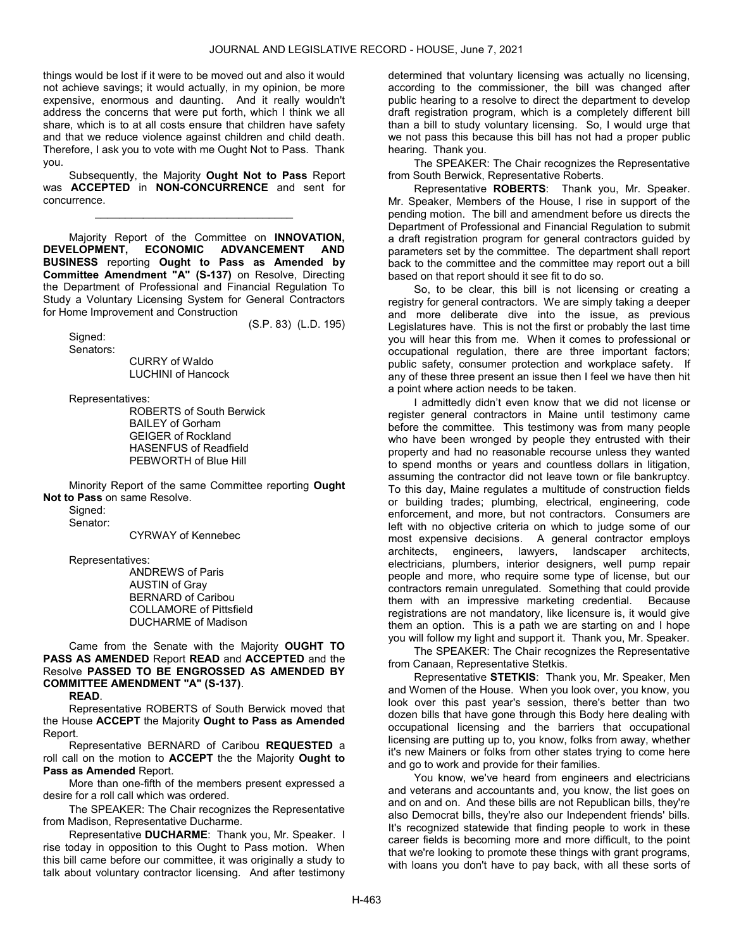things would be lost if it were to be moved out and also it would not achieve savings; it would actually, in my opinion, be more expensive, enormous and daunting. And it really wouldn't address the concerns that were put forth, which I think we all share, which is to at all costs ensure that children have safety and that we reduce violence against children and child death. Therefore, I ask you to vote with me Ought Not to Pass. Thank you.

 Subsequently, the Majority Ought Not to Pass Report was ACCEPTED in NON-CONCURRENCE and sent for concurrence.

\_\_\_\_\_\_\_\_\_\_\_\_\_\_\_\_\_\_\_\_\_\_\_\_\_\_\_\_\_\_\_\_\_

 Majority Report of the Committee on INNOVATION, DEVELOPMENT, ECONOMIC ADVANCEMENT AND BUSINESS reporting Ought to Pass as Amended by Committee Amendment "A" (S-137) on Resolve, Directing the Department of Professional and Financial Regulation To Study a Voluntary Licensing System for General Contractors for Home Improvement and Construction

(S.P. 83) (L.D. 195)

 Signed: Senators:

 CURRY of Waldo LUCHINI of Hancock

Representatives:

 ROBERTS of South Berwick BAILEY of Gorham GEIGER of Rockland HASENFUS of Readfield PEBWORTH of Blue Hill

 Minority Report of the same Committee reporting Ought Not to Pass on same Resolve.

Signed: Senator:

CYRWAY of Kennebec

Representatives:

 ANDREWS of Paris AUSTIN of Gray BERNARD of Caribou COLLAMORE of Pittsfield DUCHARME of Madison

 Came from the Senate with the Majority OUGHT TO PASS AS AMENDED Report READ and ACCEPTED and the Resolve PASSED TO BE ENGROSSED AS AMENDED BY COMMITTEE AMENDMENT "A" (S-137).

READ.

 Representative ROBERTS of South Berwick moved that the House ACCEPT the Majority Ought to Pass as Amended Report.

 Representative BERNARD of Caribou REQUESTED a roll call on the motion to ACCEPT the the Majority Ought to Pass as Amended Report.

 More than one-fifth of the members present expressed a desire for a roll call which was ordered.

 The SPEAKER: The Chair recognizes the Representative from Madison, Representative Ducharme.

 Representative DUCHARME: Thank you, Mr. Speaker. I rise today in opposition to this Ought to Pass motion. When this bill came before our committee, it was originally a study to talk about voluntary contractor licensing. And after testimony determined that voluntary licensing was actually no licensing, according to the commissioner, the bill was changed after public hearing to a resolve to direct the department to develop draft registration program, which is a completely different bill than a bill to study voluntary licensing. So, I would urge that we not pass this because this bill has not had a proper public hearing. Thank you.

 The SPEAKER: The Chair recognizes the Representative from South Berwick, Representative Roberts.

 Representative ROBERTS: Thank you, Mr. Speaker. Mr. Speaker, Members of the House, I rise in support of the pending motion. The bill and amendment before us directs the Department of Professional and Financial Regulation to submit a draft registration program for general contractors guided by parameters set by the committee. The department shall report back to the committee and the committee may report out a bill based on that report should it see fit to do so.

 So, to be clear, this bill is not licensing or creating a registry for general contractors. We are simply taking a deeper and more deliberate dive into the issue, as previous Legislatures have. This is not the first or probably the last time you will hear this from me. When it comes to professional or occupational regulation, there are three important factors; public safety, consumer protection and workplace safety. If any of these three present an issue then I feel we have then hit a point where action needs to be taken.

 I admittedly didn't even know that we did not license or register general contractors in Maine until testimony came before the committee. This testimony was from many people who have been wronged by people they entrusted with their property and had no reasonable recourse unless they wanted to spend months or years and countless dollars in litigation, assuming the contractor did not leave town or file bankruptcy. To this day, Maine regulates a multitude of construction fields or building trades; plumbing, electrical, engineering, code enforcement, and more, but not contractors. Consumers are left with no objective criteria on which to judge some of our most expensive decisions. A general contractor employs architects, engineers, lawyers, landscaper architects, electricians, plumbers, interior designers, well pump repair people and more, who require some type of license, but our contractors remain unregulated. Something that could provide them with an impressive marketing credential. Because registrations are not mandatory, like licensure is, it would give them an option. This is a path we are starting on and I hope you will follow my light and support it. Thank you, Mr. Speaker.

 The SPEAKER: The Chair recognizes the Representative from Canaan, Representative Stetkis.

 Representative STETKIS: Thank you, Mr. Speaker, Men and Women of the House. When you look over, you know, you look over this past year's session, there's better than two dozen bills that have gone through this Body here dealing with occupational licensing and the barriers that occupational licensing are putting up to, you know, folks from away, whether it's new Mainers or folks from other states trying to come here and go to work and provide for their families.

 You know, we've heard from engineers and electricians and veterans and accountants and, you know, the list goes on and on and on. And these bills are not Republican bills, they're also Democrat bills, they're also our Independent friends' bills. It's recognized statewide that finding people to work in these career fields is becoming more and more difficult, to the point that we're looking to promote these things with grant programs, with loans you don't have to pay back, with all these sorts of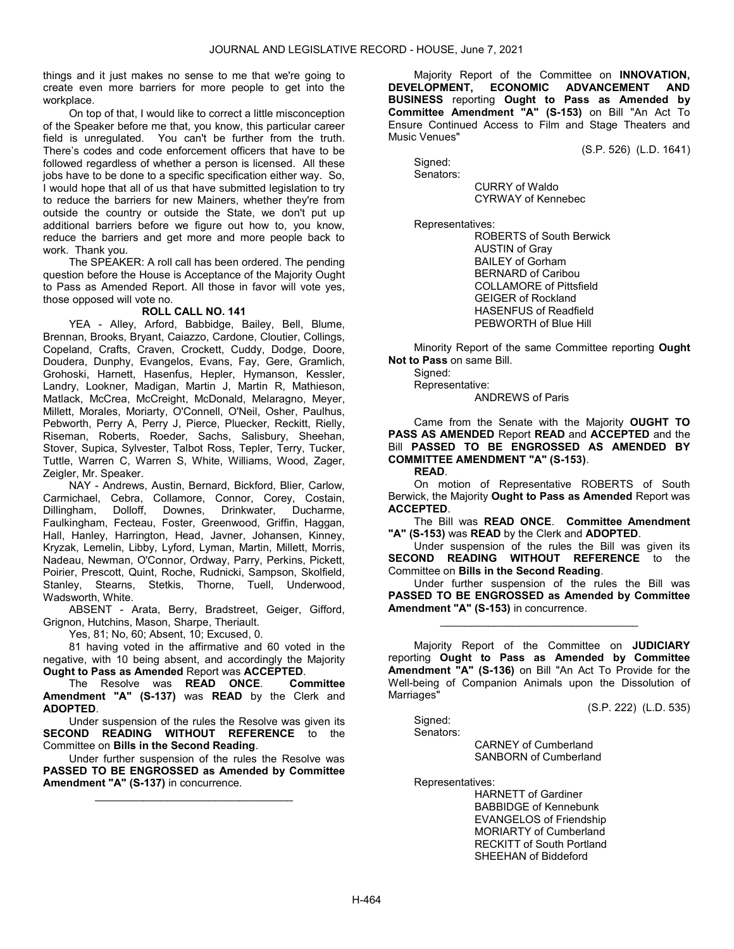things and it just makes no sense to me that we're going to create even more barriers for more people to get into the workplace.

 On top of that, I would like to correct a little misconception of the Speaker before me that, you know, this particular career field is unregulated. You can't be further from the truth. There's codes and code enforcement officers that have to be followed regardless of whether a person is licensed. All these jobs have to be done to a specific specification either way. So, I would hope that all of us that have submitted legislation to try to reduce the barriers for new Mainers, whether they're from outside the country or outside the State, we don't put up additional barriers before we figure out how to, you know, reduce the barriers and get more and more people back to work. Thank you.

 The SPEAKER: A roll call has been ordered. The pending question before the House is Acceptance of the Majority Ought to Pass as Amended Report. All those in favor will vote yes, those opposed will vote no.

# ROLL CALL NO. 141

 YEA - Alley, Arford, Babbidge, Bailey, Bell, Blume, Brennan, Brooks, Bryant, Caiazzo, Cardone, Cloutier, Collings, Copeland, Crafts, Craven, Crockett, Cuddy, Dodge, Doore, Doudera, Dunphy, Evangelos, Evans, Fay, Gere, Gramlich, Grohoski, Harnett, Hasenfus, Hepler, Hymanson, Kessler, Landry, Lookner, Madigan, Martin J, Martin R, Mathieson, Matlack, McCrea, McCreight, McDonald, Melaragno, Meyer, Millett, Morales, Moriarty, O'Connell, O'Neil, Osher, Paulhus, Pebworth, Perry A, Perry J, Pierce, Pluecker, Reckitt, Rielly, Riseman, Roberts, Roeder, Sachs, Salisbury, Sheehan, Stover, Supica, Sylvester, Talbot Ross, Tepler, Terry, Tucker, Tuttle, Warren C, Warren S, White, Williams, Wood, Zager, Zeigler, Mr. Speaker.

 NAY - Andrews, Austin, Bernard, Bickford, Blier, Carlow, Carmichael, Cebra, Collamore, Connor, Corey, Costain, Dillingham, Dolloff, Downes, Drinkwater, Ducharme, Faulkingham, Fecteau, Foster, Greenwood, Griffin, Haggan, Hall, Hanley, Harrington, Head, Javner, Johansen, Kinney, Kryzak, Lemelin, Libby, Lyford, Lyman, Martin, Millett, Morris, Nadeau, Newman, O'Connor, Ordway, Parry, Perkins, Pickett, Poirier, Prescott, Quint, Roche, Rudnicki, Sampson, Skolfield, Stanley, Stearns, Stetkis, Thorne, Tuell, Underwood, Wadsworth, White.

 ABSENT - Arata, Berry, Bradstreet, Geiger, Gifford, Grignon, Hutchins, Mason, Sharpe, Theriault.

Yes, 81; No, 60; Absent, 10; Excused, 0.

 81 having voted in the affirmative and 60 voted in the negative, with 10 being absent, and accordingly the Majority Ought to Pass as Amended Report was ACCEPTED.

The Resolve was READ ONCE. Committee Amendment "A" (S-137) was READ by the Clerk and ADOPTED.

 Under suspension of the rules the Resolve was given its SECOND READING WITHOUT REFERENCE to the Committee on Bills in the Second Reading.

 Under further suspension of the rules the Resolve was PASSED TO BE ENGROSSED as Amended by Committee Amendment "A" (S-137) in concurrence.

\_\_\_\_\_\_\_\_\_\_\_\_\_\_\_\_\_\_\_\_\_\_\_\_\_\_\_\_\_\_\_\_\_

 Majority Report of the Committee on INNOVATION, DEVELOPMENT, ECONOMIC ADVANCEMENT AND BUSINESS reporting Ought to Pass as Amended by Committee Amendment "A" (S-153) on Bill "An Act To Ensure Continued Access to Film and Stage Theaters and Music Venues"

(S.P. 526) (L.D. 1641)

 Signed: Senators:

 CURRY of Waldo CYRWAY of Kennebec

Representatives:

 ROBERTS of South Berwick AUSTIN of Gray BAILEY of Gorham BERNARD of Caribou COLLAMORE of Pittsfield GEIGER of Rockland HASENFUS of Readfield PEBWORTH of Blue Hill

 Minority Report of the same Committee reporting Ought Not to Pass on same Bill.

Signed: Representative:

ANDREWS of Paris

 Came from the Senate with the Majority OUGHT TO PASS AS AMENDED Report READ and ACCEPTED and the Bill PASSED TO BE ENGROSSED AS AMENDED BY COMMITTEE AMENDMENT "A" (S-153).

READ.

 On motion of Representative ROBERTS of South Berwick, the Majority Ought to Pass as Amended Report was ACCEPTED.

 The Bill was READ ONCE. Committee Amendment "A" (S-153) was READ by the Clerk and ADOPTED.

 Under suspension of the rules the Bill was given its SECOND READING WITHOUT REFERENCE to the Committee on Bills in the Second Reading.

 Under further suspension of the rules the Bill was PASSED TO BE ENGROSSED as Amended by Committee Amendment "A" (S-153) in concurrence.

\_\_\_\_\_\_\_\_\_\_\_\_\_\_\_\_\_\_\_\_\_\_\_\_\_\_\_\_\_\_\_\_\_

 Majority Report of the Committee on JUDICIARY reporting Ought to Pass as Amended by Committee Amendment "A" (S-136) on Bill "An Act To Provide for the Well-being of Companion Animals upon the Dissolution of Marriages"

(S.P. 222) (L.D. 535)

 Signed: Senators:

 CARNEY of Cumberland SANBORN of Cumberland

Representatives:

 HARNETT of Gardiner BABBIDGE of Kennebunk EVANGELOS of Friendship MORIARTY of Cumberland RECKITT of South Portland SHEEHAN of Biddeford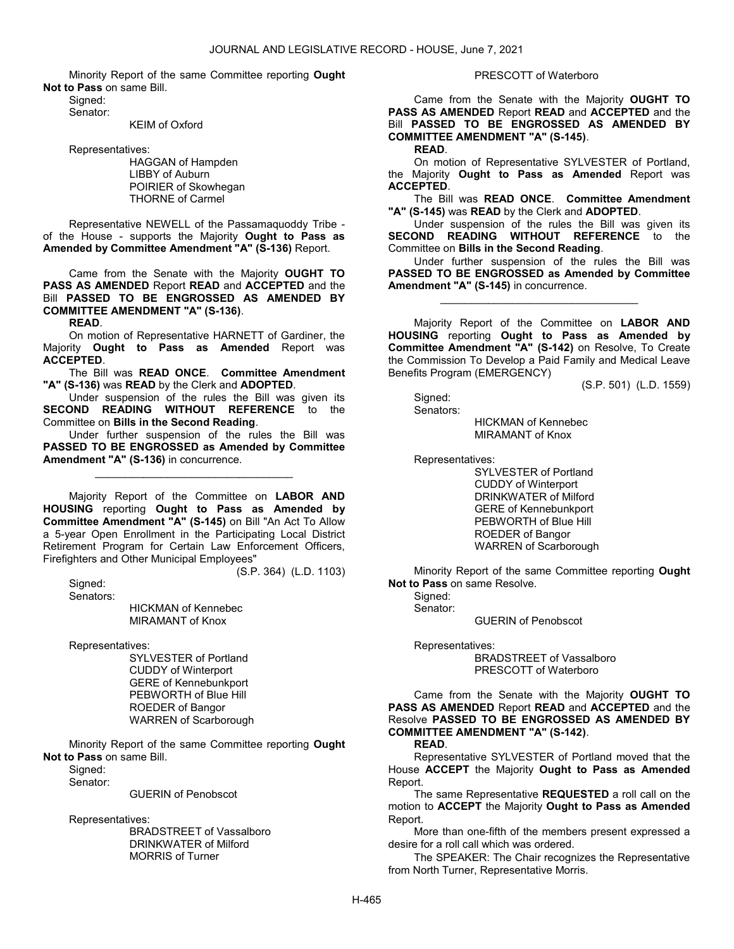Minority Report of the same Committee reporting Ought Not to Pass on same Bill.

 Signed: Senator:

KEIM of Oxford

Representatives:

 HAGGAN of Hampden LIBBY of Auburn POIRIER of Skowhegan THORNE of Carmel

 Representative NEWELL of the Passamaquoddy Tribe of the House - supports the Majority Ought to Pass as Amended by Committee Amendment "A" (S-136) Report.

 Came from the Senate with the Majority OUGHT TO PASS AS AMENDED Report READ and ACCEPTED and the Bill PASSED TO BE ENGROSSED AS AMENDED BY COMMITTEE AMENDMENT "A" (S-136).

READ.

 On motion of Representative HARNETT of Gardiner, the Majority Ought to Pass as Amended Report was ACCEPTED.

The Bill was READ ONCE. Committee Amendment "A" (S-136) was READ by the Clerk and ADOPTED.

 Under suspension of the rules the Bill was given its SECOND READING WITHOUT REFERENCE to the Committee on Bills in the Second Reading.

 Under further suspension of the rules the Bill was PASSED TO BE ENGROSSED as Amended by Committee Amendment "A" (S-136) in concurrence.

\_\_\_\_\_\_\_\_\_\_\_\_\_\_\_\_\_\_\_\_\_\_\_\_\_\_\_\_\_\_\_\_\_

 Majority Report of the Committee on LABOR AND HOUSING reporting Ought to Pass as Amended by Committee Amendment "A" (S-145) on Bill "An Act To Allow a 5-year Open Enrollment in the Participating Local District Retirement Program for Certain Law Enforcement Officers, Firefighters and Other Municipal Employees"

(S.P. 364) (L.D. 1103)

 Signed: Senators:

 HICKMAN of Kennebec MIRAMANT of Knox

Representatives:

 SYLVESTER of Portland CUDDY of Winterport GERE of Kennebunkport PEBWORTH of Blue Hill ROEDER of Bangor WARREN of Scarborough

 Minority Report of the same Committee reporting Ought Not to Pass on same Bill.

Signed: Senator:

GUERIN of Penobscot

Representatives:

 BRADSTREET of Vassalboro DRINKWATER of Milford MORRIS of Turner

#### PRESCOTT of Waterboro

 Came from the Senate with the Majority OUGHT TO PASS AS AMENDED Report READ and ACCEPTED and the Bill PASSED TO BE ENGROSSED AS AMENDED BY COMMITTEE AMENDMENT "A" (S-145).

READ.

 On motion of Representative SYLVESTER of Portland, the Majority Ought to Pass as Amended Report was ACCEPTED.

 The Bill was READ ONCE. Committee Amendment "A" (S-145) was READ by the Clerk and ADOPTED.

Under suspension of the rules the Bill was given its<br>**DND READING WITHOUT REFERENCE** to the SECOND READING WITHOUT Committee on Bills in the Second Reading.

 Under further suspension of the rules the Bill was PASSED TO BE ENGROSSED as Amended by Committee Amendment "A" (S-145) in concurrence.

\_\_\_\_\_\_\_\_\_\_\_\_\_\_\_\_\_\_\_\_\_\_\_\_\_\_\_\_\_\_\_\_\_

 Majority Report of the Committee on LABOR AND HOUSING reporting Ought to Pass as Amended by Committee Amendment "A" (S-142) on Resolve, To Create the Commission To Develop a Paid Family and Medical Leave Benefits Program (EMERGENCY)

(S.P. 501) (L.D. 1559)

 Signed: Senators:

 HICKMAN of Kennebec MIRAMANT of Knox

Representatives:

 SYLVESTER of Portland CUDDY of Winterport DRINKWATER of Milford GERE of Kennebunkport PEBWORTH of Blue Hill ROEDER of Bangor WARREN of Scarborough

 Minority Report of the same Committee reporting Ought Not to Pass on same Resolve.

 Signed: Senator:

GUERIN of Penobscot

Representatives:

 BRADSTREET of Vassalboro PRESCOTT of Waterboro

 Came from the Senate with the Majority OUGHT TO PASS AS AMENDED Report READ and ACCEPTED and the Resolve PASSED TO BE ENGROSSED AS AMENDED BY COMMITTEE AMENDMENT "A" (S-142).

# READ.

 Representative SYLVESTER of Portland moved that the House ACCEPT the Majority Ought to Pass as Amended Report.

 The same Representative REQUESTED a roll call on the motion to ACCEPT the Majority Ought to Pass as Amended Report.

 More than one-fifth of the members present expressed a desire for a roll call which was ordered.

 The SPEAKER: The Chair recognizes the Representative from North Turner, Representative Morris.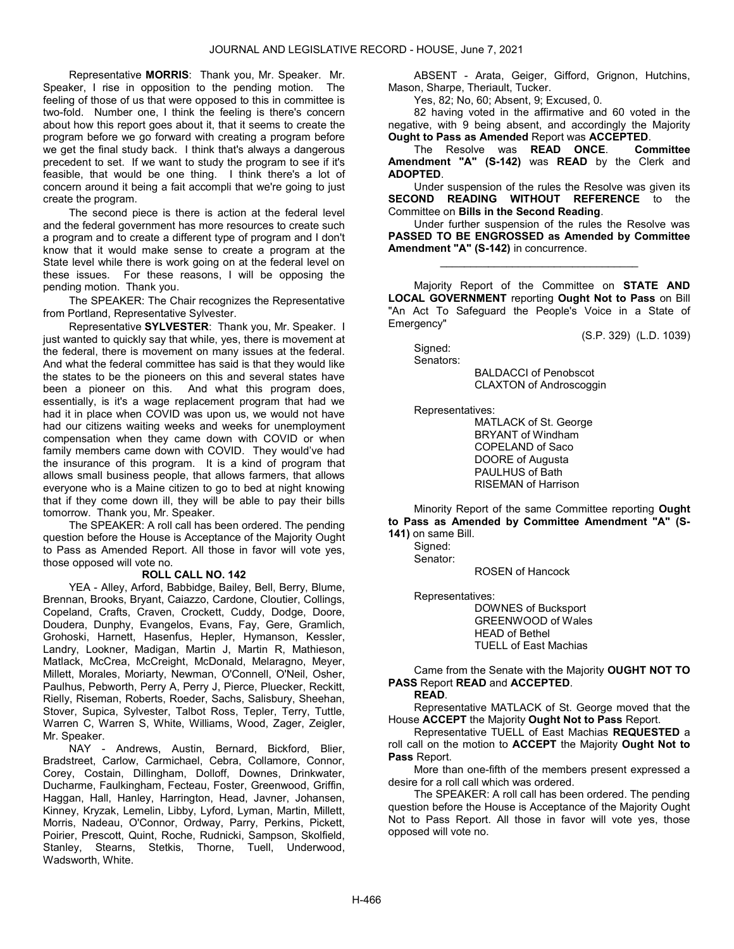Representative MORRIS: Thank you, Mr. Speaker. Mr. Speaker, I rise in opposition to the pending motion. The feeling of those of us that were opposed to this in committee is two-fold. Number one, I think the feeling is there's concern about how this report goes about it, that it seems to create the program before we go forward with creating a program before we get the final study back. I think that's always a dangerous precedent to set. If we want to study the program to see if it's feasible, that would be one thing. I think there's a lot of concern around it being a fait accompli that we're going to just create the program.

 The second piece is there is action at the federal level and the federal government has more resources to create such a program and to create a different type of program and I don't know that it would make sense to create a program at the State level while there is work going on at the federal level on these issues. For these reasons, I will be opposing the pending motion. Thank you.

 The SPEAKER: The Chair recognizes the Representative from Portland, Representative Sylvester.

 Representative SYLVESTER: Thank you, Mr. Speaker. I just wanted to quickly say that while, yes, there is movement at the federal, there is movement on many issues at the federal. And what the federal committee has said is that they would like the states to be the pioneers on this and several states have been a pioneer on this. And what this program does, essentially, is it's a wage replacement program that had we had it in place when COVID was upon us, we would not have had our citizens waiting weeks and weeks for unemployment compensation when they came down with COVID or when family members came down with COVID. They would've had the insurance of this program. It is a kind of program that allows small business people, that allows farmers, that allows everyone who is a Maine citizen to go to bed at night knowing that if they come down ill, they will be able to pay their bills tomorrow. Thank you, Mr. Speaker.

 The SPEAKER: A roll call has been ordered. The pending question before the House is Acceptance of the Majority Ought to Pass as Amended Report. All those in favor will vote yes, those opposed will vote no.

#### ROLL CALL NO. 142

 YEA - Alley, Arford, Babbidge, Bailey, Bell, Berry, Blume, Brennan, Brooks, Bryant, Caiazzo, Cardone, Cloutier, Collings, Copeland, Crafts, Craven, Crockett, Cuddy, Dodge, Doore, Doudera, Dunphy, Evangelos, Evans, Fay, Gere, Gramlich, Grohoski, Harnett, Hasenfus, Hepler, Hymanson, Kessler, Landry, Lookner, Madigan, Martin J, Martin R, Mathieson, Matlack, McCrea, McCreight, McDonald, Melaragno, Meyer, Millett, Morales, Moriarty, Newman, O'Connell, O'Neil, Osher, Paulhus, Pebworth, Perry A, Perry J, Pierce, Pluecker, Reckitt, Rielly, Riseman, Roberts, Roeder, Sachs, Salisbury, Sheehan, Stover, Supica, Sylvester, Talbot Ross, Tepler, Terry, Tuttle, Warren C, Warren S, White, Williams, Wood, Zager, Zeigler, Mr. Speaker.

 NAY - Andrews, Austin, Bernard, Bickford, Blier, Bradstreet, Carlow, Carmichael, Cebra, Collamore, Connor, Corey, Costain, Dillingham, Dolloff, Downes, Drinkwater, Ducharme, Faulkingham, Fecteau, Foster, Greenwood, Griffin, Haggan, Hall, Hanley, Harrington, Head, Javner, Johansen, Kinney, Kryzak, Lemelin, Libby, Lyford, Lyman, Martin, Millett, Morris, Nadeau, O'Connor, Ordway, Parry, Perkins, Pickett, Poirier, Prescott, Quint, Roche, Rudnicki, Sampson, Skolfield, Stanley, Stearns, Stetkis, Thorne, Tuell, Underwood, Wadsworth, White.

 ABSENT - Arata, Geiger, Gifford, Grignon, Hutchins, Mason, Sharpe, Theriault, Tucker.

Yes, 82; No, 60; Absent, 9; Excused, 0.

 82 having voted in the affirmative and 60 voted in the negative, with 9 being absent, and accordingly the Majority Ought to Pass as Amended Report was ACCEPTED.

 The Resolve was READ ONCE. Committee Amendment "A" (S-142) was READ by the Clerk and ADOPTED.

 Under suspension of the rules the Resolve was given its SECOND READING WITHOUT REFERENCE to the Committee on Bills in the Second Reading.

 Under further suspension of the rules the Resolve was PASSED TO BE ENGROSSED as Amended by Committee Amendment "A" (S-142) in concurrence.

\_\_\_\_\_\_\_\_\_\_\_\_\_\_\_\_\_\_\_\_\_\_\_\_\_\_\_\_\_\_\_\_\_

 Majority Report of the Committee on STATE AND LOCAL GOVERNMENT reporting Ought Not to Pass on Bill "An Act To Safeguard the People's Voice in a State of Emergency"

(S.P. 329) (L.D. 1039)

 Signed: Senators:

 BALDACCI of Penobscot CLAXTON of Androscoggin

Representatives:

 MATLACK of St. George BRYANT of Windham COPELAND of Saco DOORE of Augusta PAULHUS of Bath RISEMAN of Harrison

 Minority Report of the same Committee reporting Ought to Pass as Amended by Committee Amendment "A" (S-141) on same Bill.

Signed:

Senator:

ROSEN of Hancock

Representatives:

 DOWNES of Bucksport GREENWOOD of Wales HEAD of Bethel TUELL of East Machias

 Came from the Senate with the Majority OUGHT NOT TO PASS Report READ and ACCEPTED.

# READ.

 Representative MATLACK of St. George moved that the House ACCEPT the Majority Ought Not to Pass Report.

 Representative TUELL of East Machias REQUESTED a roll call on the motion to ACCEPT the Majority Ought Not to Pass Report.

 More than one-fifth of the members present expressed a desire for a roll call which was ordered.

 The SPEAKER: A roll call has been ordered. The pending question before the House is Acceptance of the Majority Ought Not to Pass Report. All those in favor will vote yes, those opposed will vote no.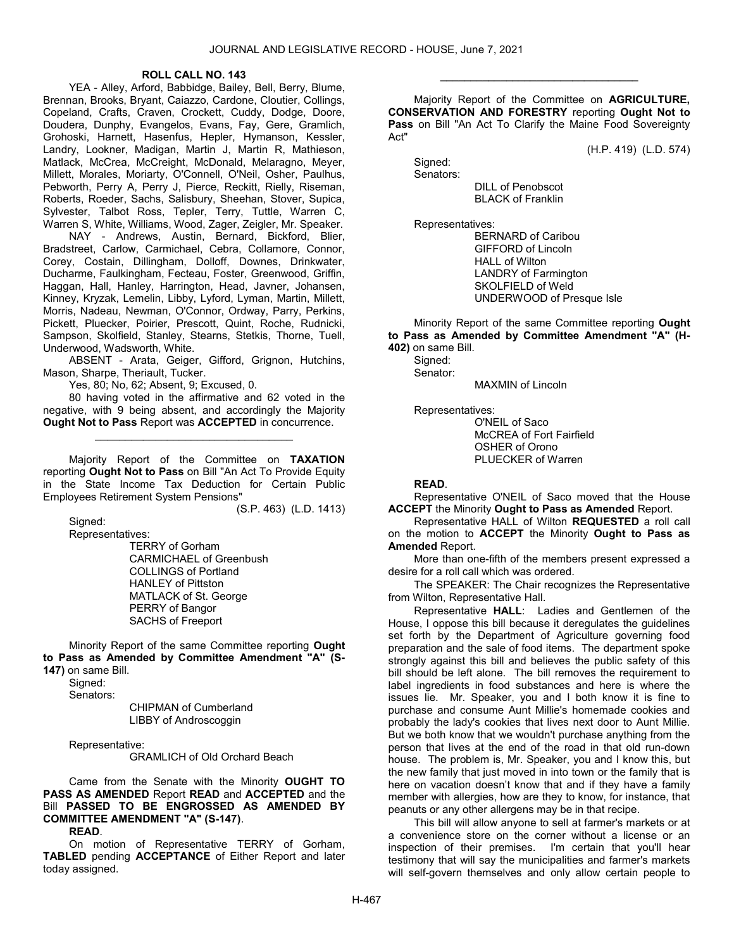#### ROLL CALL NO. 143

 YEA - Alley, Arford, Babbidge, Bailey, Bell, Berry, Blume, Brennan, Brooks, Bryant, Caiazzo, Cardone, Cloutier, Collings, Copeland, Crafts, Craven, Crockett, Cuddy, Dodge, Doore, Doudera, Dunphy, Evangelos, Evans, Fay, Gere, Gramlich, Grohoski, Harnett, Hasenfus, Hepler, Hymanson, Kessler, Landry, Lookner, Madigan, Martin J, Martin R, Mathieson, Matlack, McCrea, McCreight, McDonald, Melaragno, Meyer, Millett, Morales, Moriarty, O'Connell, O'Neil, Osher, Paulhus, Pebworth, Perry A, Perry J, Pierce, Reckitt, Rielly, Riseman, Roberts, Roeder, Sachs, Salisbury, Sheehan, Stover, Supica, Sylvester, Talbot Ross, Tepler, Terry, Tuttle, Warren C, Warren S, White, Williams, Wood, Zager, Zeigler, Mr. Speaker.

 NAY - Andrews, Austin, Bernard, Bickford, Blier, Bradstreet, Carlow, Carmichael, Cebra, Collamore, Connor, Corey, Costain, Dillingham, Dolloff, Downes, Drinkwater, Ducharme, Faulkingham, Fecteau, Foster, Greenwood, Griffin, Haggan, Hall, Hanley, Harrington, Head, Javner, Johansen, Kinney, Kryzak, Lemelin, Libby, Lyford, Lyman, Martin, Millett, Morris, Nadeau, Newman, O'Connor, Ordway, Parry, Perkins, Pickett, Pluecker, Poirier, Prescott, Quint, Roche, Rudnicki, Sampson, Skolfield, Stanley, Stearns, Stetkis, Thorne, Tuell, Underwood, Wadsworth, White.

 ABSENT - Arata, Geiger, Gifford, Grignon, Hutchins, Mason, Sharpe, Theriault, Tucker.

Yes, 80; No, 62; Absent, 9; Excused, 0.

 80 having voted in the affirmative and 62 voted in the negative, with 9 being absent, and accordingly the Majority Ought Not to Pass Report was ACCEPTED in concurrence.

\_\_\_\_\_\_\_\_\_\_\_\_\_\_\_\_\_\_\_\_\_\_\_\_\_\_\_\_\_\_\_\_\_

 Majority Report of the Committee on TAXATION reporting Ought Not to Pass on Bill "An Act To Provide Equity in the State Income Tax Deduction for Certain Public Employees Retirement System Pensions"

(S.P. 463) (L.D. 1413)

Signed:

Representatives:

 TERRY of Gorham CARMICHAEL of Greenbush COLLINGS of Portland HANLEY of Pittston MATLACK of St. George PERRY of Bangor SACHS of Freeport

 Minority Report of the same Committee reporting Ought to Pass as Amended by Committee Amendment "A" (S-147) on same Bill.

Signed:

Senators:

 CHIPMAN of Cumberland LIBBY of Androscoggin

Representative:

GRAMLICH of Old Orchard Beach

 Came from the Senate with the Minority OUGHT TO PASS AS AMENDED Report READ and ACCEPTED and the Bill PASSED TO BE ENGROSSED AS AMENDED BY COMMITTEE AMENDMENT "A" (S-147).

READ.

 On motion of Representative TERRY of Gorham, TABLED pending ACCEPTANCE of Either Report and later today assigned.

 Majority Report of the Committee on AGRICULTURE, CONSERVATION AND FORESTRY reporting Ought Not to Pass on Bill "An Act To Clarify the Maine Food Sovereignty Act"

\_\_\_\_\_\_\_\_\_\_\_\_\_\_\_\_\_\_\_\_\_\_\_\_\_\_\_\_\_\_\_\_\_

(H.P. 419) (L.D. 574)

Signed:

 Senators: DILL of Penobscot

BLACK of Franklin

Representatives:

 BERNARD of Caribou GIFFORD of Lincoln HALL of Wilton LANDRY of Farmington SKOLFIELD of Weld UNDERWOOD of Presque Isle

 Minority Report of the same Committee reporting Ought to Pass as Amended by Committee Amendment "A" (H-402) on same Bill.

 Signed: Senator:

MAXMIN of Lincoln

Representatives:

 O'NEIL of Saco McCREA of Fort Fairfield OSHER of Orono PLUECKER of Warren

# READ.

 Representative O'NEIL of Saco moved that the House **ACCEPT** the Minority Ought to Pass as Amended Report.

 Representative HALL of Wilton REQUESTED a roll call on the motion to ACCEPT the Minority Ought to Pass as Amended Report.

 More than one-fifth of the members present expressed a desire for a roll call which was ordered.

 The SPEAKER: The Chair recognizes the Representative from Wilton, Representative Hall.

 Representative HALL: Ladies and Gentlemen of the House, I oppose this bill because it deregulates the guidelines set forth by the Department of Agriculture governing food preparation and the sale of food items. The department spoke strongly against this bill and believes the public safety of this bill should be left alone. The bill removes the requirement to label ingredients in food substances and here is where the issues lie. Mr. Speaker, you and I both know it is fine to purchase and consume Aunt Millie's homemade cookies and probably the lady's cookies that lives next door to Aunt Millie. But we both know that we wouldn't purchase anything from the person that lives at the end of the road in that old run-down house. The problem is, Mr. Speaker, you and I know this, but the new family that just moved in into town or the family that is here on vacation doesn't know that and if they have a family member with allergies, how are they to know, for instance, that peanuts or any other allergens may be in that recipe.

 This bill will allow anyone to sell at farmer's markets or at a convenience store on the corner without a license or an inspection of their premises. I'm certain that you'll hear testimony that will say the municipalities and farmer's markets will self-govern themselves and only allow certain people to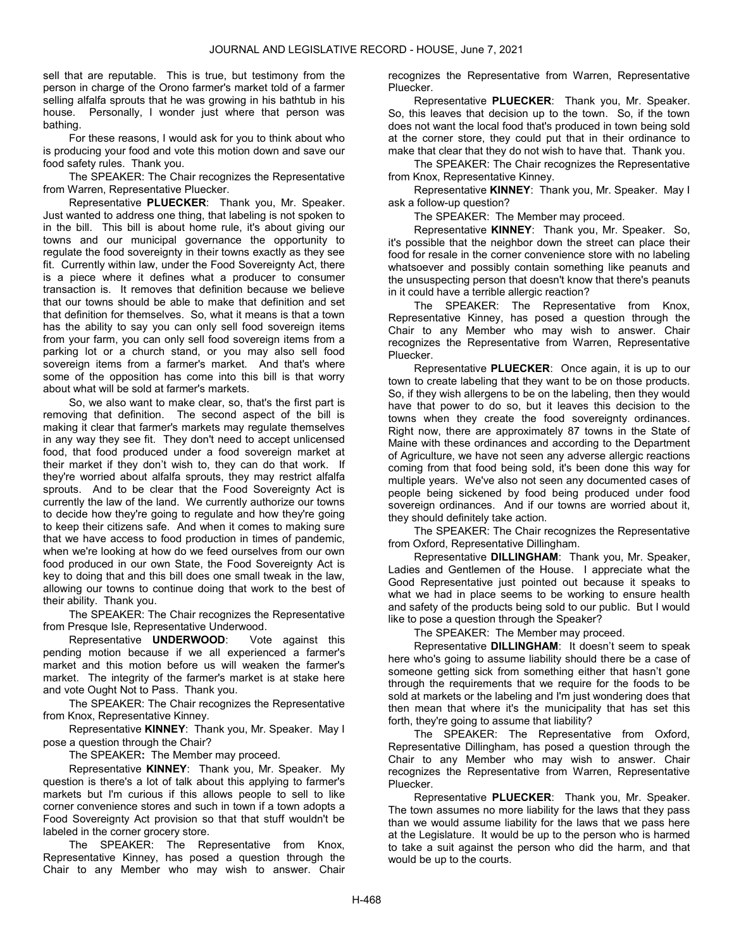sell that are reputable. This is true, but testimony from the person in charge of the Orono farmer's market told of a farmer selling alfalfa sprouts that he was growing in his bathtub in his house. Personally, I wonder just where that person was bathing.

 For these reasons, I would ask for you to think about who is producing your food and vote this motion down and save our food safety rules. Thank you.

 The SPEAKER: The Chair recognizes the Representative from Warren, Representative Pluecker.

Representative PLUECKER: Thank you, Mr. Speaker. Just wanted to address one thing, that labeling is not spoken to in the bill. This bill is about home rule, it's about giving our towns and our municipal governance the opportunity to regulate the food sovereignty in their towns exactly as they see fit. Currently within law, under the Food Sovereignty Act, there is a piece where it defines what a producer to consumer transaction is. It removes that definition because we believe that our towns should be able to make that definition and set that definition for themselves. So, what it means is that a town has the ability to say you can only sell food sovereign items from your farm, you can only sell food sovereign items from a parking lot or a church stand, or you may also sell food sovereign items from a farmer's market. And that's where some of the opposition has come into this bill is that worry about what will be sold at farmer's markets.

 So, we also want to make clear, so, that's the first part is removing that definition. The second aspect of the bill is making it clear that farmer's markets may regulate themselves in any way they see fit. They don't need to accept unlicensed food, that food produced under a food sovereign market at their market if they don't wish to, they can do that work. If they're worried about alfalfa sprouts, they may restrict alfalfa sprouts. And to be clear that the Food Sovereignty Act is currently the law of the land. We currently authorize our towns to decide how they're going to regulate and how they're going to keep their citizens safe. And when it comes to making sure that we have access to food production in times of pandemic, when we're looking at how do we feed ourselves from our own food produced in our own State, the Food Sovereignty Act is key to doing that and this bill does one small tweak in the law, allowing our towns to continue doing that work to the best of their ability. Thank you.

 The SPEAKER: The Chair recognizes the Representative from Presque Isle, Representative Underwood.

 Representative UNDERWOOD: Vote against this pending motion because if we all experienced a farmer's market and this motion before us will weaken the farmer's market. The integrity of the farmer's market is at stake here and vote Ought Not to Pass. Thank you.

 The SPEAKER: The Chair recognizes the Representative from Knox, Representative Kinney.

 Representative KINNEY: Thank you, Mr. Speaker. May I pose a question through the Chair?

The SPEAKER: The Member may proceed.

 Representative KINNEY: Thank you, Mr. Speaker. My question is there's a lot of talk about this applying to farmer's markets but I'm curious if this allows people to sell to like corner convenience stores and such in town if a town adopts a Food Sovereignty Act provision so that that stuff wouldn't be labeled in the corner grocery store.

 The SPEAKER: The Representative from Knox, Representative Kinney, has posed a question through the Chair to any Member who may wish to answer. Chair recognizes the Representative from Warren, Representative Pluecker.

 Representative PLUECKER: Thank you, Mr. Speaker. So, this leaves that decision up to the town. So, if the town does not want the local food that's produced in town being sold at the corner store, they could put that in their ordinance to make that clear that they do not wish to have that. Thank you.

 The SPEAKER: The Chair recognizes the Representative from Knox, Representative Kinney.

 Representative KINNEY: Thank you, Mr. Speaker. May I ask a follow-up question?

The SPEAKER: The Member may proceed.

 Representative KINNEY: Thank you, Mr. Speaker. So, it's possible that the neighbor down the street can place their food for resale in the corner convenience store with no labeling whatsoever and possibly contain something like peanuts and the unsuspecting person that doesn't know that there's peanuts in it could have a terrible allergic reaction?

 The SPEAKER: The Representative from Knox, Representative Kinney, has posed a question through the Chair to any Member who may wish to answer. Chair recognizes the Representative from Warren, Representative Pluecker.

 Representative PLUECKER: Once again, it is up to our town to create labeling that they want to be on those products. So, if they wish allergens to be on the labeling, then they would have that power to do so, but it leaves this decision to the towns when they create the food sovereignty ordinances. Right now, there are approximately 87 towns in the State of Maine with these ordinances and according to the Department of Agriculture, we have not seen any adverse allergic reactions coming from that food being sold, it's been done this way for multiple years. We've also not seen any documented cases of people being sickened by food being produced under food sovereign ordinances. And if our towns are worried about it, they should definitely take action.

 The SPEAKER: The Chair recognizes the Representative from Oxford, Representative Dillingham.

 Representative DILLINGHAM: Thank you, Mr. Speaker, Ladies and Gentlemen of the House. I appreciate what the Good Representative just pointed out because it speaks to what we had in place seems to be working to ensure health and safety of the products being sold to our public. But I would like to pose a question through the Speaker?

The SPEAKER: The Member may proceed.

 Representative DILLINGHAM: It doesn't seem to speak here who's going to assume liability should there be a case of someone getting sick from something either that hasn't gone through the requirements that we require for the foods to be sold at markets or the labeling and I'm just wondering does that then mean that where it's the municipality that has set this forth, they're going to assume that liability?

 The SPEAKER: The Representative from Oxford, Representative Dillingham, has posed a question through the Chair to any Member who may wish to answer. Chair recognizes the Representative from Warren, Representative Pluecker.

Representative PLUECKER: Thank you, Mr. Speaker. The town assumes no more liability for the laws that they pass than we would assume liability for the laws that we pass here at the Legislature. It would be up to the person who is harmed to take a suit against the person who did the harm, and that would be up to the courts.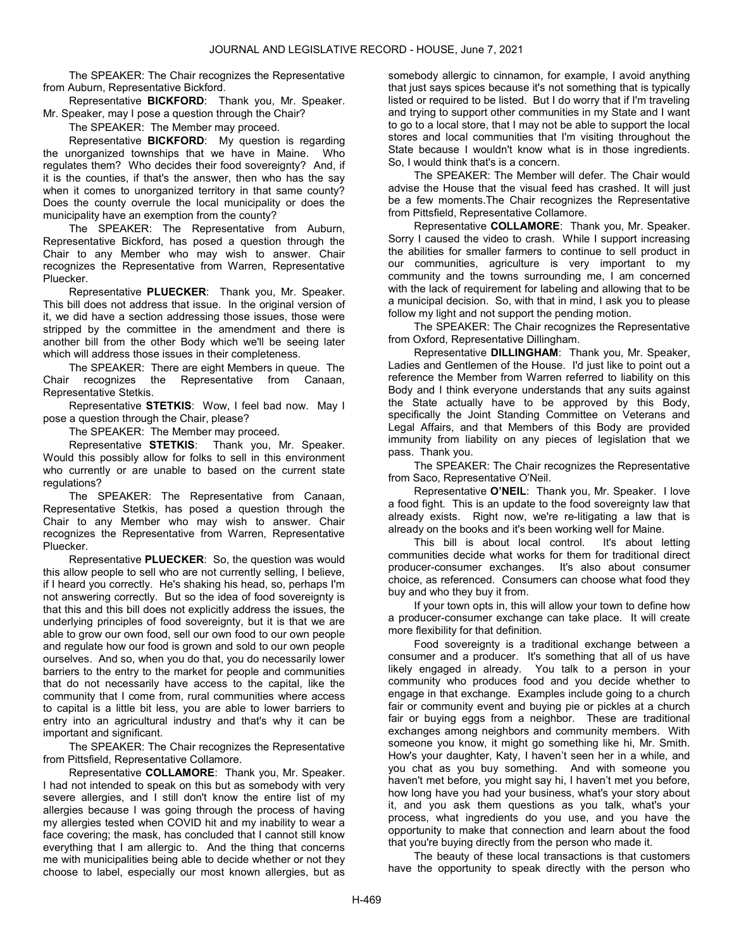The SPEAKER: The Chair recognizes the Representative from Auburn, Representative Bickford.

 Representative BICKFORD: Thank you, Mr. Speaker. Mr. Speaker, may I pose a question through the Chair?

The SPEAKER: The Member may proceed.

 Representative BICKFORD: My question is regarding the unorganized townships that we have in Maine. Who regulates them? Who decides their food sovereignty? And, if it is the counties, if that's the answer, then who has the say when it comes to unorganized territory in that same county? Does the county overrule the local municipality or does the municipality have an exemption from the county?

 The SPEAKER: The Representative from Auburn, Representative Bickford, has posed a question through the Chair to any Member who may wish to answer. Chair recognizes the Representative from Warren, Representative Pluecker.

Representative PLUECKER: Thank you, Mr. Speaker. This bill does not address that issue. In the original version of it, we did have a section addressing those issues, those were stripped by the committee in the amendment and there is another bill from the other Body which we'll be seeing later which will address those issues in their completeness.

 The SPEAKER: There are eight Members in queue. The Chair recognizes the Representative from Canaan, Representative Stetkis.

 Representative STETKIS: Wow, I feel bad now. May I pose a question through the Chair, please?

The SPEAKER: The Member may proceed.

 Representative STETKIS: Thank you, Mr. Speaker. Would this possibly allow for folks to sell in this environment who currently or are unable to based on the current state regulations?

 The SPEAKER: The Representative from Canaan, Representative Stetkis, has posed a question through the Chair to any Member who may wish to answer. Chair recognizes the Representative from Warren, Representative Pluecker.

 Representative PLUECKER: So, the question was would this allow people to sell who are not currently selling, I believe, if I heard you correctly. He's shaking his head, so, perhaps I'm not answering correctly. But so the idea of food sovereignty is that this and this bill does not explicitly address the issues, the underlying principles of food sovereignty, but it is that we are able to grow our own food, sell our own food to our own people and regulate how our food is grown and sold to our own people ourselves. And so, when you do that, you do necessarily lower barriers to the entry to the market for people and communities that do not necessarily have access to the capital, like the community that I come from, rural communities where access to capital is a little bit less, you are able to lower barriers to entry into an agricultural industry and that's why it can be important and significant.

 The SPEAKER: The Chair recognizes the Representative from Pittsfield, Representative Collamore.

 Representative COLLAMORE: Thank you, Mr. Speaker. I had not intended to speak on this but as somebody with very severe allergies, and I still don't know the entire list of my allergies because I was going through the process of having my allergies tested when COVID hit and my inability to wear a face covering; the mask, has concluded that I cannot still know everything that I am allergic to. And the thing that concerns me with municipalities being able to decide whether or not they choose to label, especially our most known allergies, but as somebody allergic to cinnamon, for example, I avoid anything that just says spices because it's not something that is typically listed or required to be listed. But I do worry that if I'm traveling and trying to support other communities in my State and I want to go to a local store, that I may not be able to support the local stores and local communities that I'm visiting throughout the State because I wouldn't know what is in those ingredients. So, I would think that's is a concern.

 The SPEAKER: The Member will defer. The Chair would advise the House that the visual feed has crashed. It will just be a few moments.The Chair recognizes the Representative from Pittsfield, Representative Collamore.

 Representative COLLAMORE: Thank you, Mr. Speaker. Sorry I caused the video to crash. While I support increasing the abilities for smaller farmers to continue to sell product in our communities, agriculture is very important to my community and the towns surrounding me, I am concerned with the lack of requirement for labeling and allowing that to be a municipal decision. So, with that in mind, I ask you to please follow my light and not support the pending motion.

 The SPEAKER: The Chair recognizes the Representative from Oxford, Representative Dillingham.

 Representative DILLINGHAM: Thank you, Mr. Speaker, Ladies and Gentlemen of the House. I'd just like to point out a reference the Member from Warren referred to liability on this Body and I think everyone understands that any suits against the State actually have to be approved by this Body, specifically the Joint Standing Committee on Veterans and Legal Affairs, and that Members of this Body are provided immunity from liability on any pieces of legislation that we pass. Thank you.

 The SPEAKER: The Chair recognizes the Representative from Saco, Representative O'Neil.

 Representative O'NEIL: Thank you, Mr. Speaker. I love a food fight. This is an update to the food sovereignty law that already exists. Right now, we're re-litigating a law that is already on the books and it's been working well for Maine.

 This bill is about local control. It's about letting communities decide what works for them for traditional direct producer-consumer exchanges. It's also about consumer choice, as referenced. Consumers can choose what food they buy and who they buy it from.

 If your town opts in, this will allow your town to define how a producer-consumer exchange can take place. It will create more flexibility for that definition.

 Food sovereignty is a traditional exchange between a consumer and a producer. It's something that all of us have likely engaged in already. You talk to a person in your community who produces food and you decide whether to engage in that exchange. Examples include going to a church fair or community event and buying pie or pickles at a church fair or buying eggs from a neighbor. These are traditional exchanges among neighbors and community members. With someone you know, it might go something like hi, Mr. Smith. How's your daughter, Katy, I haven't seen her in a while, and you chat as you buy something. And with someone you haven't met before, you might say hi, I haven't met you before, how long have you had your business, what's your story about it, and you ask them questions as you talk, what's your process, what ingredients do you use, and you have the opportunity to make that connection and learn about the food that you're buying directly from the person who made it.

 The beauty of these local transactions is that customers have the opportunity to speak directly with the person who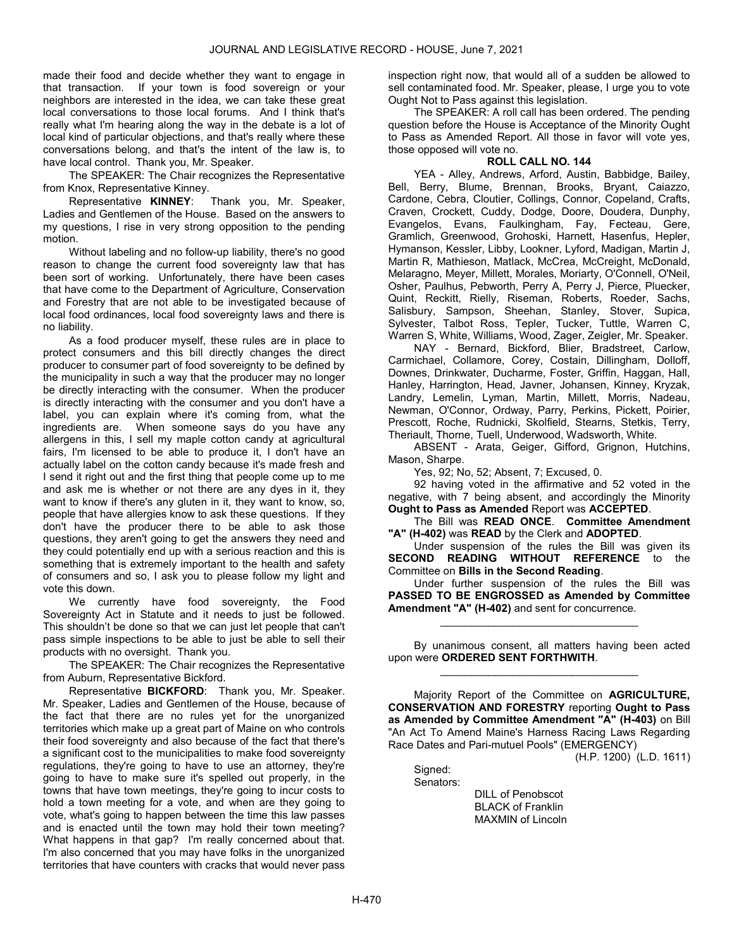made their food and decide whether they want to engage in that transaction. If your town is food sovereign or your neighbors are interested in the idea, we can take these great local conversations to those local forums. And I think that's really what I'm hearing along the way in the debate is a lot of local kind of particular objections, and that's really where these conversations belong, and that's the intent of the law is, to have local control. Thank you, Mr. Speaker.

 The SPEAKER: The Chair recognizes the Representative from Knox, Representative Kinney.

 Representative KINNEY: Thank you, Mr. Speaker, Ladies and Gentlemen of the House. Based on the answers to my questions, I rise in very strong opposition to the pending motion.

 Without labeling and no follow-up liability, there's no good reason to change the current food sovereignty law that has been sort of working. Unfortunately, there have been cases that have come to the Department of Agriculture, Conservation and Forestry that are not able to be investigated because of local food ordinances, local food sovereignty laws and there is no liability.

 As a food producer myself, these rules are in place to protect consumers and this bill directly changes the direct producer to consumer part of food sovereignty to be defined by the municipality in such a way that the producer may no longer be directly interacting with the consumer. When the producer is directly interacting with the consumer and you don't have a label, you can explain where it's coming from, what the ingredients are. When someone says do you have any allergens in this, I sell my maple cotton candy at agricultural fairs, I'm licensed to be able to produce it, I don't have an actually label on the cotton candy because it's made fresh and I send it right out and the first thing that people come up to me and ask me is whether or not there are any dyes in it, they want to know if there's any gluten in it, they want to know, so, people that have allergies know to ask these questions. If they don't have the producer there to be able to ask those questions, they aren't going to get the answers they need and they could potentially end up with a serious reaction and this is something that is extremely important to the health and safety of consumers and so, I ask you to please follow my light and vote this down.

 We currently have food sovereignty, the Food Sovereignty Act in Statute and it needs to just be followed. This shouldn't be done so that we can just let people that can't pass simple inspections to be able to just be able to sell their products with no oversight. Thank you.

 The SPEAKER: The Chair recognizes the Representative from Auburn, Representative Bickford.

Representative **BICKFORD:** Thank you, Mr. Speaker. Mr. Speaker, Ladies and Gentlemen of the House, because of the fact that there are no rules yet for the unorganized territories which make up a great part of Maine on who controls their food sovereignty and also because of the fact that there's a significant cost to the municipalities to make food sovereignty regulations, they're going to have to use an attorney, they're going to have to make sure it's spelled out properly, in the towns that have town meetings, they're going to incur costs to hold a town meeting for a vote, and when are they going to vote, what's going to happen between the time this law passes and is enacted until the town may hold their town meeting? What happens in that gap? I'm really concerned about that. I'm also concerned that you may have folks in the unorganized territories that have counters with cracks that would never pass

inspection right now, that would all of a sudden be allowed to sell contaminated food. Mr. Speaker, please, I urge you to vote Ought Not to Pass against this legislation.

 The SPEAKER: A roll call has been ordered. The pending question before the House is Acceptance of the Minority Ought to Pass as Amended Report. All those in favor will vote yes, those opposed will vote no.

# ROLL CALL NO. 144

 YEA - Alley, Andrews, Arford, Austin, Babbidge, Bailey, Bell, Berry, Blume, Brennan, Brooks, Bryant, Caiazzo, Cardone, Cebra, Cloutier, Collings, Connor, Copeland, Crafts, Craven, Crockett, Cuddy, Dodge, Doore, Doudera, Dunphy, Evangelos, Evans, Faulkingham, Fay, Fecteau, Gere, Gramlich, Greenwood, Grohoski, Harnett, Hasenfus, Hepler, Hymanson, Kessler, Libby, Lookner, Lyford, Madigan, Martin J, Martin R, Mathieson, Matlack, McCrea, McCreight, McDonald, Melaragno, Meyer, Millett, Morales, Moriarty, O'Connell, O'Neil, Osher, Paulhus, Pebworth, Perry A, Perry J, Pierce, Pluecker, Quint, Reckitt, Rielly, Riseman, Roberts, Roeder, Sachs, Salisbury, Sampson, Sheehan, Stanley, Stover, Supica, Sylvester, Talbot Ross, Tepler, Tucker, Tuttle, Warren C, Warren S, White, Williams, Wood, Zager, Zeigler, Mr. Speaker.

 NAY - Bernard, Bickford, Blier, Bradstreet, Carlow, Carmichael, Collamore, Corey, Costain, Dillingham, Dolloff, Downes, Drinkwater, Ducharme, Foster, Griffin, Haggan, Hall, Hanley, Harrington, Head, Javner, Johansen, Kinney, Kryzak, Landry, Lemelin, Lyman, Martin, Millett, Morris, Nadeau, Newman, O'Connor, Ordway, Parry, Perkins, Pickett, Poirier, Prescott, Roche, Rudnicki, Skolfield, Stearns, Stetkis, Terry, Theriault, Thorne, Tuell, Underwood, Wadsworth, White.

 ABSENT - Arata, Geiger, Gifford, Grignon, Hutchins, Mason, Sharpe.

Yes, 92; No, 52; Absent, 7; Excused, 0.

 92 having voted in the affirmative and 52 voted in the negative, with 7 being absent, and accordingly the Minority Ought to Pass as Amended Report was ACCEPTED.

 The Bill was READ ONCE. Committee Amendment "A" (H-402) was READ by the Clerk and ADOPTED.

 Under suspension of the rules the Bill was given its SECOND READING WITHOUT REFERENCE to the Committee on Bills in the Second Reading.

 Under further suspension of the rules the Bill was PASSED TO BE ENGROSSED as Amended by Committee Amendment "A" (H-402) and sent for concurrence.

\_\_\_\_\_\_\_\_\_\_\_\_\_\_\_\_\_\_\_\_\_\_\_\_\_\_\_\_\_\_\_\_\_

 By unanimous consent, all matters having been acted upon were ORDERED SENT FORTHWITH. \_\_\_\_\_\_\_\_\_\_\_\_\_\_\_\_\_\_\_\_\_\_\_\_\_\_\_\_\_\_\_\_\_

 Majority Report of the Committee on AGRICULTURE, CONSERVATION AND FORESTRY reporting Ought to Pass as Amended by Committee Amendment "A" (H-403) on Bill "An Act To Amend Maine's Harness Racing Laws Regarding Race Dates and Pari-mutuel Pools" (EMERGENCY)

(H.P. 1200) (L.D. 1611)

Sianed: Senators:

 DILL of Penobscot BLACK of Franklin MAXMIN of Lincoln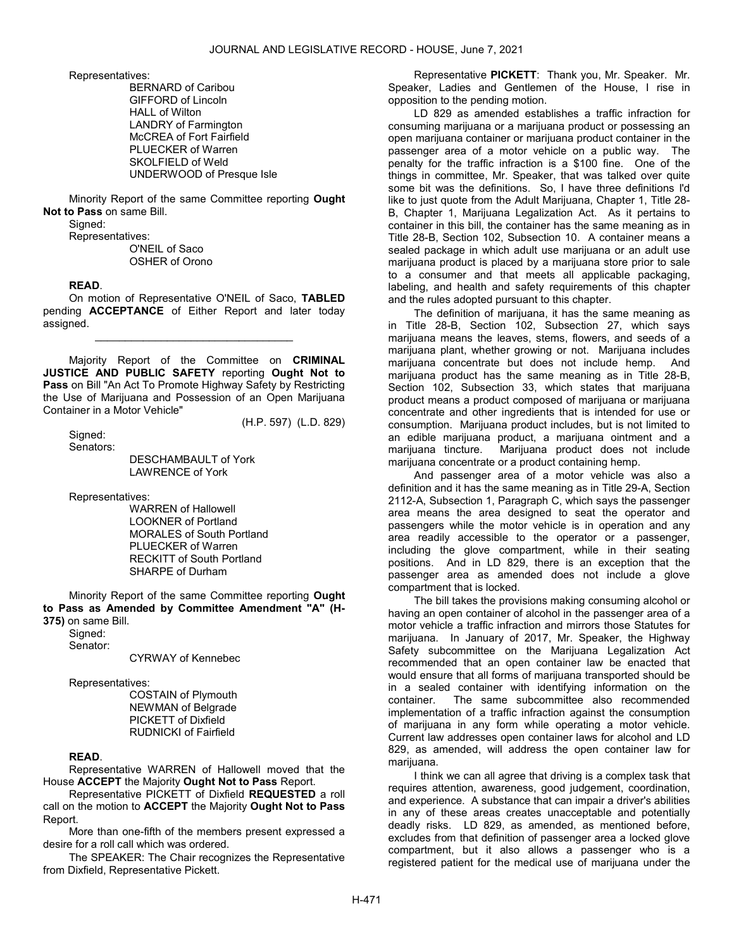Representatives:

 BERNARD of Caribou GIFFORD of Lincoln HALL of Wilton LANDRY of Farmington McCREA of Fort Fairfield PLUECKER of Warren SKOLFIELD of Weld UNDERWOOD of Presque Isle

 Minority Report of the same Committee reporting Ought Not to Pass on same Bill.

Signed:

Representatives:

 O'NEIL of Saco OSHER of Orono

# READ.

 On motion of Representative O'NEIL of Saco, TABLED pending **ACCEPTANCE** of Either Report and later today assigned.

\_\_\_\_\_\_\_\_\_\_\_\_\_\_\_\_\_\_\_\_\_\_\_\_\_\_\_\_\_\_\_\_\_

 Majority Report of the Committee on CRIMINAL JUSTICE AND PUBLIC SAFETY reporting Ought Not to Pass on Bill "An Act To Promote Highway Safety by Restricting the Use of Marijuana and Possession of an Open Marijuana Container in a Motor Vehicle"

(H.P. 597) (L.D. 829)

 Signed: Senators:

DESCHAMBAULT of York LAWRENCE of York

Representatives:

 WARREN of Hallowell LOOKNER of Portland MORALES of South Portland PLUECKER of Warren RECKITT of South Portland SHARPE of Durham

 Minority Report of the same Committee reporting Ought to Pass as Amended by Committee Amendment "A" (H-375) on same Bill.

Signed:

Senator:

CYRWAY of Kennebec

Representatives:

 COSTAIN of Plymouth NEWMAN of Belgrade PICKETT of Dixfield RUDNICKI of Fairfield

# READ.

 Representative WARREN of Hallowell moved that the House ACCEPT the Majority Ought Not to Pass Report.

 Representative PICKETT of Dixfield REQUESTED a roll call on the motion to ACCEPT the Majority Ought Not to Pass Report.

 More than one-fifth of the members present expressed a desire for a roll call which was ordered.

 The SPEAKER: The Chair recognizes the Representative from Dixfield, Representative Pickett.

 Representative PICKETT: Thank you, Mr. Speaker. Mr. Speaker, Ladies and Gentlemen of the House, I rise in opposition to the pending motion.

 LD 829 as amended establishes a traffic infraction for consuming marijuana or a marijuana product or possessing an open marijuana container or marijuana product container in the passenger area of a motor vehicle on a public way. The penalty for the traffic infraction is a \$100 fine. One of the things in committee, Mr. Speaker, that was talked over quite some bit was the definitions. So, I have three definitions I'd like to just quote from the Adult Marijuana, Chapter 1, Title 28- B, Chapter 1, Marijuana Legalization Act. As it pertains to container in this bill, the container has the same meaning as in Title 28-B, Section 102, Subsection 10. A container means a sealed package in which adult use marijuana or an adult use marijuana product is placed by a marijuana store prior to sale to a consumer and that meets all applicable packaging, labeling, and health and safety requirements of this chapter and the rules adopted pursuant to this chapter.

 The definition of marijuana, it has the same meaning as in Title 28-B, Section 102, Subsection 27, which says marijuana means the leaves, stems, flowers, and seeds of a marijuana plant, whether growing or not. Marijuana includes marijuana concentrate but does not include hemp. And marijuana product has the same meaning as in Title 28-B, Section 102, Subsection 33, which states that marijuana product means a product composed of marijuana or marijuana concentrate and other ingredients that is intended for use or consumption. Marijuana product includes, but is not limited to an edible marijuana product, a marijuana ointment and a marijuana tincture. Marijuana product does not include marijuana concentrate or a product containing hemp.

 And passenger area of a motor vehicle was also a definition and it has the same meaning as in Title 29-A, Section 2112-A, Subsection 1, Paragraph C, which says the passenger area means the area designed to seat the operator and passengers while the motor vehicle is in operation and any area readily accessible to the operator or a passenger, including the glove compartment, while in their seating positions. And in LD 829, there is an exception that the passenger area as amended does not include a glove compartment that is locked.

 The bill takes the provisions making consuming alcohol or having an open container of alcohol in the passenger area of a motor vehicle a traffic infraction and mirrors those Statutes for marijuana. In January of 2017, Mr. Speaker, the Highway Safety subcommittee on the Marijuana Legalization Act recommended that an open container law be enacted that would ensure that all forms of marijuana transported should be in a sealed container with identifying information on the container. The same subcommittee also recommended implementation of a traffic infraction against the consumption of marijuana in any form while operating a motor vehicle. Current law addresses open container laws for alcohol and LD 829, as amended, will address the open container law for marijuana.

 I think we can all agree that driving is a complex task that requires attention, awareness, good judgement, coordination, and experience. A substance that can impair a driver's abilities in any of these areas creates unacceptable and potentially deadly risks. LD 829, as amended, as mentioned before, excludes from that definition of passenger area a locked glove compartment, but it also allows a passenger who is a registered patient for the medical use of marijuana under the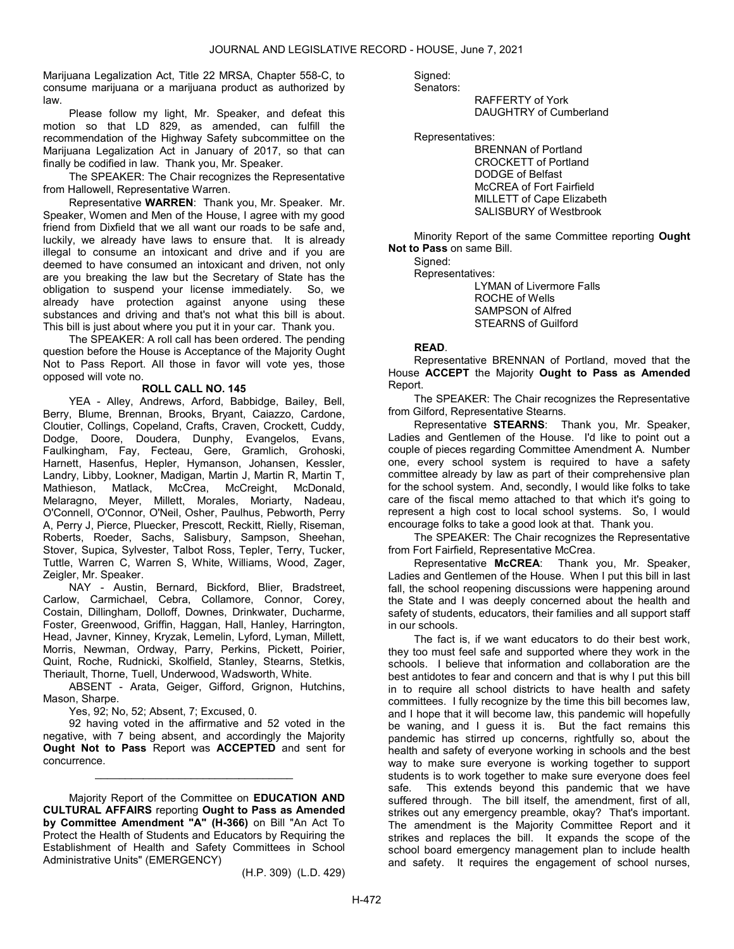Marijuana Legalization Act, Title 22 MRSA, Chapter 558-C, to consume marijuana or a marijuana product as authorized by law.

 Please follow my light, Mr. Speaker, and defeat this motion so that LD 829, as amended, can fulfill the recommendation of the Highway Safety subcommittee on the Marijuana Legalization Act in January of 2017, so that can finally be codified in law. Thank you, Mr. Speaker.

 The SPEAKER: The Chair recognizes the Representative from Hallowell, Representative Warren.

 Representative WARREN: Thank you, Mr. Speaker. Mr. Speaker, Women and Men of the House, I agree with my good friend from Dixfield that we all want our roads to be safe and, luckily, we already have laws to ensure that. It is already illegal to consume an intoxicant and drive and if you are deemed to have consumed an intoxicant and driven, not only are you breaking the law but the Secretary of State has the obligation to suspend your license immediately. So, we already have protection against anyone using these substances and driving and that's not what this bill is about. This bill is just about where you put it in your car. Thank you.

 The SPEAKER: A roll call has been ordered. The pending question before the House is Acceptance of the Majority Ought Not to Pass Report. All those in favor will vote yes, those opposed will vote no.

# ROLL CALL NO. 145

 YEA - Alley, Andrews, Arford, Babbidge, Bailey, Bell, Berry, Blume, Brennan, Brooks, Bryant, Caiazzo, Cardone, Cloutier, Collings, Copeland, Crafts, Craven, Crockett, Cuddy, Dodge, Doore, Doudera, Dunphy, Evangelos, Evans, Faulkingham, Fay, Fecteau, Gere, Gramlich, Grohoski, Harnett, Hasenfus, Hepler, Hymanson, Johansen, Kessler, Landry, Libby, Lookner, Madigan, Martin J, Martin R, Martin T, Mathieson, Matlack, McCrea, McCreight, McDonald, Melaragno, Meyer, Millett, Morales, Moriarty, Nadeau, O'Connell, O'Connor, O'Neil, Osher, Paulhus, Pebworth, Perry A, Perry J, Pierce, Pluecker, Prescott, Reckitt, Rielly, Riseman, Roberts, Roeder, Sachs, Salisbury, Sampson, Sheehan, Stover, Supica, Sylvester, Talbot Ross, Tepler, Terry, Tucker, Tuttle, Warren C, Warren S, White, Williams, Wood, Zager, Zeigler, Mr. Speaker.

 NAY - Austin, Bernard, Bickford, Blier, Bradstreet, Carlow, Carmichael, Cebra, Collamore, Connor, Corey, Costain, Dillingham, Dolloff, Downes, Drinkwater, Ducharme, Foster, Greenwood, Griffin, Haggan, Hall, Hanley, Harrington, Head, Javner, Kinney, Kryzak, Lemelin, Lyford, Lyman, Millett, Morris, Newman, Ordway, Parry, Perkins, Pickett, Poirier, Quint, Roche, Rudnicki, Skolfield, Stanley, Stearns, Stetkis, Theriault, Thorne, Tuell, Underwood, Wadsworth, White.

 ABSENT - Arata, Geiger, Gifford, Grignon, Hutchins, Mason, Sharpe.

Yes, 92; No, 52; Absent, 7; Excused, 0.

 92 having voted in the affirmative and 52 voted in the negative, with 7 being absent, and accordingly the Majority Ought Not to Pass Report was ACCEPTED and sent for concurrence.

\_\_\_\_\_\_\_\_\_\_\_\_\_\_\_\_\_\_\_\_\_\_\_\_\_\_\_\_\_\_\_\_\_

 Majority Report of the Committee on EDUCATION AND CULTURAL AFFAIRS reporting Ought to Pass as Amended by Committee Amendment "A" (H-366) on Bill "An Act To Protect the Health of Students and Educators by Requiring the Establishment of Health and Safety Committees in School Administrative Units" (EMERGENCY)

(H.P. 309) (L.D. 429)

Signed:

Senators:

 RAFFERTY of York DAUGHTRY of Cumberland

Representatives:

 BRENNAN of Portland CROCKETT of Portland DODGE of Belfast McCREA of Fort Fairfield MILLETT of Cape Elizabeth SALISBURY of Westbrook

 Minority Report of the same Committee reporting Ought Not to Pass on same Bill.

Signed:

Representatives:

 LYMAN of Livermore Falls ROCHE of Wells SAMPSON of Alfred STEARNS of Guilford

# READ.

 Representative BRENNAN of Portland, moved that the House ACCEPT the Majority Ought to Pass as Amended Report.

 The SPEAKER: The Chair recognizes the Representative from Gilford, Representative Stearns.

 Representative STEARNS: Thank you, Mr. Speaker, Ladies and Gentlemen of the House. I'd like to point out a couple of pieces regarding Committee Amendment A. Number one, every school system is required to have a safety committee already by law as part of their comprehensive plan for the school system. And, secondly, I would like folks to take care of the fiscal memo attached to that which it's going to represent a high cost to local school systems. So, I would encourage folks to take a good look at that. Thank you.

 The SPEAKER: The Chair recognizes the Representative from Fort Fairfield, Representative McCrea.

 Representative McCREA: Thank you, Mr. Speaker, Ladies and Gentlemen of the House. When I put this bill in last fall, the school reopening discussions were happening around the State and I was deeply concerned about the health and safety of students, educators, their families and all support staff in our schools.

 The fact is, if we want educators to do their best work, they too must feel safe and supported where they work in the schools. I believe that information and collaboration are the best antidotes to fear and concern and that is why I put this bill in to require all school districts to have health and safety committees. I fully recognize by the time this bill becomes law, and I hope that it will become law, this pandemic will hopefully be waning, and I guess it is. But the fact remains this pandemic has stirred up concerns, rightfully so, about the health and safety of everyone working in schools and the best way to make sure everyone is working together to support students is to work together to make sure everyone does feel safe. This extends beyond this pandemic that we have suffered through. The bill itself, the amendment, first of all. strikes out any emergency preamble, okay? That's important. The amendment is the Majority Committee Report and it strikes and replaces the bill. It expands the scope of the school board emergency management plan to include health and safety. It requires the engagement of school nurses,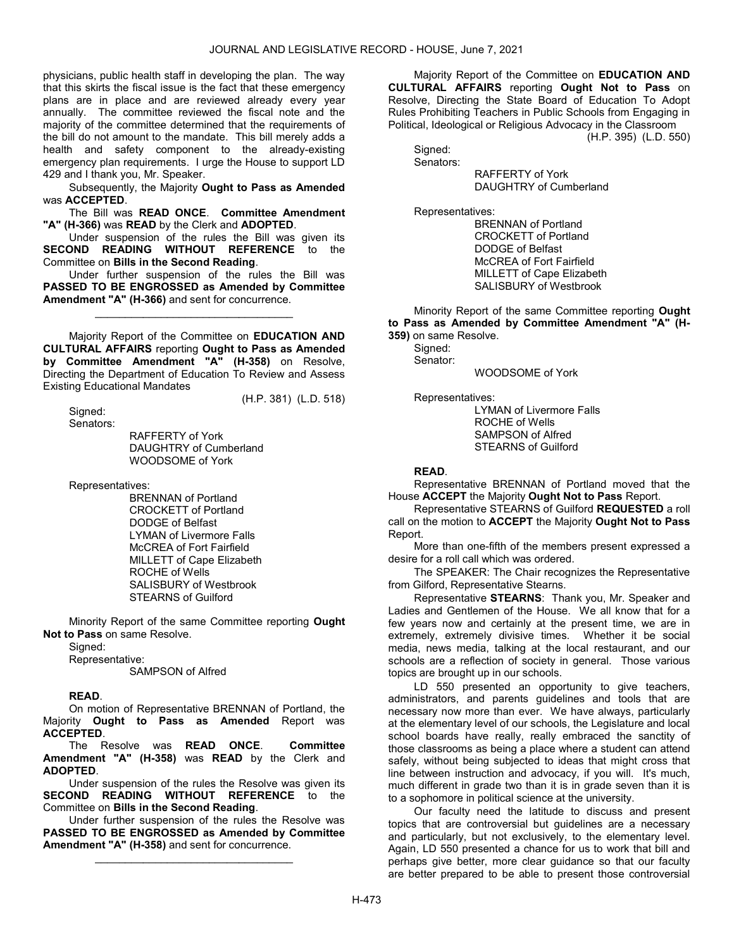physicians, public health staff in developing the plan. The way that this skirts the fiscal issue is the fact that these emergency plans are in place and are reviewed already every year annually. The committee reviewed the fiscal note and the majority of the committee determined that the requirements of the bill do not amount to the mandate. This bill merely adds a health and safety component to the already-existing emergency plan requirements. I urge the House to support LD 429 and I thank you, Mr. Speaker.

 Subsequently, the Majority Ought to Pass as Amended was ACCEPTED.

 The Bill was READ ONCE. Committee Amendment "A" (H-366) was READ by the Clerk and ADOPTED.

 Under suspension of the rules the Bill was given its SECOND READING WITHOUT REFERENCE to the Committee on Bills in the Second Reading.

 Under further suspension of the rules the Bill was PASSED TO BE ENGROSSED as Amended by Committee Amendment "A" (H-366) and sent for concurrence.

\_\_\_\_\_\_\_\_\_\_\_\_\_\_\_\_\_\_\_\_\_\_\_\_\_\_\_\_\_\_\_\_\_

 Majority Report of the Committee on EDUCATION AND CULTURAL AFFAIRS reporting Ought to Pass as Amended by Committee Amendment "A" (H-358) on Resolve, Directing the Department of Education To Review and Assess Existing Educational Mandates

(H.P. 381) (L.D. 518)

Sianed: Senators:

 RAFFERTY of York DAUGHTRY of Cumberland WOODSOME of York

Representatives:

 BRENNAN of Portland CROCKETT of Portland DODGE of Belfast LYMAN of Livermore Falls McCREA of Fort Fairfield MILLETT of Cape Elizabeth ROCHE of Wells SALISBURY of Westbrook STEARNS of Guilford

 Minority Report of the same Committee reporting Ought Not to Pass on same Resolve.

Signed:

 Representative: SAMPSON of Alfred

READ.

 On motion of Representative BRENNAN of Portland, the Majority Ought to Pass as Amended Report was ACCEPTED.

 The Resolve was READ ONCE. Committee Amendment "A" (H-358) was READ by the Clerk and ADOPTED.

 Under suspension of the rules the Resolve was given its SECOND READING WITHOUT REFERENCE to the Committee on Bills in the Second Reading.

 Under further suspension of the rules the Resolve was PASSED TO BE ENGROSSED as Amended by Committee Amendment "A" (H-358) and sent for concurrence.

\_\_\_\_\_\_\_\_\_\_\_\_\_\_\_\_\_\_\_\_\_\_\_\_\_\_\_\_\_\_\_\_\_

 Majority Report of the Committee on EDUCATION AND CULTURAL AFFAIRS reporting Ought Not to Pass on Resolve, Directing the State Board of Education To Adopt Rules Prohibiting Teachers in Public Schools from Engaging in Political, Ideological or Religious Advocacy in the Classroom

(H.P. 395) (L.D. 550)

 Signed: Senators:

 RAFFERTY of York DAUGHTRY of Cumberland

Representatives:

 BRENNAN of Portland CROCKETT of Portland DODGE of Belfast McCREA of Fort Fairfield MILLETT of Cape Elizabeth SALISBURY of Westbrook

 Minority Report of the same Committee reporting Ought to Pass as Amended by Committee Amendment "A" (H-359) on same Resolve.

Signed:

Senator:

WOODSOME of York

Representatives:

 LYMAN of Livermore Falls ROCHE of Wells SAMPSON of Alfred STEARNS of Guilford

# READ.

 Representative BRENNAN of Portland moved that the House ACCEPT the Majority Ought Not to Pass Report.

 Representative STEARNS of Guilford REQUESTED a roll call on the motion to ACCEPT the Majority Ought Not to Pass Report.

 More than one-fifth of the members present expressed a desire for a roll call which was ordered.

 The SPEAKER: The Chair recognizes the Representative from Gilford, Representative Stearns.

 Representative STEARNS: Thank you, Mr. Speaker and Ladies and Gentlemen of the House. We all know that for a few years now and certainly at the present time, we are in extremely, extremely divisive times. Whether it be social media, news media, talking at the local restaurant, and our schools are a reflection of society in general. Those various topics are brought up in our schools.

 LD 550 presented an opportunity to give teachers, administrators, and parents guidelines and tools that are necessary now more than ever. We have always, particularly at the elementary level of our schools, the Legislature and local school boards have really, really embraced the sanctity of those classrooms as being a place where a student can attend safely, without being subjected to ideas that might cross that line between instruction and advocacy, if you will. It's much, much different in grade two than it is in grade seven than it is to a sophomore in political science at the university.

 Our faculty need the latitude to discuss and present topics that are controversial but guidelines are a necessary and particularly, but not exclusively, to the elementary level. Again, LD 550 presented a chance for us to work that bill and perhaps give better, more clear guidance so that our faculty are better prepared to be able to present those controversial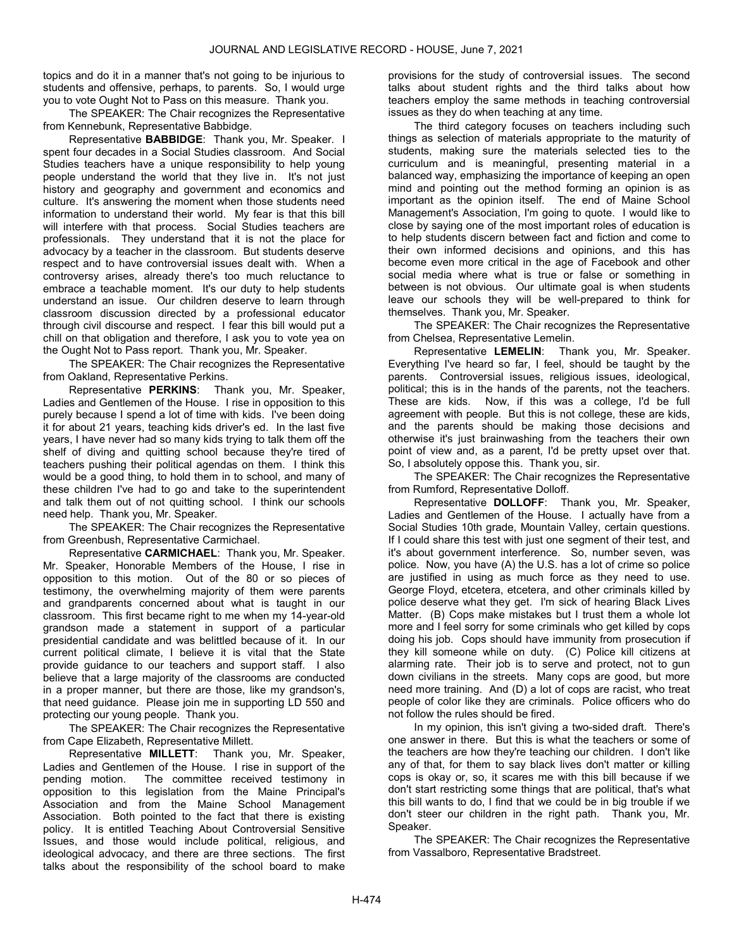topics and do it in a manner that's not going to be injurious to students and offensive, perhaps, to parents. So, I would urge you to vote Ought Not to Pass on this measure. Thank you.

 The SPEAKER: The Chair recognizes the Representative from Kennebunk, Representative Babbidge.

 Representative BABBIDGE: Thank you, Mr. Speaker. I spent four decades in a Social Studies classroom. And Social Studies teachers have a unique responsibility to help young people understand the world that they live in. It's not just history and geography and government and economics and culture. It's answering the moment when those students need information to understand their world. My fear is that this bill will interfere with that process. Social Studies teachers are professionals. They understand that it is not the place for advocacy by a teacher in the classroom. But students deserve respect and to have controversial issues dealt with. When a controversy arises, already there's too much reluctance to embrace a teachable moment. It's our duty to help students understand an issue. Our children deserve to learn through classroom discussion directed by a professional educator through civil discourse and respect. I fear this bill would put a chill on that obligation and therefore, I ask you to vote yea on the Ought Not to Pass report. Thank you, Mr. Speaker.

 The SPEAKER: The Chair recognizes the Representative from Oakland, Representative Perkins.

 Representative PERKINS: Thank you, Mr. Speaker, Ladies and Gentlemen of the House. I rise in opposition to this purely because I spend a lot of time with kids. I've been doing it for about 21 years, teaching kids driver's ed. In the last five years, I have never had so many kids trying to talk them off the shelf of diving and quitting school because they're tired of teachers pushing their political agendas on them. I think this would be a good thing, to hold them in to school, and many of these children I've had to go and take to the superintendent and talk them out of not quitting school. I think our schools need help. Thank you, Mr. Speaker.

 The SPEAKER: The Chair recognizes the Representative from Greenbush, Representative Carmichael.

 Representative CARMICHAEL: Thank you, Mr. Speaker. Mr. Speaker, Honorable Members of the House, I rise in opposition to this motion. Out of the 80 or so pieces of testimony, the overwhelming majority of them were parents and grandparents concerned about what is taught in our classroom. This first became right to me when my 14-year-old grandson made a statement in support of a particular presidential candidate and was belittled because of it. In our current political climate, I believe it is vital that the State provide guidance to our teachers and support staff. I also believe that a large majority of the classrooms are conducted in a proper manner, but there are those, like my grandson's, that need guidance. Please join me in supporting LD 550 and protecting our young people. Thank you.

 The SPEAKER: The Chair recognizes the Representative from Cape Elizabeth, Representative Millett.

 Representative MILLETT: Thank you, Mr. Speaker, Ladies and Gentlemen of the House. I rise in support of the pending motion. The committee received testimony in opposition to this legislation from the Maine Principal's Association and from the Maine School Management Association. Both pointed to the fact that there is existing policy. It is entitled Teaching About Controversial Sensitive Issues, and those would include political, religious, and ideological advocacy, and there are three sections. The first talks about the responsibility of the school board to make

provisions for the study of controversial issues. The second talks about student rights and the third talks about how teachers employ the same methods in teaching controversial issues as they do when teaching at any time.

 The third category focuses on teachers including such things as selection of materials appropriate to the maturity of students, making sure the materials selected ties to the curriculum and is meaningful, presenting material in a balanced way, emphasizing the importance of keeping an open mind and pointing out the method forming an opinion is as important as the opinion itself. The end of Maine School Management's Association, I'm going to quote. I would like to close by saying one of the most important roles of education is to help students discern between fact and fiction and come to their own informed decisions and opinions, and this has become even more critical in the age of Facebook and other social media where what is true or false or something in between is not obvious. Our ultimate goal is when students leave our schools they will be well-prepared to think for themselves. Thank you, Mr. Speaker.

 The SPEAKER: The Chair recognizes the Representative from Chelsea, Representative Lemelin.

 Representative LEMELIN: Thank you, Mr. Speaker. Everything I've heard so far, I feel, should be taught by the parents. Controversial issues, religious issues, ideological, political; this is in the hands of the parents, not the teachers. These are kids. Now, if this was a college, I'd be full agreement with people. But this is not college, these are kids, and the parents should be making those decisions and otherwise it's just brainwashing from the teachers their own point of view and, as a parent, I'd be pretty upset over that. So, I absolutely oppose this. Thank you, sir.

 The SPEAKER: The Chair recognizes the Representative from Rumford, Representative Dolloff.

 Representative DOLLOFF: Thank you, Mr. Speaker, Ladies and Gentlemen of the House. I actually have from a Social Studies 10th grade, Mountain Valley, certain questions. If I could share this test with just one segment of their test, and it's about government interference. So, number seven, was police. Now, you have (A) the U.S. has a lot of crime so police are justified in using as much force as they need to use. George Floyd, etcetera, etcetera, and other criminals killed by police deserve what they get. I'm sick of hearing Black Lives Matter. (B) Cops make mistakes but I trust them a whole lot more and I feel sorry for some criminals who get killed by cops doing his job. Cops should have immunity from prosecution if they kill someone while on duty. (C) Police kill citizens at alarming rate. Their job is to serve and protect, not to gun down civilians in the streets. Many cops are good, but more need more training. And (D) a lot of cops are racist, who treat people of color like they are criminals. Police officers who do not follow the rules should be fired.

 In my opinion, this isn't giving a two-sided draft. There's one answer in there. But this is what the teachers or some of the teachers are how they're teaching our children. I don't like any of that, for them to say black lives don't matter or killing cops is okay or, so, it scares me with this bill because if we don't start restricting some things that are political, that's what this bill wants to do, I find that we could be in big trouble if we don't steer our children in the right path. Thank you, Mr. Speaker.

 The SPEAKER: The Chair recognizes the Representative from Vassalboro, Representative Bradstreet.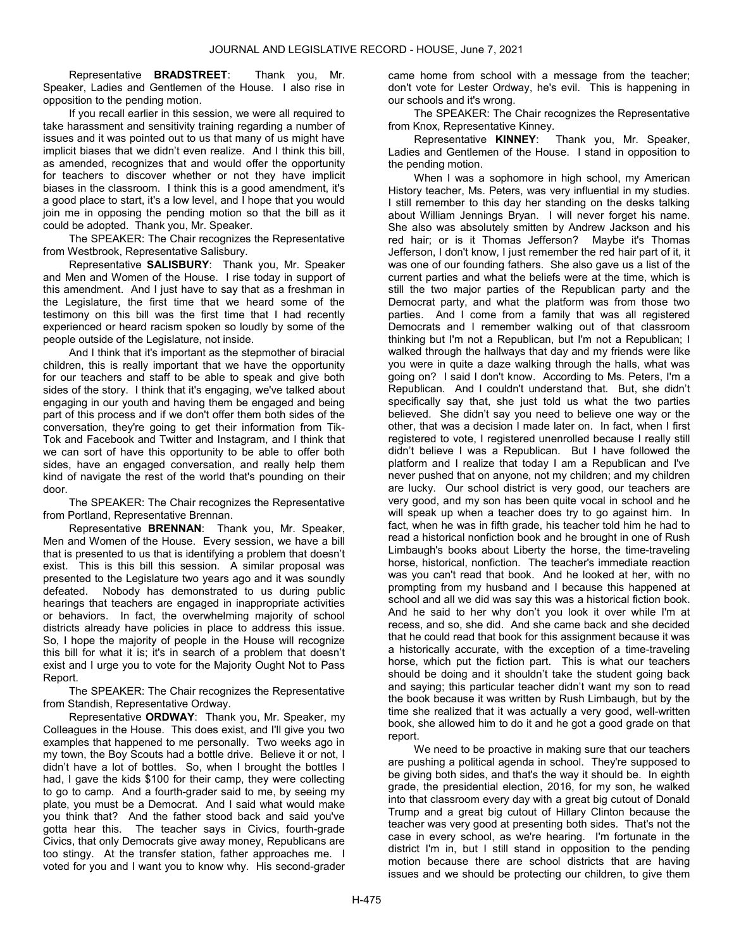Representative BRADSTREET: Thank you, Mr. Speaker, Ladies and Gentlemen of the House. I also rise in opposition to the pending motion.

 If you recall earlier in this session, we were all required to take harassment and sensitivity training regarding a number of issues and it was pointed out to us that many of us might have implicit biases that we didn't even realize. And I think this bill, as amended, recognizes that and would offer the opportunity for teachers to discover whether or not they have implicit biases in the classroom. I think this is a good amendment, it's a good place to start, it's a low level, and I hope that you would join me in opposing the pending motion so that the bill as it could be adopted. Thank you, Mr. Speaker.

 The SPEAKER: The Chair recognizes the Representative from Westbrook, Representative Salisbury.

 Representative SALISBURY: Thank you, Mr. Speaker and Men and Women of the House. I rise today in support of this amendment. And I just have to say that as a freshman in the Legislature, the first time that we heard some of the testimony on this bill was the first time that I had recently experienced or heard racism spoken so loudly by some of the people outside of the Legislature, not inside.

 And I think that it's important as the stepmother of biracial children, this is really important that we have the opportunity for our teachers and staff to be able to speak and give both sides of the story. I think that it's engaging, we've talked about engaging in our youth and having them be engaged and being part of this process and if we don't offer them both sides of the conversation, they're going to get their information from Tik-Tok and Facebook and Twitter and Instagram, and I think that we can sort of have this opportunity to be able to offer both sides, have an engaged conversation, and really help them kind of navigate the rest of the world that's pounding on their door.

 The SPEAKER: The Chair recognizes the Representative from Portland, Representative Brennan.

 Representative BRENNAN: Thank you, Mr. Speaker, Men and Women of the House. Every session, we have a bill that is presented to us that is identifying a problem that doesn't exist. This is this bill this session. A similar proposal was presented to the Legislature two years ago and it was soundly defeated. Nobody has demonstrated to us during public hearings that teachers are engaged in inappropriate activities or behaviors. In fact, the overwhelming majority of school districts already have policies in place to address this issue. So, I hope the majority of people in the House will recognize this bill for what it is; it's in search of a problem that doesn't exist and I urge you to vote for the Majority Ought Not to Pass Report.

 The SPEAKER: The Chair recognizes the Representative from Standish, Representative Ordway.

 Representative ORDWAY: Thank you, Mr. Speaker, my Colleagues in the House. This does exist, and I'll give you two examples that happened to me personally. Two weeks ago in my town, the Boy Scouts had a bottle drive. Believe it or not, I didn't have a lot of bottles. So, when I brought the bottles I had, I gave the kids \$100 for their camp, they were collecting to go to camp. And a fourth-grader said to me, by seeing my plate, you must be a Democrat. And I said what would make you think that? And the father stood back and said you've gotta hear this. The teacher says in Civics, fourth-grade Civics, that only Democrats give away money, Republicans are too stingy. At the transfer station, father approaches me. I voted for you and I want you to know why. His second-grader

came home from school with a message from the teacher; don't vote for Lester Ordway, he's evil. This is happening in our schools and it's wrong.

 The SPEAKER: The Chair recognizes the Representative from Knox, Representative Kinney.

 Representative KINNEY: Thank you, Mr. Speaker, Ladies and Gentlemen of the House. I stand in opposition to the pending motion.

 When I was a sophomore in high school, my American History teacher, Ms. Peters, was very influential in my studies. I still remember to this day her standing on the desks talking about William Jennings Bryan. I will never forget his name. She also was absolutely smitten by Andrew Jackson and his red hair; or is it Thomas Jefferson? Maybe it's Thomas Jefferson, I don't know, I just remember the red hair part of it, it was one of our founding fathers. She also gave us a list of the current parties and what the beliefs were at the time, which is still the two major parties of the Republican party and the Democrat party, and what the platform was from those two parties. And I come from a family that was all registered Democrats and I remember walking out of that classroom thinking but I'm not a Republican, but I'm not a Republican; I walked through the hallways that day and my friends were like you were in quite a daze walking through the halls, what was going on? I said I don't know. According to Ms. Peters, I'm a Republican. And I couldn't understand that. But, she didn't specifically say that, she just told us what the two parties believed. She didn't say you need to believe one way or the other, that was a decision I made later on. In fact, when I first registered to vote, I registered unenrolled because I really still didn't believe I was a Republican. But I have followed the platform and I realize that today I am a Republican and I've never pushed that on anyone, not my children; and my children are lucky. Our school district is very good, our teachers are very good, and my son has been quite vocal in school and he will speak up when a teacher does try to go against him. In fact, when he was in fifth grade, his teacher told him he had to read a historical nonfiction book and he brought in one of Rush Limbaugh's books about Liberty the horse, the time-traveling horse, historical, nonfiction. The teacher's immediate reaction was you can't read that book. And he looked at her, with no prompting from my husband and I because this happened at school and all we did was say this was a historical fiction book. And he said to her why don't you look it over while I'm at recess, and so, she did. And she came back and she decided that he could read that book for this assignment because it was a historically accurate, with the exception of a time-traveling horse, which put the fiction part. This is what our teachers should be doing and it shouldn't take the student going back and saying; this particular teacher didn't want my son to read the book because it was written by Rush Limbaugh, but by the time she realized that it was actually a very good, well-written book, she allowed him to do it and he got a good grade on that report.

We need to be proactive in making sure that our teachers are pushing a political agenda in school. They're supposed to be giving both sides, and that's the way it should be. In eighth grade, the presidential election, 2016, for my son, he walked into that classroom every day with a great big cutout of Donald Trump and a great big cutout of Hillary Clinton because the teacher was very good at presenting both sides. That's not the case in every school, as we're hearing. I'm fortunate in the district I'm in, but I still stand in opposition to the pending motion because there are school districts that are having issues and we should be protecting our children, to give them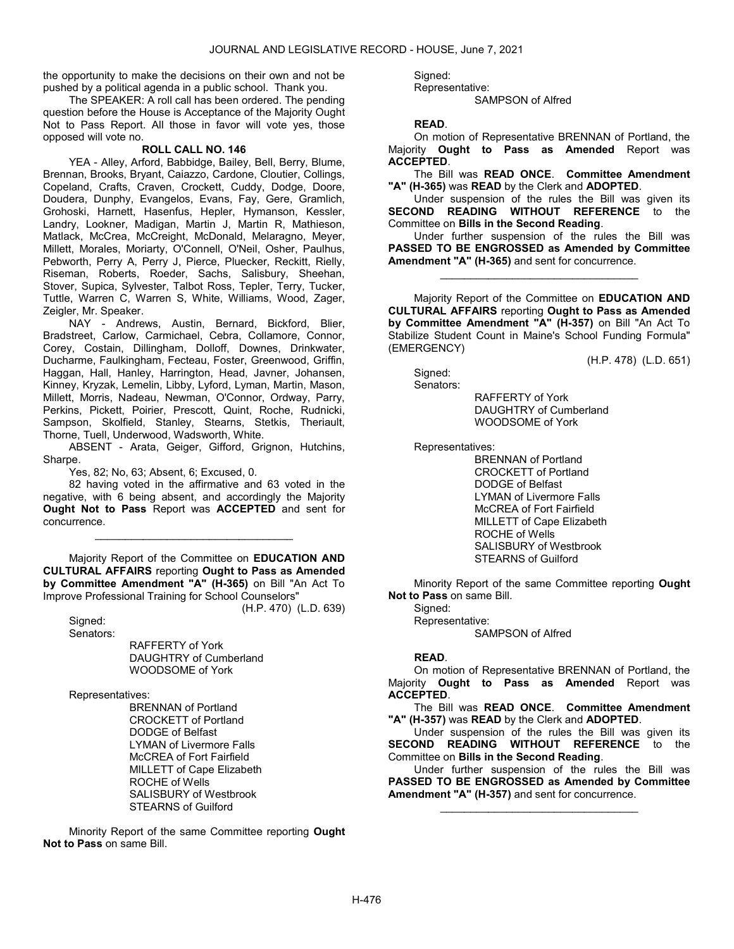the opportunity to make the decisions on their own and not be pushed by a political agenda in a public school. Thank you.

 The SPEAKER: A roll call has been ordered. The pending question before the House is Acceptance of the Majority Ought Not to Pass Report. All those in favor will vote yes, those opposed will vote no.

# ROLL CALL NO. 146

 YEA - Alley, Arford, Babbidge, Bailey, Bell, Berry, Blume, Brennan, Brooks, Bryant, Caiazzo, Cardone, Cloutier, Collings, Copeland, Crafts, Craven, Crockett, Cuddy, Dodge, Doore, Doudera, Dunphy, Evangelos, Evans, Fay, Gere, Gramlich, Grohoski, Harnett, Hasenfus, Hepler, Hymanson, Kessler, Landry, Lookner, Madigan, Martin J, Martin R, Mathieson, Matlack, McCrea, McCreight, McDonald, Melaragno, Meyer, Millett, Morales, Moriarty, O'Connell, O'Neil, Osher, Paulhus, Pebworth, Perry A, Perry J, Pierce, Pluecker, Reckitt, Rielly, Riseman, Roberts, Roeder, Sachs, Salisbury, Sheehan, Stover, Supica, Sylvester, Talbot Ross, Tepler, Terry, Tucker, Tuttle, Warren C, Warren S, White, Williams, Wood, Zager, Zeigler, Mr. Speaker.

 NAY - Andrews, Austin, Bernard, Bickford, Blier, Bradstreet, Carlow, Carmichael, Cebra, Collamore, Connor, Corey, Costain, Dillingham, Dolloff, Downes, Drinkwater, Ducharme, Faulkingham, Fecteau, Foster, Greenwood, Griffin, Haggan, Hall, Hanley, Harrington, Head, Javner, Johansen, Kinney, Kryzak, Lemelin, Libby, Lyford, Lyman, Martin, Mason, Millett, Morris, Nadeau, Newman, O'Connor, Ordway, Parry, Perkins, Pickett, Poirier, Prescott, Quint, Roche, Rudnicki, Sampson, Skolfield, Stanley, Stearns, Stetkis, Theriault, Thorne, Tuell, Underwood, Wadsworth, White.

 ABSENT - Arata, Geiger, Gifford, Grignon, Hutchins, Sharpe.

Yes, 82; No, 63; Absent, 6; Excused, 0.

 82 having voted in the affirmative and 63 voted in the negative, with 6 being absent, and accordingly the Majority Ought Not to Pass Report was ACCEPTED and sent for concurrence.

\_\_\_\_\_\_\_\_\_\_\_\_\_\_\_\_\_\_\_\_\_\_\_\_\_\_\_\_\_\_\_\_\_

 Majority Report of the Committee on EDUCATION AND CULTURAL AFFAIRS reporting Ought to Pass as Amended by Committee Amendment "A" (H-365) on Bill "An Act To Improve Professional Training for School Counselors" (H.P. 470) (L.D. 639)

Signed: Senators:

 RAFFERTY of York DAUGHTRY of Cumberland WOODSOME of York

Representatives:

 BRENNAN of Portland CROCKETT of Portland DODGE of Belfast LYMAN of Livermore Falls McCREA of Fort Fairfield MILLETT of Cape Elizabeth ROCHE of Wells SALISBURY of Westbrook STEARNS of Guilford

 Minority Report of the same Committee reporting Ought Not to Pass on same Bill.

Signed:

 Representative: SAMPSON of Alfred

READ.

 On motion of Representative BRENNAN of Portland, the Majority Ought to Pass as Amended Report was ACCEPTED.

 The Bill was READ ONCE. Committee Amendment "A" (H-365) was READ by the Clerk and ADOPTED.

 Under suspension of the rules the Bill was given its SECOND READING WITHOUT REFERENCE to the Committee on Bills in the Second Reading.

 Under further suspension of the rules the Bill was PASSED TO BE ENGROSSED as Amended by Committee Amendment "A" (H-365) and sent for concurrence.

\_\_\_\_\_\_\_\_\_\_\_\_\_\_\_\_\_\_\_\_\_\_\_\_\_\_\_\_\_\_\_\_\_

 Majority Report of the Committee on EDUCATION AND CULTURAL AFFAIRS reporting Ought to Pass as Amended by Committee Amendment "A" (H-357) on Bill "An Act To Stabilize Student Count in Maine's School Funding Formula" (EMERGENCY)

(H.P. 478) (L.D. 651)

 Signed: Senators:

 RAFFERTY of York DAUGHTRY of Cumberland WOODSOME of York

Representatives:

 BRENNAN of Portland CROCKETT of Portland DODGE of Belfast LYMAN of Livermore Falls McCREA of Fort Fairfield MILLETT of Cape Elizabeth ROCHE of Wells SALISBURY of Westbrook STEARNS of Guilford

 Minority Report of the same Committee reporting Ought Not to Pass on same Bill.

Signed: Representative: SAMPSON of Alfred

# READ.

 On motion of Representative BRENNAN of Portland, the Majority Ought to Pass as Amended Report was ACCEPTED.

 The Bill was READ ONCE. Committee Amendment "A" (H-357) was READ by the Clerk and ADOPTED.

 Under suspension of the rules the Bill was given its SECOND READING WITHOUT REFERENCE to the Committee on Bills in the Second Reading.

 Under further suspension of the rules the Bill was PASSED TO BE ENGROSSED as Amended by Committee Amendment "A" (H-357) and sent for concurrence.

\_\_\_\_\_\_\_\_\_\_\_\_\_\_\_\_\_\_\_\_\_\_\_\_\_\_\_\_\_\_\_\_\_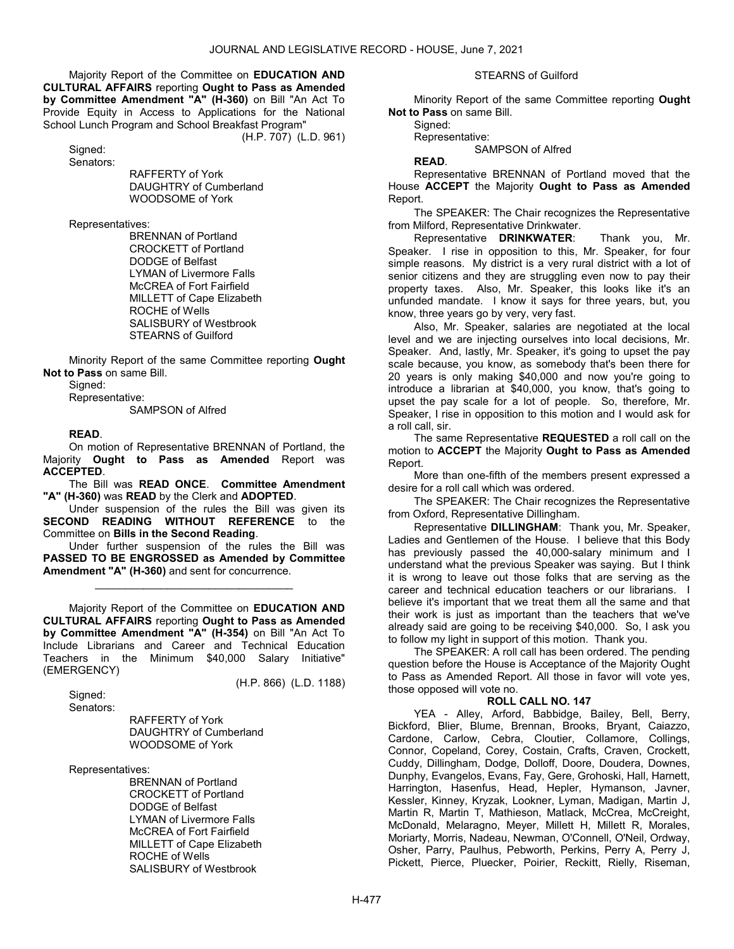Majority Report of the Committee on EDUCATION AND CULTURAL AFFAIRS reporting Ought to Pass as Amended by Committee Amendment "A" (H-360) on Bill "An Act To Provide Equity in Access to Applications for the National School Lunch Program and School Breakfast Program"

(H.P. 707) (L.D. 961)

 Signed: Senators:

 RAFFERTY of York DAUGHTRY of Cumberland WOODSOME of York

Representatives:

 BRENNAN of Portland CROCKETT of Portland DODGE of Belfast LYMAN of Livermore Falls McCREA of Fort Fairfield MILLETT of Cape Elizabeth ROCHE of Wells SALISBURY of Westbrook STEARNS of Guilford

 Minority Report of the same Committee reporting Ought Not to Pass on same Bill.

Signed:

Representative:

SAMPSON of Alfred

#### READ.

 On motion of Representative BRENNAN of Portland, the Majority Ought to Pass as Amended Report was ACCEPTED.

 The Bill was READ ONCE. Committee Amendment "A" (H-360) was READ by the Clerk and ADOPTED.

 Under suspension of the rules the Bill was given its SECOND READING WITHOUT REFERENCE to the Committee on Bills in the Second Reading.

 Under further suspension of the rules the Bill was PASSED TO BE ENGROSSED as Amended by Committee Amendment "A" (H-360) and sent for concurrence.

\_\_\_\_\_\_\_\_\_\_\_\_\_\_\_\_\_\_\_\_\_\_\_\_\_\_\_\_\_\_\_\_\_

 Majority Report of the Committee on EDUCATION AND CULTURAL AFFAIRS reporting Ought to Pass as Amended by Committee Amendment "A" (H-354) on Bill "An Act To Include Librarians and Career and Technical Education Teachers in the Minimum \$40,000 Salary Initiative" (EMERGENCY)

(H.P. 866) (L.D. 1188)

 Signed: Senators:

 RAFFERTY of York DAUGHTRY of Cumberland WOODSOME of York

Representatives:

 BRENNAN of Portland CROCKETT of Portland DODGE of Belfast LYMAN of Livermore Falls McCREA of Fort Fairfield MILLETT of Cape Elizabeth ROCHE of Wells SALISBURY of Westbrook

#### STEARNS of Guilford

 Minority Report of the same Committee reporting Ought Not to Pass on same Bill.

Signed:

Representative:

SAMPSON of Alfred

READ.

 Representative BRENNAN of Portland moved that the House ACCEPT the Majority Ought to Pass as Amended Report.

 The SPEAKER: The Chair recognizes the Representative from Milford, Representative Drinkwater.

 Representative DRINKWATER: Thank you, Mr. Speaker. I rise in opposition to this, Mr. Speaker, for four simple reasons. My district is a very rural district with a lot of senior citizens and they are struggling even now to pay their property taxes. Also, Mr. Speaker, this looks like it's an unfunded mandate. I know it says for three years, but, you know, three years go by very, very fast.

 Also, Mr. Speaker, salaries are negotiated at the local level and we are injecting ourselves into local decisions, Mr. Speaker. And, lastly, Mr. Speaker, it's going to upset the pay scale because, you know, as somebody that's been there for 20 years is only making \$40,000 and now you're going to introduce a librarian at \$40,000, you know, that's going to upset the pay scale for a lot of people. So, therefore, Mr. Speaker, I rise in opposition to this motion and I would ask for a roll call, sir.

The same Representative REQUESTED a roll call on the motion to ACCEPT the Majority Ought to Pass as Amended Report.

 More than one-fifth of the members present expressed a desire for a roll call which was ordered.

 The SPEAKER: The Chair recognizes the Representative from Oxford, Representative Dillingham.

 Representative DILLINGHAM: Thank you, Mr. Speaker, Ladies and Gentlemen of the House. I believe that this Body has previously passed the 40,000-salary minimum and I understand what the previous Speaker was saying. But I think it is wrong to leave out those folks that are serving as the career and technical education teachers or our librarians. I believe it's important that we treat them all the same and that their work is just as important than the teachers that we've already said are going to be receiving \$40,000. So, I ask you to follow my light in support of this motion. Thank you.

 The SPEAKER: A roll call has been ordered. The pending question before the House is Acceptance of the Majority Ought to Pass as Amended Report. All those in favor will vote yes, those opposed will vote no.

# ROLL CALL NO. 147

 YEA - Alley, Arford, Babbidge, Bailey, Bell, Berry, Bickford, Blier, Blume, Brennan, Brooks, Bryant, Caiazzo, Cardone, Carlow, Cebra, Cloutier, Collamore, Collings, Connor, Copeland, Corey, Costain, Crafts, Craven, Crockett, Cuddy, Dillingham, Dodge, Dolloff, Doore, Doudera, Downes, Dunphy, Evangelos, Evans, Fay, Gere, Grohoski, Hall, Harnett, Harrington, Hasenfus, Head, Hepler, Hymanson, Javner, Kessler, Kinney, Kryzak, Lookner, Lyman, Madigan, Martin J, Martin R. Martin T. Mathieson, Matlack, McCrea, McCreight, McDonald, Melaragno, Meyer, Millett H, Millett R, Morales, Moriarty, Morris, Nadeau, Newman, O'Connell, O'Neil, Ordway, Osher, Parry, Paulhus, Pebworth, Perkins, Perry A, Perry J, Pickett, Pierce, Pluecker, Poirier, Reckitt, Rielly, Riseman,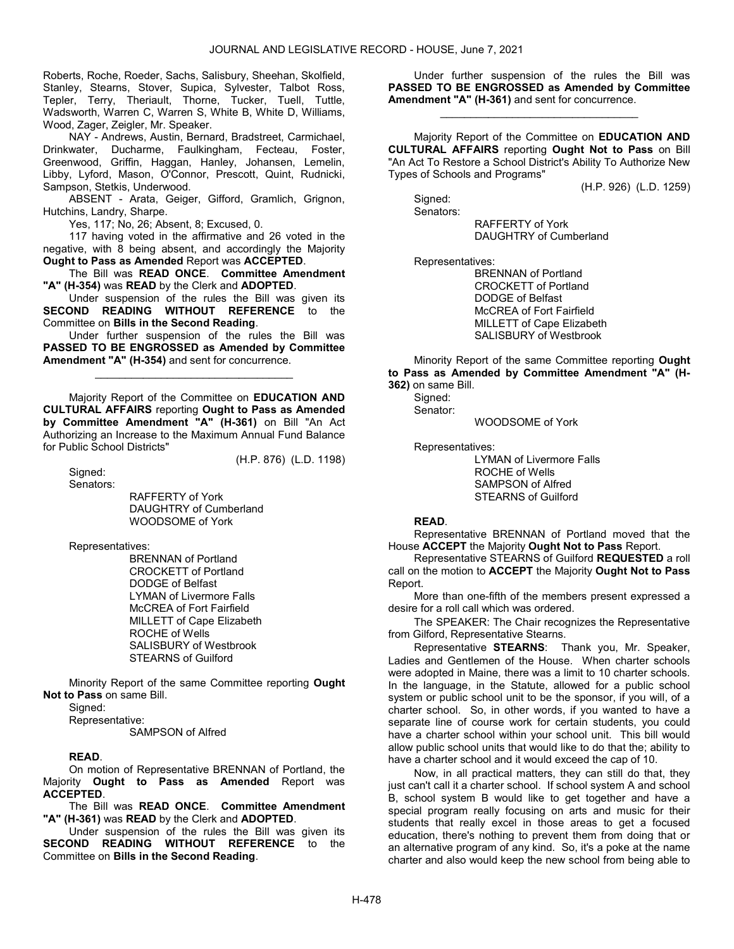Roberts, Roche, Roeder, Sachs, Salisbury, Sheehan, Skolfield, Stanley, Stearns, Stover, Supica, Sylvester, Talbot Ross, Tepler, Terry, Theriault, Thorne, Tucker, Tuell, Tuttle, Wadsworth, Warren C, Warren S, White B, White D, Williams, Wood, Zager, Zeigler, Mr. Speaker.

 NAY - Andrews, Austin, Bernard, Bradstreet, Carmichael, Drinkwater, Ducharme, Faulkingham, Fecteau, Foster, Greenwood, Griffin, Haggan, Hanley, Johansen, Lemelin, Libby, Lyford, Mason, O'Connor, Prescott, Quint, Rudnicki, Sampson, Stetkis, Underwood.

 ABSENT - Arata, Geiger, Gifford, Gramlich, Grignon, Hutchins, Landry, Sharpe.

Yes, 117; No, 26; Absent, 8; Excused, 0.

 117 having voted in the affirmative and 26 voted in the negative, with  $\bar{8}$  being absent, and accordingly the Majority Ought to Pass as Amended Report was ACCEPTED.

 The Bill was READ ONCE. Committee Amendment "A" (H-354) was READ by the Clerk and ADOPTED.

 Under suspension of the rules the Bill was given its SECOND READING WITHOUT REFERENCE to the Committee on Bills in the Second Reading.

 Under further suspension of the rules the Bill was PASSED TO BE ENGROSSED as Amended by Committee Amendment "A" (H-354) and sent for concurrence.

\_\_\_\_\_\_\_\_\_\_\_\_\_\_\_\_\_\_\_\_\_\_\_\_\_\_\_\_\_\_\_\_\_

 Majority Report of the Committee on EDUCATION AND CULTURAL AFFAIRS reporting Ought to Pass as Amended by Committee Amendment "A" (H-361) on Bill "An Act Authorizing an Increase to the Maximum Annual Fund Balance for Public School Districts"

 Signed: Senators: (H.P. 876) (L.D. 1198)

 RAFFERTY of York DAUGHTRY of Cumberland WOODSOME of York

Representatives:

 BRENNAN of Portland CROCKETT of Portland DODGE of Belfast LYMAN of Livermore Falls McCREA of Fort Fairfield MILLETT of Cape Elizabeth ROCHE of Wells SALISBURY of Westbrook STEARNS of Guilford

 Minority Report of the same Committee reporting Ought Not to Pass on same Bill.

Signed:

 Representative: SAMPSON of Alfred

# READ.

 On motion of Representative BRENNAN of Portland, the Majority Ought to Pass as Amended Report was ACCEPTED.

 The Bill was READ ONCE. Committee Amendment "A" (H-361) was READ by the Clerk and ADOPTED.

 Under suspension of the rules the Bill was given its SECOND READING WITHOUT REFERENCE to the Committee on Bills in the Second Reading.

 Under further suspension of the rules the Bill was PASSED TO BE ENGROSSED as Amended by Committee Amendment "A" (H-361) and sent for concurrence.

\_\_\_\_\_\_\_\_\_\_\_\_\_\_\_\_\_\_\_\_\_\_\_\_\_\_\_\_\_\_\_\_\_

 Majority Report of the Committee on EDUCATION AND CULTURAL AFFAIRS reporting Ought Not to Pass on Bill "An Act To Restore a School District's Ability To Authorize New Types of Schools and Programs"

(H.P. 926) (L.D. 1259)

 Signed: Senators:

> RAFFERTY of York DAUGHTRY of Cumberland

Representatives:

 BRENNAN of Portland CROCKETT of Portland DODGE of Belfast McCREA of Fort Fairfield MILLETT of Cape Elizabeth SALISBURY of Westbrook

 Minority Report of the same Committee reporting Ought to Pass as Amended by Committee Amendment "A" (H-362) on same Bill.

 Signed: Senator:

WOODSOME of York

Representatives:

 LYMAN of Livermore Falls ROCHE of Wells SAMPSON of Alfred STEARNS of Guilford

# READ.

 Representative BRENNAN of Portland moved that the House ACCEPT the Majority Ought Not to Pass Report.

 Representative STEARNS of Guilford REQUESTED a roll call on the motion to ACCEPT the Majority Ought Not to Pass Report.

 More than one-fifth of the members present expressed a desire for a roll call which was ordered.

 The SPEAKER: The Chair recognizes the Representative from Gilford, Representative Stearns.

 Representative STEARNS: Thank you, Mr. Speaker, Ladies and Gentlemen of the House. When charter schools were adopted in Maine, there was a limit to 10 charter schools. In the language, in the Statute, allowed for a public school system or public school unit to be the sponsor, if you will, of a charter school. So, in other words, if you wanted to have a separate line of course work for certain students, you could have a charter school within your school unit. This bill would allow public school units that would like to do that the; ability to have a charter school and it would exceed the cap of 10.

 Now, in all practical matters, they can still do that, they just can't call it a charter school. If school system A and school B, school system B would like to get together and have a special program really focusing on arts and music for their students that really excel in those areas to get a focused education, there's nothing to prevent them from doing that or an alternative program of any kind. So, it's a poke at the name charter and also would keep the new school from being able to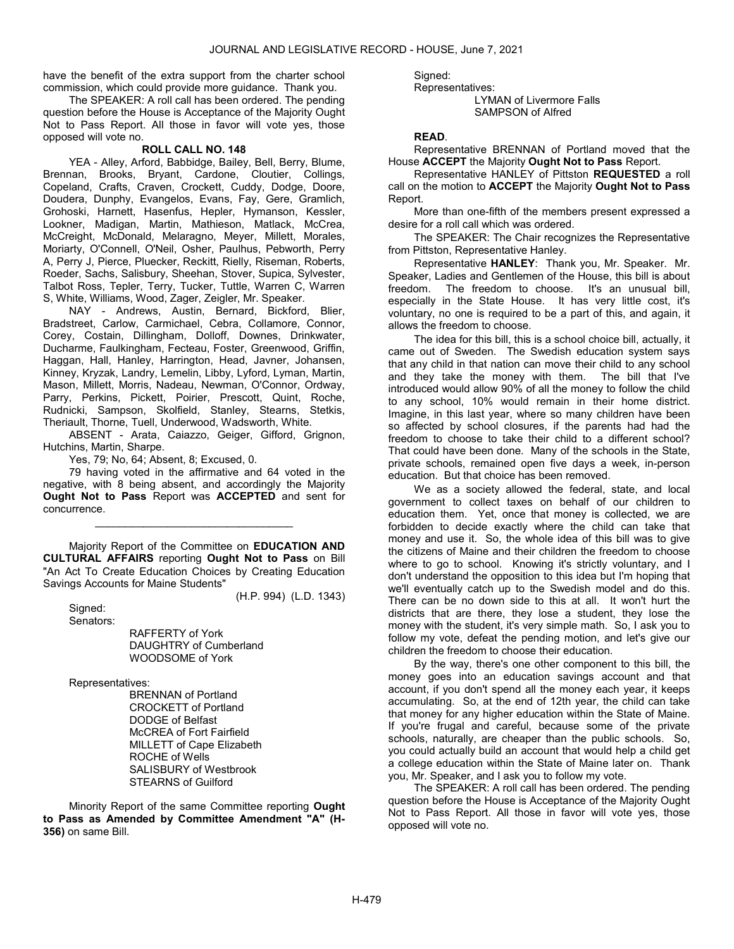have the benefit of the extra support from the charter school commission, which could provide more guidance. Thank you.

 The SPEAKER: A roll call has been ordered. The pending question before the House is Acceptance of the Majority Ought Not to Pass Report. All those in favor will vote yes, those opposed will vote no.

# ROLL CALL NO. 148

 YEA - Alley, Arford, Babbidge, Bailey, Bell, Berry, Blume, Brennan, Brooks, Bryant, Cardone, Cloutier, Collings, Copeland, Crafts, Craven, Crockett, Cuddy, Dodge, Doore, Doudera, Dunphy, Evangelos, Evans, Fay, Gere, Gramlich, Grohoski, Harnett, Hasenfus, Hepler, Hymanson, Kessler, Lookner, Madigan, Martin, Mathieson, Matlack, McCrea, McCreight, McDonald, Melaragno, Meyer, Millett, Morales, Moriarty, O'Connell, O'Neil, Osher, Paulhus, Pebworth, Perry A, Perry J, Pierce, Pluecker, Reckitt, Rielly, Riseman, Roberts, Roeder, Sachs, Salisbury, Sheehan, Stover, Supica, Sylvester, Talbot Ross, Tepler, Terry, Tucker, Tuttle, Warren C, Warren S, White, Williams, Wood, Zager, Zeigler, Mr. Speaker.

 NAY - Andrews, Austin, Bernard, Bickford, Blier, Bradstreet, Carlow, Carmichael, Cebra, Collamore, Connor, Corey, Costain, Dillingham, Dolloff, Downes, Drinkwater, Ducharme, Faulkingham, Fecteau, Foster, Greenwood, Griffin, Haggan, Hall, Hanley, Harrington, Head, Javner, Johansen, Kinney, Kryzak, Landry, Lemelin, Libby, Lyford, Lyman, Martin, Mason, Millett, Morris, Nadeau, Newman, O'Connor, Ordway, Parry, Perkins, Pickett, Poirier, Prescott, Quint, Roche, Rudnicki, Sampson, Skolfield, Stanley, Stearns, Stetkis, Theriault, Thorne, Tuell, Underwood, Wadsworth, White.

 ABSENT - Arata, Caiazzo, Geiger, Gifford, Grignon, Hutchins, Martin, Sharpe.

Yes, 79; No, 64; Absent, 8; Excused, 0.

 79 having voted in the affirmative and 64 voted in the negative, with 8 being absent, and accordingly the Majority Ought Not to Pass Report was ACCEPTED and sent for concurrence.

\_\_\_\_\_\_\_\_\_\_\_\_\_\_\_\_\_\_\_\_\_\_\_\_\_\_\_\_\_\_\_\_\_

 Majority Report of the Committee on EDUCATION AND CULTURAL AFFAIRS reporting Ought Not to Pass on Bill "An Act To Create Education Choices by Creating Education Savings Accounts for Maine Students"

(H.P. 994) (L.D. 1343)

 Signed: Senators:

 RAFFERTY of York DAUGHTRY of Cumberland WOODSOME of York

Representatives:

 BRENNAN of Portland CROCKETT of Portland DODGE of Belfast McCREA of Fort Fairfield MILLETT of Cape Elizabeth ROCHE of Wells SALISBURY of Westbrook STEARNS of Guilford

 Minority Report of the same Committee reporting Ought to Pass as Amended by Committee Amendment "A" (H-356) on same Bill.

Signed:

 Representatives: LYMAN of Livermore Falls SAMPSON of Alfred

# READ.

 Representative BRENNAN of Portland moved that the House ACCEPT the Majority Ought Not to Pass Report.

 Representative HANLEY of Pittston REQUESTED a roll call on the motion to **ACCEPT** the Majority **Ought Not to Pass** Report.

 More than one-fifth of the members present expressed a desire for a roll call which was ordered.

 The SPEAKER: The Chair recognizes the Representative from Pittston, Representative Hanley.

 Representative HANLEY: Thank you, Mr. Speaker. Mr. Speaker, Ladies and Gentlemen of the House, this bill is about freedom. The freedom to choose. It's an unusual bill, especially in the State House. It has very little cost, it's voluntary, no one is required to be a part of this, and again, it allows the freedom to choose.

 The idea for this bill, this is a school choice bill, actually, it came out of Sweden. The Swedish education system says that any child in that nation can move their child to any school and they take the money with them. The bill that I've introduced would allow 90% of all the money to follow the child to any school, 10% would remain in their home district. Imagine, in this last year, where so many children have been so affected by school closures, if the parents had had the freedom to choose to take their child to a different school? That could have been done. Many of the schools in the State, private schools, remained open five days a week, in-person education. But that choice has been removed.

 We as a society allowed the federal, state, and local government to collect taxes on behalf of our children to education them. Yet, once that money is collected, we are forbidden to decide exactly where the child can take that money and use it. So, the whole idea of this bill was to give the citizens of Maine and their children the freedom to choose where to go to school. Knowing it's strictly voluntary, and I don't understand the opposition to this idea but I'm hoping that we'll eventually catch up to the Swedish model and do this. There can be no down side to this at all. It won't hurt the districts that are there, they lose a student, they lose the money with the student, it's very simple math. So, I ask you to follow my vote, defeat the pending motion, and let's give our children the freedom to choose their education.

 By the way, there's one other component to this bill, the money goes into an education savings account and that account, if you don't spend all the money each year, it keeps accumulating. So, at the end of 12th year, the child can take that money for any higher education within the State of Maine. If you're frugal and careful, because some of the private schools, naturally, are cheaper than the public schools. So, you could actually build an account that would help a child get a college education within the State of Maine later on. Thank you, Mr. Speaker, and I ask you to follow my vote.

 The SPEAKER: A roll call has been ordered. The pending question before the House is Acceptance of the Majority Ought Not to Pass Report. All those in favor will vote yes, those opposed will vote no.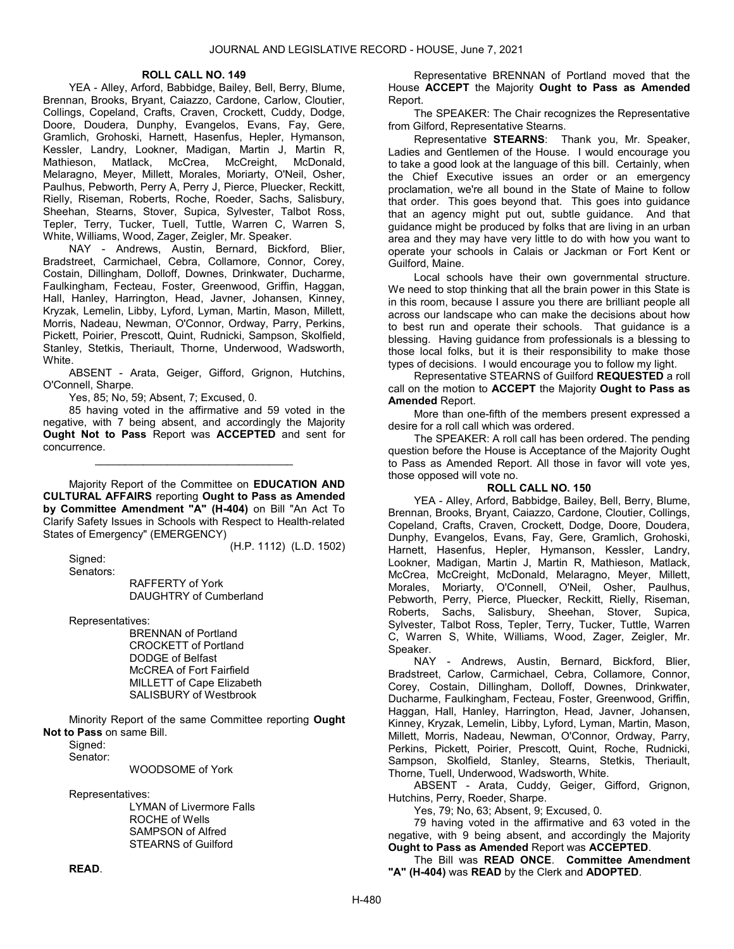# ROLL CALL NO. 149

 YEA - Alley, Arford, Babbidge, Bailey, Bell, Berry, Blume, Brennan, Brooks, Bryant, Caiazzo, Cardone, Carlow, Cloutier, Collings, Copeland, Crafts, Craven, Crockett, Cuddy, Dodge, Doore, Doudera, Dunphy, Evangelos, Evans, Fay, Gere, Gramlich, Grohoski, Harnett, Hasenfus, Hepler, Hymanson, Kessler, Landry, Lookner, Madigan, Martin J, Martin R, Mathieson, Matlack, McCrea, McCreight, McDonald, Melaragno, Meyer, Millett, Morales, Moriarty, O'Neil, Osher, Paulhus, Pebworth, Perry A, Perry J, Pierce, Pluecker, Reckitt, Rielly, Riseman, Roberts, Roche, Roeder, Sachs, Salisbury, Sheehan, Stearns, Stover, Supica, Sylvester, Talbot Ross, Tepler, Terry, Tucker, Tuell, Tuttle, Warren C, Warren S, White, Williams, Wood, Zager, Zeigler, Mr. Speaker.

 NAY - Andrews, Austin, Bernard, Bickford, Blier, Bradstreet, Carmichael, Cebra, Collamore, Connor, Corey, Costain, Dillingham, Dolloff, Downes, Drinkwater, Ducharme, Faulkingham, Fecteau, Foster, Greenwood, Griffin, Haggan, Hall, Hanley, Harrington, Head, Javner, Johansen, Kinney, Kryzak, Lemelin, Libby, Lyford, Lyman, Martin, Mason, Millett, Morris, Nadeau, Newman, O'Connor, Ordway, Parry, Perkins, Pickett, Poirier, Prescott, Quint, Rudnicki, Sampson, Skolfield, Stanley, Stetkis, Theriault, Thorne, Underwood, Wadsworth, White.

 ABSENT - Arata, Geiger, Gifford, Grignon, Hutchins, O'Connell, Sharpe.

Yes, 85; No, 59; Absent, 7; Excused, 0.

 85 having voted in the affirmative and 59 voted in the negative, with 7 being absent, and accordingly the Majority Ought Not to Pass Report was ACCEPTED and sent for concurrence.

\_\_\_\_\_\_\_\_\_\_\_\_\_\_\_\_\_\_\_\_\_\_\_\_\_\_\_\_\_\_\_\_\_

 Majority Report of the Committee on EDUCATION AND CULTURAL AFFAIRS reporting Ought to Pass as Amended by Committee Amendment "A" (H-404) on Bill "An Act To Clarify Safety Issues in Schools with Respect to Health-related States of Emergency" (EMERGENCY)

(H.P. 1112) (L.D. 1502)

 Signed: Senators:

 RAFFERTY of York DAUGHTRY of Cumberland

Representatives:

 BRENNAN of Portland CROCKETT of Portland DODGE of Belfast McCREA of Fort Fairfield MILLETT of Cape Elizabeth SALISBURY of Westbrook

 Minority Report of the same Committee reporting Ought Not to Pass on same Bill.

Signed:

Senator:

WOODSOME of York

Representatives:

 LYMAN of Livermore Falls ROCHE of Wells SAMPSON of Alfred STEARNS of Guilford

 Representative BRENNAN of Portland moved that the House ACCEPT the Majority Ought to Pass as Amended Report.

 The SPEAKER: The Chair recognizes the Representative from Gilford, Representative Stearns.

 Representative STEARNS: Thank you, Mr. Speaker, Ladies and Gentlemen of the House. I would encourage you to take a good look at the language of this bill. Certainly, when the Chief Executive issues an order or an emergency proclamation, we're all bound in the State of Maine to follow that order. This goes beyond that. This goes into guidance that an agency might put out, subtle guidance. And that guidance might be produced by folks that are living in an urban area and they may have very little to do with how you want to operate your schools in Calais or Jackman or Fort Kent or Guilford, Maine.

 Local schools have their own governmental structure. We need to stop thinking that all the brain power in this State is in this room, because I assure you there are brilliant people all across our landscape who can make the decisions about how to best run and operate their schools. That guidance is a blessing. Having guidance from professionals is a blessing to those local folks, but it is their responsibility to make those types of decisions. I would encourage you to follow my light.

 Representative STEARNS of Guilford REQUESTED a roll call on the motion to ACCEPT the Majority Ought to Pass as Amended Report.

 More than one-fifth of the members present expressed a desire for a roll call which was ordered.

 The SPEAKER: A roll call has been ordered. The pending question before the House is Acceptance of the Majority Ought to Pass as Amended Report. All those in favor will vote yes, those opposed will vote no.

#### ROLL CALL NO. 150

 YEA - Alley, Arford, Babbidge, Bailey, Bell, Berry, Blume, Brennan, Brooks, Bryant, Caiazzo, Cardone, Cloutier, Collings, Copeland, Crafts, Craven, Crockett, Dodge, Doore, Doudera, Dunphy, Evangelos, Evans, Fay, Gere, Gramlich, Grohoski, Harnett, Hasenfus, Hepler, Hymanson, Kessler, Landry, Lookner, Madigan, Martin J, Martin R, Mathieson, Matlack, McCrea, McCreight, McDonald, Melaragno, Meyer, Millett, Morales, Moriarty, O'Connell, O'Neil, Osher, Paulhus, Pebworth, Perry, Pierce, Pluecker, Reckitt, Rielly, Riseman, Roberts, Sachs, Salisbury, Sheehan, Stover, Supica, Sylvester, Talbot Ross, Tepler, Terry, Tucker, Tuttle, Warren C, Warren S, White, Williams, Wood, Zager, Zeigler, Mr. Speaker.

NAY - Andrews, Austin, Bernard, Bickford, Blier, Bradstreet, Carlow, Carmichael, Cebra, Collamore, Connor, Corey, Costain, Dillingham, Dolloff, Downes, Drinkwater, Ducharme, Faulkingham, Fecteau, Foster, Greenwood, Griffin, Haggan, Hall, Hanley, Harrington, Head, Javner, Johansen, Kinney, Kryzak, Lemelin, Libby, Lyford, Lyman, Martin, Mason, Millett, Morris, Nadeau, Newman, O'Connor, Ordway, Parry, Perkins, Pickett, Poirier, Prescott, Quint, Roche, Rudnicki, Sampson, Skolfield, Stanley, Stearns, Stetkis, Theriault, Thorne, Tuell, Underwood, Wadsworth, White.

 ABSENT - Arata, Cuddy, Geiger, Gifford, Grignon, Hutchins, Perry, Roeder, Sharpe.

Yes, 79; No, 63; Absent, 9; Excused, 0.

 79 having voted in the affirmative and 63 voted in the negative, with 9 being absent, and accordingly the Majority Ought to Pass as Amended Report was ACCEPTED.

 The Bill was READ ONCE. Committee Amendment "A" (H-404) was READ by the Clerk and ADOPTED.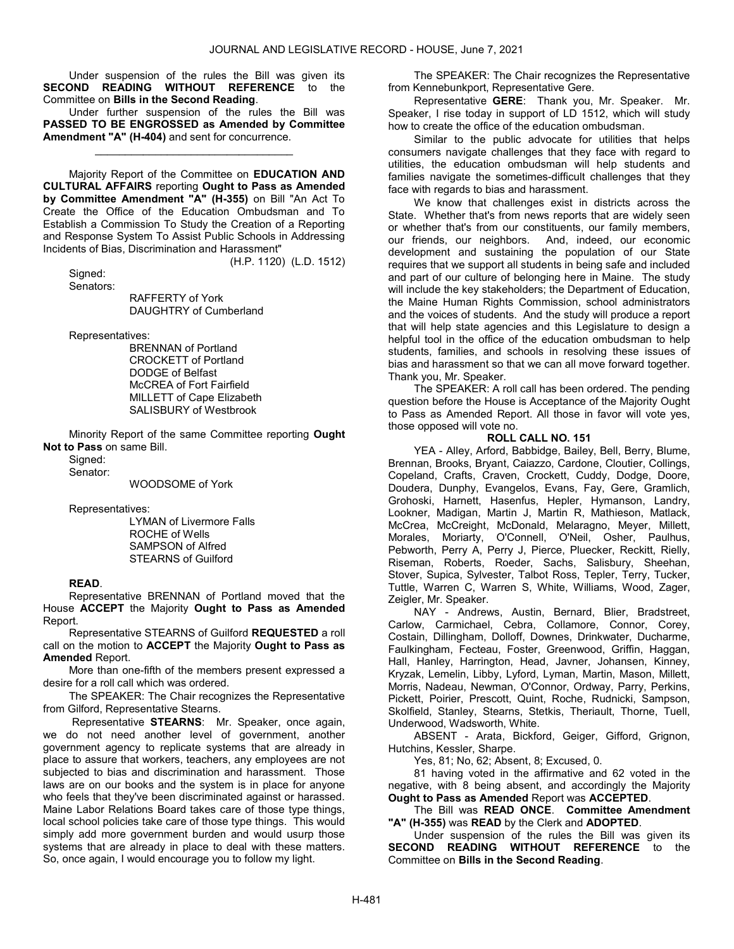Under suspension of the rules the Bill was given its SECOND READING WITHOUT REFERENCE to the Committee on Bills in the Second Reading.

 Under further suspension of the rules the Bill was PASSED TO BE ENGROSSED as Amended by Committee Amendment "A" (H-404) and sent for concurrence.

\_\_\_\_\_\_\_\_\_\_\_\_\_\_\_\_\_\_\_\_\_\_\_\_\_\_\_\_\_\_\_\_\_

 Majority Report of the Committee on EDUCATION AND CULTURAL AFFAIRS reporting Ought to Pass as Amended by Committee Amendment "A" (H-355) on Bill "An Act To Create the Office of the Education Ombudsman and To Establish a Commission To Study the Creation of a Reporting and Response System To Assist Public Schools in Addressing Incidents of Bias, Discrimination and Harassment"

 Signed: Senators: (H.P. 1120) (L.D. 1512)

RAFFERTY of York

DAUGHTRY of Cumberland

Representatives:

 BRENNAN of Portland CROCKETT of Portland DODGE of Belfast McCREA of Fort Fairfield MILLETT of Cape Elizabeth SALISBURY of Westbrook

 Minority Report of the same Committee reporting Ought Not to Pass on same Bill.

Signed:

Senator:

WOODSOME of York

Representatives:

 LYMAN of Livermore Falls ROCHE of Wells SAMPSON of Alfred STEARNS of Guilford

# READ.

 Representative BRENNAN of Portland moved that the House ACCEPT the Majority Ought to Pass as Amended Report.

 Representative STEARNS of Guilford REQUESTED a roll call on the motion to ACCEPT the Majority Ought to Pass as Amended Report.

 More than one-fifth of the members present expressed a desire for a roll call which was ordered.

 The SPEAKER: The Chair recognizes the Representative from Gilford, Representative Stearns.

 Representative STEARNS: Mr. Speaker, once again, we do not need another level of government, another government agency to replicate systems that are already in place to assure that workers, teachers, any employees are not subjected to bias and discrimination and harassment. Those laws are on our books and the system is in place for anyone who feels that they've been discriminated against or harassed. Maine Labor Relations Board takes care of those type things, local school policies take care of those type things. This would simply add more government burden and would usurp those systems that are already in place to deal with these matters. So, once again, I would encourage you to follow my light.

 The SPEAKER: The Chair recognizes the Representative from Kennebunkport, Representative Gere.

 Representative GERE: Thank you, Mr. Speaker. Mr. Speaker, I rise today in support of LD 1512, which will study how to create the office of the education ombudsman.

 Similar to the public advocate for utilities that helps consumers navigate challenges that they face with regard to utilities, the education ombudsman will help students and families navigate the sometimes-difficult challenges that they face with regards to bias and harassment.

 We know that challenges exist in districts across the State. Whether that's from news reports that are widely seen or whether that's from our constituents, our family members, our friends, our neighbors. And, indeed, our economic development and sustaining the population of our State requires that we support all students in being safe and included and part of our culture of belonging here in Maine. The study will include the key stakeholders; the Department of Education, the Maine Human Rights Commission, school administrators and the voices of students. And the study will produce a report that will help state agencies and this Legislature to design a helpful tool in the office of the education ombudsman to help students, families, and schools in resolving these issues of bias and harassment so that we can all move forward together. Thank you, Mr. Speaker.

 The SPEAKER: A roll call has been ordered. The pending question before the House is Acceptance of the Majority Ought to Pass as Amended Report. All those in favor will vote yes, those opposed will vote no.

# ROLL CALL NO. 151

 YEA - Alley, Arford, Babbidge, Bailey, Bell, Berry, Blume, Brennan, Brooks, Bryant, Caiazzo, Cardone, Cloutier, Collings, Copeland, Crafts, Craven, Crockett, Cuddy, Dodge, Doore, Doudera, Dunphy, Evangelos, Evans, Fay, Gere, Gramlich, Grohoski, Harnett, Hasenfus, Hepler, Hymanson, Landry, Lookner, Madigan, Martin J, Martin R, Mathieson, Matlack, McCrea, McCreight, McDonald, Melaragno, Meyer, Millett, Morales, Moriarty, O'Connell, O'Neil, Osher, Paulhus, Pebworth, Perry A, Perry J, Pierce, Pluecker, Reckitt, Rielly, Riseman, Roberts, Roeder, Sachs, Salisbury, Sheehan, Stover, Supica, Sylvester, Talbot Ross, Tepler, Terry, Tucker, Tuttle, Warren C, Warren S, White, Williams, Wood, Zager, Zeigler, Mr. Speaker.

 NAY - Andrews, Austin, Bernard, Blier, Bradstreet, Carlow, Carmichael, Cebra, Collamore, Connor, Corey, Costain, Dillingham, Dolloff, Downes, Drinkwater, Ducharme, Faulkingham, Fecteau, Foster, Greenwood, Griffin, Haggan, Hall, Hanley, Harrington, Head, Javner, Johansen, Kinney, Kryzak, Lemelin, Libby, Lyford, Lyman, Martin, Mason, Millett, Morris, Nadeau, Newman, O'Connor, Ordway, Parry, Perkins, Pickett, Poirier, Prescott, Quint, Roche, Rudnicki, Sampson, Skolfield, Stanley, Stearns, Stetkis, Theriault, Thorne, Tuell, Underwood, Wadsworth, White.

 ABSENT - Arata, Bickford, Geiger, Gifford, Grignon, Hutchins, Kessler, Sharpe.

Yes, 81; No, 62; Absent, 8; Excused, 0.

 81 having voted in the affirmative and 62 voted in the negative, with 8 being absent, and accordingly the Majority Ought to Pass as Amended Report was ACCEPTED.

 The Bill was READ ONCE. Committee Amendment "A" (H-355) was READ by the Clerk and ADOPTED.

 Under suspension of the rules the Bill was given its SECOND READING WITHOUT REFERENCE to the Committee on Bills in the Second Reading.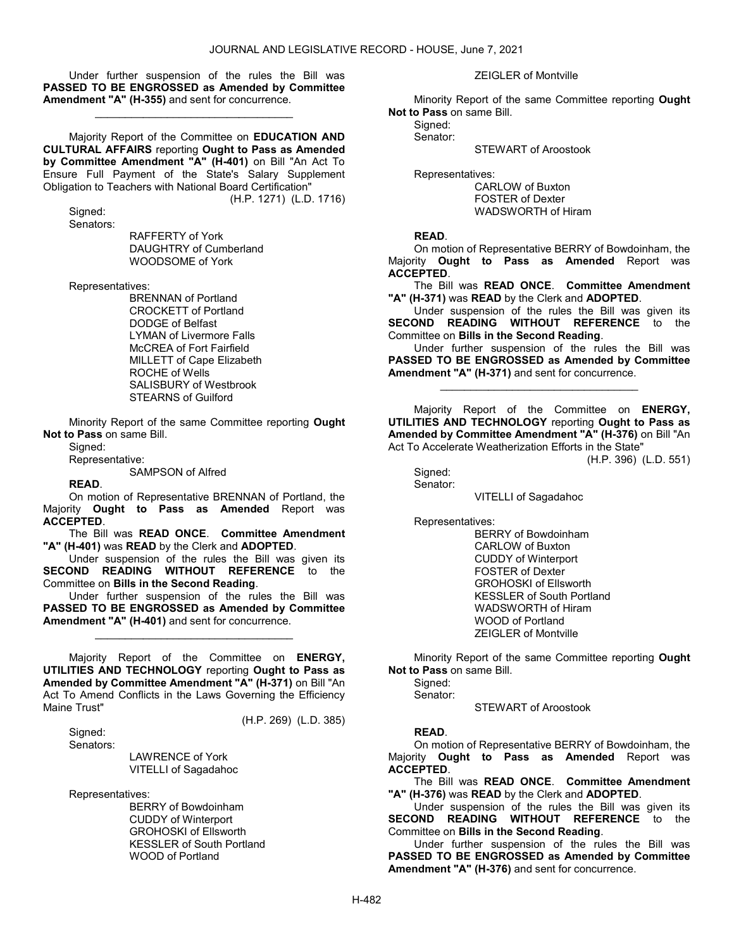Under further suspension of the rules the Bill was PASSED TO BE ENGROSSED as Amended by Committee Amendment "A" (H-355) and sent for concurrence.

\_\_\_\_\_\_\_\_\_\_\_\_\_\_\_\_\_\_\_\_\_\_\_\_\_\_\_\_\_\_\_\_\_

 Majority Report of the Committee on EDUCATION AND CULTURAL AFFAIRS reporting Ought to Pass as Amended by Committee Amendment "A" (H-401) on Bill "An Act To Ensure Full Payment of the State's Salary Supplement Obligation to Teachers with National Board Certification"

(H.P. 1271) (L.D. 1716)

 Signed: Senators:

 RAFFERTY of York DAUGHTRY of Cumberland WOODSOME of York

Representatives:

 BRENNAN of Portland CROCKETT of Portland DODGE of Belfast LYMAN of Livermore Falls McCREA of Fort Fairfield MILLETT of Cape Elizabeth ROCHE of Wells SALISBURY of Westbrook STEARNS of Guilford

 Minority Report of the same Committee reporting Ought Not to Pass on same Bill.

Sianed:

Representative:

SAMPSON of Alfred

# READ.

 On motion of Representative BRENNAN of Portland, the Majority Ought to Pass as Amended Report was ACCEPTED.

 The Bill was READ ONCE. Committee Amendment "A" (H-401) was READ by the Clerk and ADOPTED.

 Under suspension of the rules the Bill was given its SECOND READING WITHOUT REFERENCE to the Committee on Bills in the Second Reading.

 Under further suspension of the rules the Bill was PASSED TO BE ENGROSSED as Amended by Committee Amendment "A" (H-401) and sent for concurrence.

\_\_\_\_\_\_\_\_\_\_\_\_\_\_\_\_\_\_\_\_\_\_\_\_\_\_\_\_\_\_\_\_\_

 Majority Report of the Committee on ENERGY, UTILITIES AND TECHNOLOGY reporting Ought to Pass as Amended by Committee Amendment "A" (H-371) on Bill "An Act To Amend Conflicts in the Laws Governing the Efficiency Maine Trust"

(H.P. 269) (L.D. 385)

Signed:

Senators:

 LAWRENCE of York VITELLI of Sagadahoc

Representatives:

 BERRY of Bowdoinham CUDDY of Winterport GROHOSKI of Ellsworth KESSLER of South Portland WOOD of Portland

ZEIGLER of Montville

 Minority Report of the same Committee reporting Ought Not to Pass on same Bill.

Signed:

Senator:

STEWART of Aroostook

Representatives:

 CARLOW of Buxton FOSTER of Dexter WADSWORTH of Hiram

# READ.

 On motion of Representative BERRY of Bowdoinham, the Majority Ought to Pass as Amended Report was ACCEPTED.

The Bill was READ ONCE. Committee Amendment "A" (H-371) was READ by the Clerk and ADOPTED.

 Under suspension of the rules the Bill was given its SECOND READING WITHOUT REFERENCE to the Committee on Bills in the Second Reading.

 Under further suspension of the rules the Bill was PASSED TO BE ENGROSSED as Amended by Committee Amendment "A" (H-371) and sent for concurrence.

\_\_\_\_\_\_\_\_\_\_\_\_\_\_\_\_\_\_\_\_\_\_\_\_\_\_\_\_\_\_\_\_\_

 Majority Report of the Committee on ENERGY, UTILITIES AND TECHNOLOGY reporting Ought to Pass as Amended by Committee Amendment "A" (H-376) on Bill "An Act To Accelerate Weatherization Efforts in the State"

(H.P. 396) (L.D. 551)

 Signed: Senator:

VITELLI of Sagadahoc

Representatives:

 BERRY of Bowdoinham CARLOW of Buxton CUDDY of Winterport FOSTER of Dexter GROHOSKI of Ellsworth KESSLER of South Portland WADSWORTH of Hiram WOOD of Portland ZEIGLER of Montville

 Minority Report of the same Committee reporting Ought Not to Pass on same Bill.

 Signed: Senator:

STEWART of Aroostook

# READ.

 On motion of Representative BERRY of Bowdoinham, the Majority Ought to Pass as Amended Report was ACCEPTED.

 The Bill was READ ONCE. Committee Amendment "A" (H-376) was READ by the Clerk and ADOPTED.

 Under suspension of the rules the Bill was given its SECOND READING WITHOUT REFERENCE to the Committee on Bills in the Second Reading.

 Under further suspension of the rules the Bill was PASSED TO BE ENGROSSED as Amended by Committee Amendment "A" (H-376) and sent for concurrence.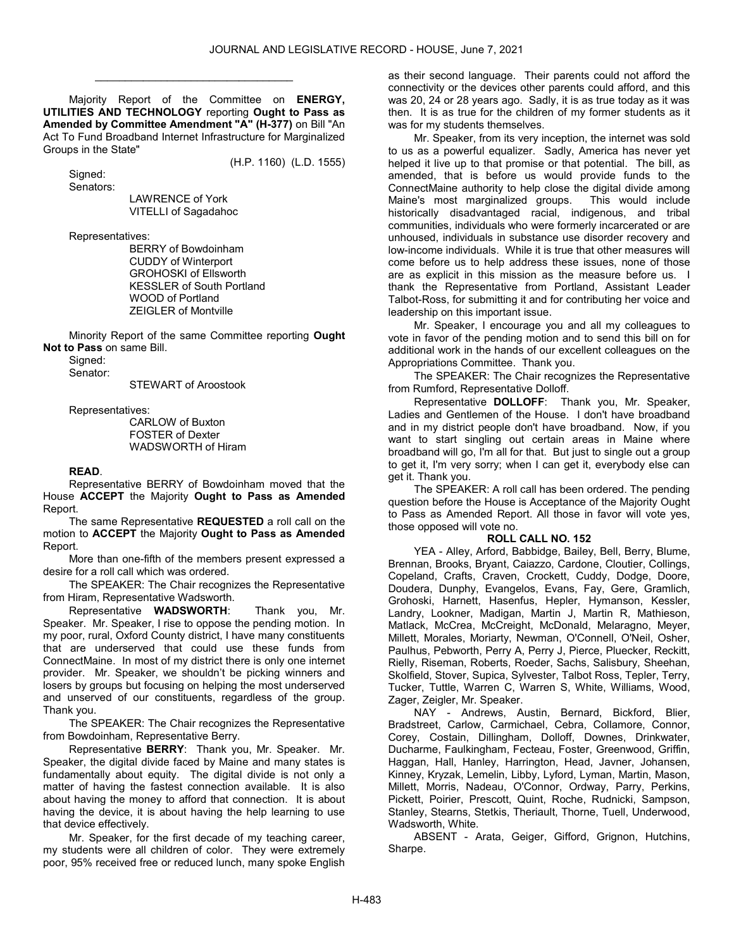Majority Report of the Committee on ENERGY, UTILITIES AND TECHNOLOGY reporting Ought to Pass as Amended by Committee Amendment "A" (H-377) on Bill "An Act To Fund Broadband Internet Infrastructure for Marginalized Groups in the State"

(H.P. 1160) (L.D. 1555)

\_\_\_\_\_\_\_\_\_\_\_\_\_\_\_\_\_\_\_\_\_\_\_\_\_\_\_\_\_\_\_\_\_

Signed:

Senators:

 LAWRENCE of York VITELLI of Sagadahoc

Representatives:

 BERRY of Bowdoinham CUDDY of Winterport GROHOSKI of Ellsworth KESSLER of South Portland WOOD of Portland ZEIGLER of Montville

 Minority Report of the same Committee reporting Ought Not to Pass on same Bill.

Signed:

Senator:

STEWART of Aroostook

Representatives:

 CARLOW of Buxton FOSTER of Dexter WADSWORTH of Hiram

#### READ.

 Representative BERRY of Bowdoinham moved that the House ACCEPT the Majority Ought to Pass as Amended Report.

 The same Representative REQUESTED a roll call on the motion to ACCEPT the Majority Ought to Pass as Amended Report.

 More than one-fifth of the members present expressed a desire for a roll call which was ordered.

 The SPEAKER: The Chair recognizes the Representative from Hiram, Representative Wadsworth.

 Representative WADSWORTH: Thank you, Mr. Speaker. Mr. Speaker, I rise to oppose the pending motion. In my poor, rural, Oxford County district, I have many constituents that are underserved that could use these funds from ConnectMaine. In most of my district there is only one internet provider. Mr. Speaker, we shouldn't be picking winners and losers by groups but focusing on helping the most underserved and unserved of our constituents, regardless of the group. Thank you.

 The SPEAKER: The Chair recognizes the Representative from Bowdoinham, Representative Berry.

 Representative BERRY: Thank you, Mr. Speaker. Mr. Speaker, the digital divide faced by Maine and many states is fundamentally about equity. The digital divide is not only a matter of having the fastest connection available. It is also about having the money to afford that connection. It is about having the device, it is about having the help learning to use that device effectively.

 Mr. Speaker, for the first decade of my teaching career, my students were all children of color. They were extremely poor, 95% received free or reduced lunch, many spoke English as their second language. Their parents could not afford the connectivity or the devices other parents could afford, and this was 20, 24 or 28 years ago. Sadly, it is as true today as it was then. It is as true for the children of my former students as it was for my students themselves.

 Mr. Speaker, from its very inception, the internet was sold to us as a powerful equalizer. Sadly, America has never yet helped it live up to that promise or that potential. The bill, as amended, that is before us would provide funds to the ConnectMaine authority to help close the digital divide among Maine's most marginalized groups. This would include historically disadvantaged racial, indigenous, and tribal communities, individuals who were formerly incarcerated or are unhoused, individuals in substance use disorder recovery and low-income individuals. While it is true that other measures will come before us to help address these issues, none of those are as explicit in this mission as the measure before us. I thank the Representative from Portland, Assistant Leader Talbot-Ross, for submitting it and for contributing her voice and leadership on this important issue.

 Mr. Speaker, I encourage you and all my colleagues to vote in favor of the pending motion and to send this bill on for additional work in the hands of our excellent colleagues on the Appropriations Committee. Thank you.

 The SPEAKER: The Chair recognizes the Representative from Rumford, Representative Dolloff.

 Representative DOLLOFF: Thank you, Mr. Speaker, Ladies and Gentlemen of the House. I don't have broadband and in my district people don't have broadband. Now, if you want to start singling out certain areas in Maine where broadband will go, I'm all for that. But just to single out a group to get it, I'm very sorry; when I can get it, everybody else can get it. Thank you.

 The SPEAKER: A roll call has been ordered. The pending question before the House is Acceptance of the Majority Ought to Pass as Amended Report. All those in favor will vote yes, those opposed will vote no.

# ROLL CALL NO. 152

 YEA - Alley, Arford, Babbidge, Bailey, Bell, Berry, Blume, Brennan, Brooks, Bryant, Caiazzo, Cardone, Cloutier, Collings, Copeland, Crafts, Craven, Crockett, Cuddy, Dodge, Doore, Doudera, Dunphy, Evangelos, Evans, Fay, Gere, Gramlich, Grohoski, Harnett, Hasenfus, Hepler, Hymanson, Kessler, Landry, Lookner, Madigan, Martin J, Martin R, Mathieson, Matlack, McCrea, McCreight, McDonald, Melaragno, Meyer, Millett, Morales, Moriarty, Newman, O'Connell, O'Neil, Osher, Paulhus, Pebworth, Perry A, Perry J, Pierce, Pluecker, Reckitt, Rielly, Riseman, Roberts, Roeder, Sachs, Salisbury, Sheehan, Skolfield, Stover, Supica, Sylvester, Talbot Ross, Tepler, Terry, Tucker, Tuttle, Warren C, Warren S, White, Williams, Wood, Zager, Zeigler, Mr. Speaker.

 NAY - Andrews, Austin, Bernard, Bickford, Blier, Bradstreet, Carlow, Carmichael, Cebra, Collamore, Connor, Corey, Costain, Dillingham, Dolloff, Downes, Drinkwater, Ducharme, Faulkingham, Fecteau, Foster, Greenwood, Griffin, Haggan, Hall, Hanley, Harrington, Head, Javner, Johansen, Kinney, Kryzak, Lemelin, Libby, Lyford, Lyman, Martin, Mason, Millett, Morris, Nadeau, O'Connor, Ordway, Parry, Perkins, Pickett, Poirier, Prescott, Quint, Roche, Rudnicki, Sampson, Stanley, Stearns, Stetkis, Theriault, Thorne, Tuell, Underwood, Wadsworth, White.

 ABSENT - Arata, Geiger, Gifford, Grignon, Hutchins, Sharpe.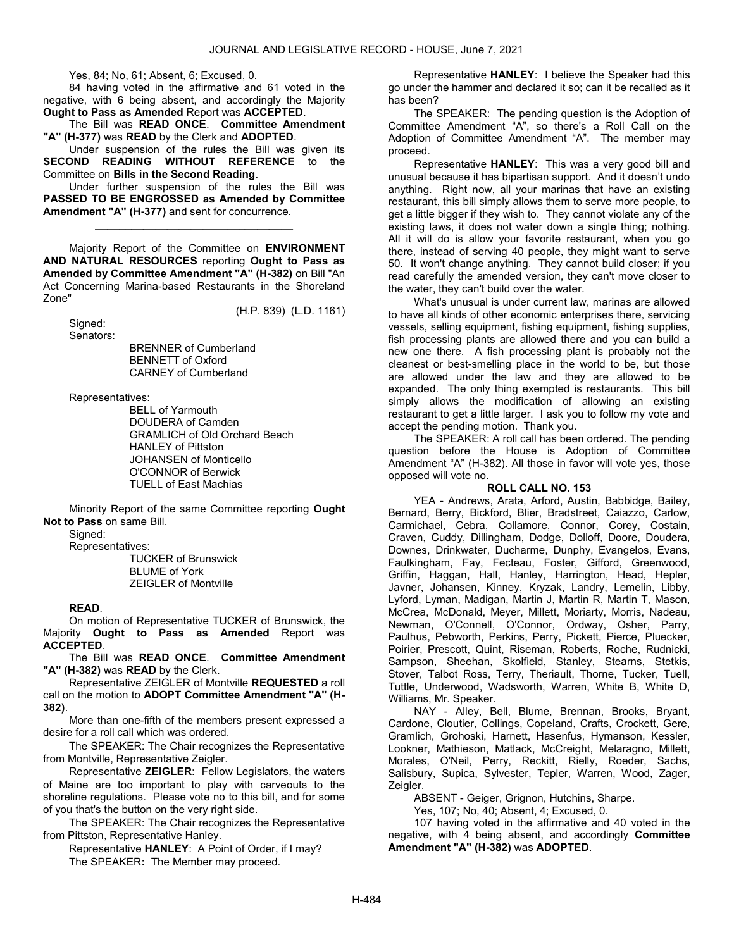Yes, 84; No, 61; Absent, 6; Excused, 0.

 84 having voted in the affirmative and 61 voted in the negative, with 6 being absent, and accordingly the Majority Ought to Pass as Amended Report was ACCEPTED.

 The Bill was READ ONCE. Committee Amendment "A" (H-377) was READ by the Clerk and ADOPTED.

 Under suspension of the rules the Bill was given its SECOND READING WITHOUT REFERENCE to the Committee on Bills in the Second Reading.

 Under further suspension of the rules the Bill was PASSED TO BE ENGROSSED as Amended by Committee Amendment "A" (H-377) and sent for concurrence.

\_\_\_\_\_\_\_\_\_\_\_\_\_\_\_\_\_\_\_\_\_\_\_\_\_\_\_\_\_\_\_\_\_

 Majority Report of the Committee on ENVIRONMENT AND NATURAL RESOURCES reporting Ought to Pass as Amended by Committee Amendment "A" (H-382) on Bill "An Act Concerning Marina-based Restaurants in the Shoreland Zone"

(H.P. 839) (L.D. 1161)

 Signed: Senators:

 BRENNER of Cumberland BENNETT of Oxford CARNEY of Cumberland

Representatives:

 BELL of Yarmouth DOUDERA of Camden GRAMLICH of Old Orchard Beach HANLEY of Pittston JOHANSEN of Monticello O'CONNOR of Berwick TUELL of East Machias

 Minority Report of the same Committee reporting Ought Not to Pass on same Bill.

Signed:

Representatives:

 TUCKER of Brunswick BLUME of York ZEIGLER of Montville

#### READ.

 On motion of Representative TUCKER of Brunswick, the Majority Ought to Pass as Amended Report was ACCEPTED.

 The Bill was READ ONCE. Committee Amendment "A" (H-382) was READ by the Clerk.

 Representative ZEIGLER of Montville REQUESTED a roll call on the motion to ADOPT Committee Amendment "A" (H-382).

 More than one-fifth of the members present expressed a desire for a roll call which was ordered.

 The SPEAKER: The Chair recognizes the Representative from Montville, Representative Zeigler.

 Representative ZEIGLER: Fellow Legislators, the waters of Maine are too important to play with carveouts to the shoreline regulations. Please vote no to this bill, and for some of you that's the button on the very right side.

 The SPEAKER: The Chair recognizes the Representative from Pittston, Representative Hanley.

 Representative HANLEY: A Point of Order, if I may? The SPEAKER: The Member may proceed.

 Representative HANLEY: I believe the Speaker had this go under the hammer and declared it so; can it be recalled as it has been?

 The SPEAKER: The pending question is the Adoption of Committee Amendment "A", so there's a Roll Call on the Adoption of Committee Amendment "A". The member may proceed.

 Representative HANLEY: This was a very good bill and unusual because it has bipartisan support. And it doesn't undo anything. Right now, all your marinas that have an existing restaurant, this bill simply allows them to serve more people, to get a little bigger if they wish to. They cannot violate any of the existing laws, it does not water down a single thing; nothing. All it will do is allow your favorite restaurant, when you go there, instead of serving 40 people, they might want to serve 50. It won't change anything. They cannot build closer; if you read carefully the amended version, they can't move closer to the water, they can't build over the water.

 What's unusual is under current law, marinas are allowed to have all kinds of other economic enterprises there, servicing vessels, selling equipment, fishing equipment, fishing supplies, fish processing plants are allowed there and you can build a new one there. A fish processing plant is probably not the cleanest or best-smelling place in the world to be, but those are allowed under the law and they are allowed to be expanded. The only thing exempted is restaurants. This bill simply allows the modification of allowing an existing restaurant to get a little larger. I ask you to follow my vote and accept the pending motion. Thank you.

 The SPEAKER: A roll call has been ordered. The pending question before the House is Adoption of Committee Amendment "A" (H-382). All those in favor will vote yes, those opposed will vote no.

# ROLL CALL NO. 153

 YEA - Andrews, Arata, Arford, Austin, Babbidge, Bailey, Bernard, Berry, Bickford, Blier, Bradstreet, Caiazzo, Carlow, Carmichael, Cebra, Collamore, Connor, Corey, Costain, Craven, Cuddy, Dillingham, Dodge, Dolloff, Doore, Doudera, Downes, Drinkwater, Ducharme, Dunphy, Evangelos, Evans, Faulkingham, Fay, Fecteau, Foster, Gifford, Greenwood, Griffin, Haggan, Hall, Hanley, Harrington, Head, Hepler, Javner, Johansen, Kinney, Kryzak, Landry, Lemelin, Libby, Lyford, Lyman, Madigan, Martin J, Martin R, Martin T, Mason, McCrea, McDonald, Meyer, Millett, Moriarty, Morris, Nadeau, Newman, O'Connell, O'Connor, Ordway, Osher, Parry, Paulhus, Pebworth, Perkins, Perry, Pickett, Pierce, Pluecker, Poirier, Prescott, Quint, Riseman, Roberts, Roche, Rudnicki, Sampson, Sheehan, Skolfield, Stanley, Stearns, Stetkis, Stover, Talbot Ross, Terry, Theriault, Thorne, Tucker, Tuell, Tuttle, Underwood, Wadsworth, Warren, White B, White D, Williams, Mr. Speaker.

 NAY - Alley, Bell, Blume, Brennan, Brooks, Bryant, Cardone, Cloutier, Collings, Copeland, Crafts, Crockett, Gere, Gramlich, Grohoski, Harnett, Hasenfus, Hymanson, Kessler, Lookner, Mathieson, Matlack, McCreight, Melaragno, Millett, Morales, O'Neil, Perry, Reckitt, Rielly, Roeder, Sachs, Salisbury, Supica, Sylvester, Tepler, Warren, Wood, Zager, Zeigler.

ABSENT - Geiger, Grignon, Hutchins, Sharpe.

Yes, 107; No, 40; Absent, 4; Excused, 0.

 107 having voted in the affirmative and 40 voted in the negative, with 4 being absent, and accordingly Committee Amendment "A" (H-382) was ADOPTED.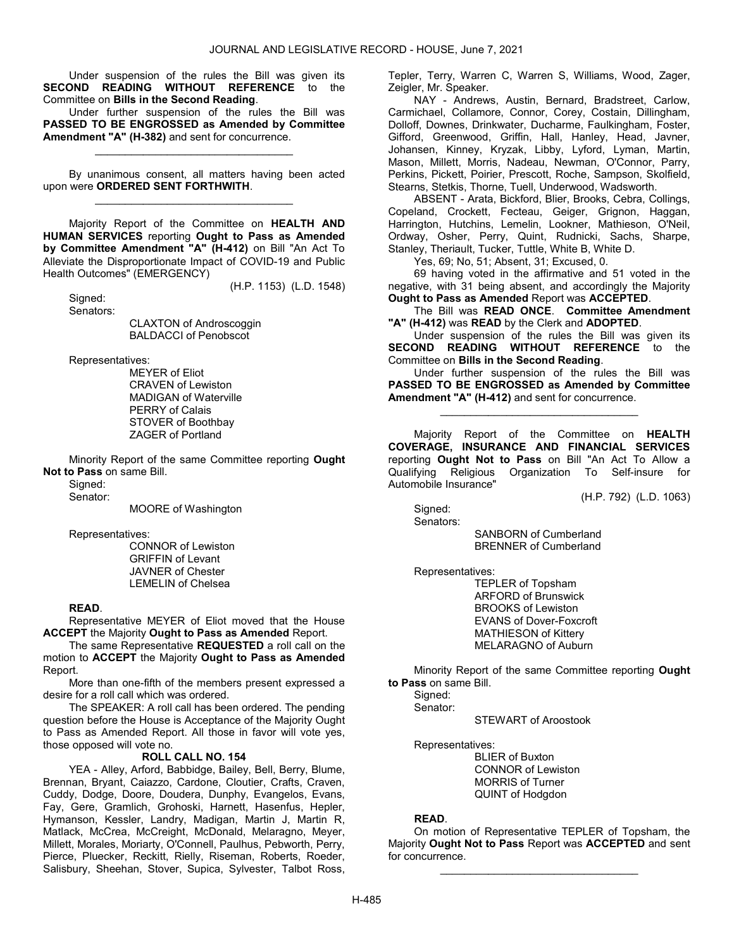Under suspension of the rules the Bill was given its SECOND READING WITHOUT REFERENCE to the Committee on Bills in the Second Reading.

 Under further suspension of the rules the Bill was PASSED TO BE ENGROSSED as Amended by Committee Amendment "A" (H-382) and sent for concurrence.

\_\_\_\_\_\_\_\_\_\_\_\_\_\_\_\_\_\_\_\_\_\_\_\_\_\_\_\_\_\_\_\_\_

 By unanimous consent, all matters having been acted upon were ORDERED SENT FORTHWITH. \_\_\_\_\_\_\_\_\_\_\_\_\_\_\_\_\_\_\_\_\_\_\_\_\_\_\_\_\_\_\_\_\_

 Majority Report of the Committee on HEALTH AND HUMAN SERVICES reporting Ought to Pass as Amended by Committee Amendment "A" (H-412) on Bill "An Act To Alleviate the Disproportionate Impact of COVID-19 and Public Health Outcomes" (EMERGENCY)

(H.P. 1153) (L.D. 1548)

 Signed: Senators:

> CLAXTON of Androscoggin BALDACCI of Penobscot

Representatives:

 MEYER of Eliot CRAVEN of Lewiston MADIGAN of Waterville PERRY of Calais STOVER of Boothbay ZAGER of Portland

 Minority Report of the same Committee reporting Ought Not to Pass on same Bill.

Signed:

Senator:

MOORE of Washington

Representatives:

 CONNOR of Lewiston GRIFFIN of Levant JAVNER of Chester LEMELIN of Chelsea

### READ.

 Representative MEYER of Eliot moved that the House ACCEPT the Majority Ought to Pass as Amended Report.

The same Representative REQUESTED a roll call on the motion to ACCEPT the Majority Ought to Pass as Amended Report.

 More than one-fifth of the members present expressed a desire for a roll call which was ordered.

 The SPEAKER: A roll call has been ordered. The pending question before the House is Acceptance of the Majority Ought to Pass as Amended Report. All those in favor will vote yes, those opposed will vote no.

# ROLL CALL NO. 154

 YEA - Alley, Arford, Babbidge, Bailey, Bell, Berry, Blume, Brennan, Bryant, Caiazzo, Cardone, Cloutier, Crafts, Craven, Cuddy, Dodge, Doore, Doudera, Dunphy, Evangelos, Evans, Fay, Gere, Gramlich, Grohoski, Harnett, Hasenfus, Hepler, Hymanson, Kessler, Landry, Madigan, Martin J, Martin R, Matlack, McCrea, McCreight, McDonald, Melaragno, Meyer, Millett, Morales, Moriarty, O'Connell, Paulhus, Pebworth, Perry, Pierce, Pluecker, Reckitt, Rielly, Riseman, Roberts, Roeder, Salisbury, Sheehan, Stover, Supica, Sylvester, Talbot Ross, Tepler, Terry, Warren C, Warren S, Williams, Wood, Zager, Zeigler, Mr. Speaker.

 NAY - Andrews, Austin, Bernard, Bradstreet, Carlow, Carmichael, Collamore, Connor, Corey, Costain, Dillingham, Dolloff, Downes, Drinkwater, Ducharme, Faulkingham, Foster, Gifford, Greenwood, Griffin, Hall, Hanley, Head, Javner, Johansen, Kinney, Kryzak, Libby, Lyford, Lyman, Martin, Mason, Millett, Morris, Nadeau, Newman, O'Connor, Parry, Perkins, Pickett, Poirier, Prescott, Roche, Sampson, Skolfield, Stearns, Stetkis, Thorne, Tuell, Underwood, Wadsworth.

 ABSENT - Arata, Bickford, Blier, Brooks, Cebra, Collings, Copeland, Crockett, Fecteau, Geiger, Grignon, Haggan, Harrington, Hutchins, Lemelin, Lookner, Mathieson, O'Neil, Ordway, Osher, Perry, Quint, Rudnicki, Sachs, Sharpe, Stanley, Theriault, Tucker, Tuttle, White B, White D.

Yes, 69; No, 51; Absent, 31; Excused, 0.

 69 having voted in the affirmative and 51 voted in the negative, with 31 being absent, and accordingly the Majority Ought to Pass as Amended Report was ACCEPTED.

 The Bill was READ ONCE. Committee Amendment "A" (H-412) was READ by the Clerk and ADOPTED.

 Under suspension of the rules the Bill was given its SECOND READING WITHOUT REFERENCE to the Committee on Bills in the Second Reading.

 Under further suspension of the rules the Bill was PASSED TO BE ENGROSSED as Amended by Committee Amendment "A" (H-412) and sent for concurrence.

\_\_\_\_\_\_\_\_\_\_\_\_\_\_\_\_\_\_\_\_\_\_\_\_\_\_\_\_\_\_\_\_\_

 Majority Report of the Committee on HEALTH COVERAGE, INSURANCE AND FINANCIAL SERVICES reporting Ought Not to Pass on Bill "An Act To Allow a Qualifying Religious Organization To Self-insure for Automobile Insurance"

(H.P. 792) (L.D. 1063)

 Signed: Senators:

> SANBORN of Cumberland BRENNER of Cumberland

Representatives:

 TEPLER of Topsham ARFORD of Brunswick BROOKS of Lewiston EVANS of Dover-Foxcroft MATHIESON of Kittery MELARAGNO of Auburn

 Minority Report of the same Committee reporting Ought to Pass on same Bill.

Sianed:

Senator:

STEWART of Aroostook

Representatives:

 BLIER of Buxton CONNOR of Lewiston MORRIS of Turner QUINT of Hodgdon

# READ.

 On motion of Representative TEPLER of Topsham, the Majority Ought Not to Pass Report was ACCEPTED and sent for concurrence.

\_\_\_\_\_\_\_\_\_\_\_\_\_\_\_\_\_\_\_\_\_\_\_\_\_\_\_\_\_\_\_\_\_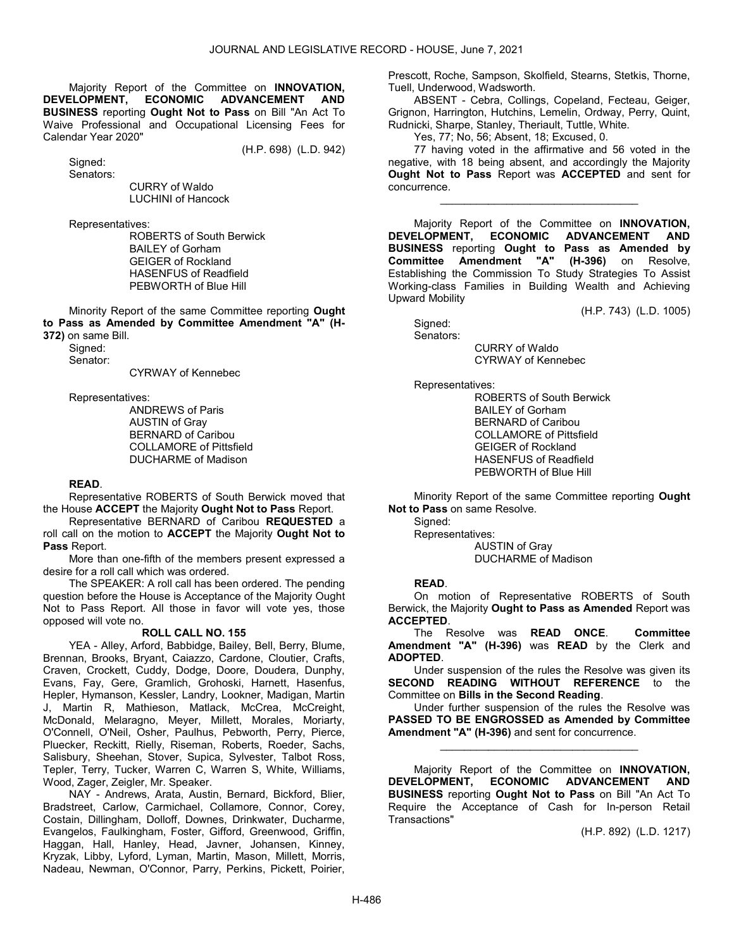Majority Report of the Committee on INNOVATION, DEVELOPMENT, ECONOMIC ADVANCEMENT AND BUSINESS reporting Ought Not to Pass on Bill "An Act To Waive Professional and Occupational Licensing Fees for Calendar Year 2020"

(H.P. 698) (L.D. 942)

 Signed: Senators:

 CURRY of Waldo LUCHINI of Hancock

Representatives:

 ROBERTS of South Berwick BAILEY of Gorham GEIGER of Rockland HASENFUS of Readfield PEBWORTH of Blue Hill

 Minority Report of the same Committee reporting Ought to Pass as Amended by Committee Amendment "A" (H-372) on same Bill.

Signed:

Senator:

CYRWAY of Kennebec

Representatives:

 ANDREWS of Paris AUSTIN of Gray BERNARD of Caribou COLLAMORE of Pittsfield DUCHARME of Madison

# READ.

 Representative ROBERTS of South Berwick moved that the House ACCEPT the Majority Ought Not to Pass Report.

 Representative BERNARD of Caribou REQUESTED a roll call on the motion to ACCEPT the Majority Ought Not to Pass Report.

 More than one-fifth of the members present expressed a desire for a roll call which was ordered.

 The SPEAKER: A roll call has been ordered. The pending question before the House is Acceptance of the Majority Ought Not to Pass Report. All those in favor will vote yes, those opposed will vote no.

#### ROLL CALL NO. 155

 YEA - Alley, Arford, Babbidge, Bailey, Bell, Berry, Blume, Brennan, Brooks, Bryant, Caiazzo, Cardone, Cloutier, Crafts, Craven, Crockett, Cuddy, Dodge, Doore, Doudera, Dunphy, Evans, Fay, Gere, Gramlich, Grohoski, Harnett, Hasenfus, Hepler, Hymanson, Kessler, Landry, Lookner, Madigan, Martin J, Martin R, Mathieson, Matlack, McCrea, McCreight, McDonald, Melaragno, Meyer, Millett, Morales, Moriarty, O'Connell, O'Neil, Osher, Paulhus, Pebworth, Perry, Pierce, Pluecker, Reckitt, Rielly, Riseman, Roberts, Roeder, Sachs, Salisbury, Sheehan, Stover, Supica, Sylvester, Talbot Ross, Tepler, Terry, Tucker, Warren C, Warren S, White, Williams, Wood, Zager, Zeigler, Mr. Speaker.

 NAY - Andrews, Arata, Austin, Bernard, Bickford, Blier, Bradstreet, Carlow, Carmichael, Collamore, Connor, Corey, Costain, Dillingham, Dolloff, Downes, Drinkwater, Ducharme, Evangelos, Faulkingham, Foster, Gifford, Greenwood, Griffin, Haggan, Hall, Hanley, Head, Javner, Johansen, Kinney, Kryzak, Libby, Lyford, Lyman, Martin, Mason, Millett, Morris, Nadeau, Newman, O'Connor, Parry, Perkins, Pickett, Poirier, Prescott, Roche, Sampson, Skolfield, Stearns, Stetkis, Thorne, Tuell, Underwood, Wadsworth.

 ABSENT - Cebra, Collings, Copeland, Fecteau, Geiger, Grignon, Harrington, Hutchins, Lemelin, Ordway, Perry, Quint, Rudnicki, Sharpe, Stanley, Theriault, Tuttle, White.

Yes, 77; No, 56; Absent, 18; Excused, 0.

 77 having voted in the affirmative and 56 voted in the negative, with 18 being absent, and accordingly the Majority Ought Not to Pass Report was ACCEPTED and sent for concurrence.

\_\_\_\_\_\_\_\_\_\_\_\_\_\_\_\_\_\_\_\_\_\_\_\_\_\_\_\_\_\_\_\_\_

Majority Report of the Committee on INNOVATION,<br>DEVELOPMENT, ECONOMIC ADVANCEMENT AND ADVANCEMENT AND BUSINESS reporting Ought to Pass as Amended by Committee Amendment "A" (H-396) on Resolve, Establishing the Commission To Study Strategies To Assist Working-class Families in Building Wealth and Achieving Upward Mobility

(H.P. 743) (L.D. 1005)

Signed:

 Senators: CURRY of Waldo

CYRWAY of Kennebec

Representatives:

 ROBERTS of South Berwick BAILEY of Gorham BERNARD of Caribou COLLAMORE of Pittsfield GEIGER of Rockland HASENFUS of Readfield PEBWORTH of Blue Hill

 Minority Report of the same Committee reporting Ought Not to Pass on same Resolve.

Signed:

 Representatives: AUSTIN of Gray DUCHARME of Madison

# READ.

 On motion of Representative ROBERTS of South Berwick, the Majority Ought to Pass as Amended Report was ACCEPTED.

The Resolve was **READ ONCE.** Committee Amendment "A" (H-396) was READ by the Clerk and ADOPTED.

 Under suspension of the rules the Resolve was given its SECOND READING WITHOUT REFERENCE to the Committee on Bills in the Second Reading.

 Under further suspension of the rules the Resolve was PASSED TO BE ENGROSSED as Amended by Committee Amendment "A" (H-396) and sent for concurrence.

\_\_\_\_\_\_\_\_\_\_\_\_\_\_\_\_\_\_\_\_\_\_\_\_\_\_\_\_\_\_\_\_\_

Majority Report of the Committee on **INNOVATION**, DEVELOPMENT, ECONOMIC ADVANCEMENT AND BUSINESS reporting Ought Not to Pass on Bill "An Act To Require the Acceptance of Cash for In-person Retail Transactions"

(H.P. 892) (L.D. 1217)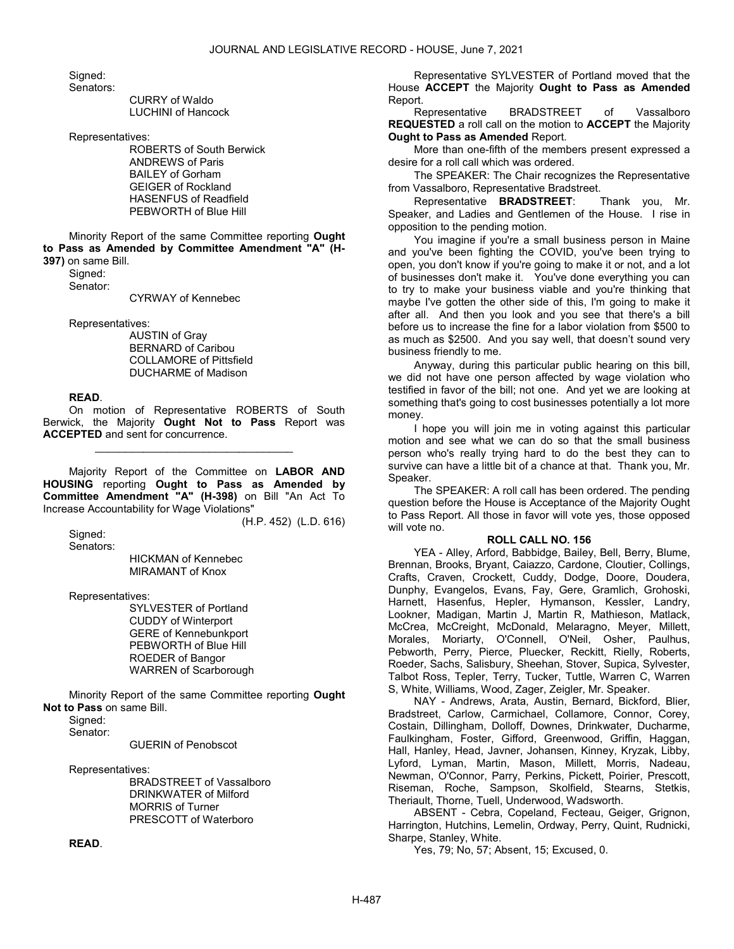Signed:

Senators:

 CURRY of Waldo LUCHINI of Hancock

Representatives:

 ROBERTS of South Berwick ANDREWS of Paris BAILEY of Gorham GEIGER of Rockland HASENFUS of Readfield PEBWORTH of Blue Hill

 Minority Report of the same Committee reporting Ought to Pass as Amended by Committee Amendment "A" (H-397) on same Bill.

Signed: Senator:

CYRWAY of Kennebec

Representatives:

 AUSTIN of Gray BERNARD of Caribou COLLAMORE of Pittsfield DUCHARME of Madison

# READ.

 On motion of Representative ROBERTS of South Berwick, the Majority Ought Not to Pass Report was ACCEPTED and sent for concurrence.

\_\_\_\_\_\_\_\_\_\_\_\_\_\_\_\_\_\_\_\_\_\_\_\_\_\_\_\_\_\_\_\_\_

 Majority Report of the Committee on LABOR AND HOUSING reporting Ought to Pass as Amended by Committee Amendment "A" (H-398) on Bill "An Act To Increase Accountability for Wage Violations"

(H.P. 452) (L.D. 616)

 Signed: Senators:

 HICKMAN of Kennebec MIRAMANT of Knox

Representatives:

 SYLVESTER of Portland CUDDY of Winterport GERE of Kennebunkport PEBWORTH of Blue Hill ROEDER of Bangor WARREN of Scarborough

 Minority Report of the same Committee reporting Ought Not to Pass on same Bill.

Signed:

Senator:

GUERIN of Penobscot

Representatives:

 BRADSTREET of Vassalboro DRINKWATER of Milford MORRIS of Turner PRESCOTT of Waterboro

READ.

 Representative SYLVESTER of Portland moved that the House ACCEPT the Majority Ought to Pass as Amended Report.

 Representative BRADSTREET of Vassalboro REQUESTED a roll call on the motion to ACCEPT the Majority Ought to Pass as Amended Report.

 More than one-fifth of the members present expressed a desire for a roll call which was ordered.

 The SPEAKER: The Chair recognizes the Representative from Vassalboro, Representative Bradstreet.

 Representative BRADSTREET: Thank you, Mr. Speaker, and Ladies and Gentlemen of the House. I rise in opposition to the pending motion.

 You imagine if you're a small business person in Maine and you've been fighting the COVID, you've been trying to open, you don't know if you're going to make it or not, and a lot of businesses don't make it. You've done everything you can to try to make your business viable and you're thinking that maybe I've gotten the other side of this, I'm going to make it after all. And then you look and you see that there's a bill before us to increase the fine for a labor violation from \$500 to as much as \$2500. And you say well, that doesn't sound very business friendly to me.

 Anyway, during this particular public hearing on this bill, we did not have one person affected by wage violation who testified in favor of the bill; not one. And yet we are looking at something that's going to cost businesses potentially a lot more money.

 I hope you will join me in voting against this particular motion and see what we can do so that the small business person who's really trying hard to do the best they can to survive can have a little bit of a chance at that. Thank you, Mr. Speaker.

 The SPEAKER: A roll call has been ordered. The pending question before the House is Acceptance of the Majority Ought to Pass Report. All those in favor will vote yes, those opposed will vote no.

# ROLL CALL NO. 156

 YEA - Alley, Arford, Babbidge, Bailey, Bell, Berry, Blume, Brennan, Brooks, Bryant, Caiazzo, Cardone, Cloutier, Collings, Crafts, Craven, Crockett, Cuddy, Dodge, Doore, Doudera, Dunphy, Evangelos, Evans, Fay, Gere, Gramlich, Grohoski, Harnett, Hasenfus, Hepler, Hymanson, Kessler, Landry, Lookner, Madigan, Martin J, Martin R, Mathieson, Matlack, McCrea, McCreight, McDonald, Melaragno, Meyer, Millett, Morales, Moriarty, O'Connell, O'Neil, Osher, Paulhus, Pebworth, Perry, Pierce, Pluecker, Reckitt, Rielly, Roberts, Roeder, Sachs, Salisbury, Sheehan, Stover, Supica, Sylvester, Talbot Ross, Tepler, Terry, Tucker, Tuttle, Warren C, Warren S, White, Williams, Wood, Zager, Zeigler, Mr. Speaker.

 NAY - Andrews, Arata, Austin, Bernard, Bickford, Blier, Bradstreet, Carlow, Carmichael, Collamore, Connor, Corey, Costain, Dillingham, Dolloff, Downes, Drinkwater, Ducharme, Faulkingham, Foster, Gifford, Greenwood, Griffin, Haggan, Hall, Hanley, Head, Javner, Johansen, Kinney, Kryzak, Libby, Lyford, Lyman, Martin, Mason, Millett, Morris, Nadeau, Newman, O'Connor, Parry, Perkins, Pickett, Poirier, Prescott, Riseman, Roche, Sampson, Skolfield, Stearns, Stetkis, Theriault, Thorne, Tuell, Underwood, Wadsworth.

 ABSENT - Cebra, Copeland, Fecteau, Geiger, Grignon, Harrington, Hutchins, Lemelin, Ordway, Perry, Quint, Rudnicki, Sharpe, Stanley, White.

Yes, 79; No, 57; Absent, 15; Excused, 0.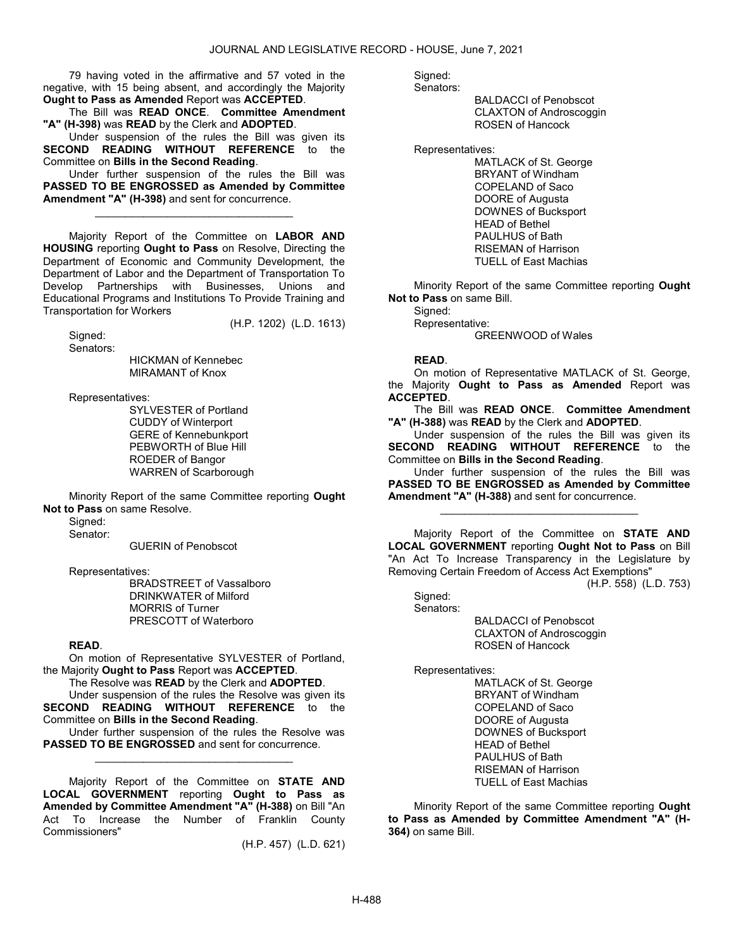79 having voted in the affirmative and 57 voted in the negative, with 15 being absent, and accordingly the Majority Ought to Pass as Amended Report was ACCEPTED.

 The Bill was READ ONCE. Committee Amendment "A" (H-398) was READ by the Clerk and ADOPTED.

 Under suspension of the rules the Bill was given its SECOND READING WITHOUT REFERENCE to the Committee on Bills in the Second Reading.

 Under further suspension of the rules the Bill was PASSED TO BE ENGROSSED as Amended by Committee Amendment "A" (H-398) and sent for concurrence.

\_\_\_\_\_\_\_\_\_\_\_\_\_\_\_\_\_\_\_\_\_\_\_\_\_\_\_\_\_\_\_\_\_

 Majority Report of the Committee on LABOR AND HOUSING reporting Ought to Pass on Resolve, Directing the Department of Economic and Community Development, the Department of Labor and the Department of Transportation To Develop Partnerships with Businesses, Unions and Educational Programs and Institutions To Provide Training and Transportation for Workers

(H.P. 1202) (L.D. 1613)

 Signed: Senators:

 HICKMAN of Kennebec MIRAMANT of Knox

Representatives:

 SYLVESTER of Portland CUDDY of Winterport GERE of Kennebunkport PEBWORTH of Blue Hill ROEDER of Bangor WARREN of Scarborough

 Minority Report of the same Committee reporting Ought Not to Pass on same Resolve.

Signed:

Senator:

GUERIN of Penobscot

Representatives:

 BRADSTREET of Vassalboro DRINKWATER of Milford MORRIS of Turner PRESCOTT of Waterboro

# READ.

 On motion of Representative SYLVESTER of Portland, the Majority Ought to Pass Report was ACCEPTED.

 The Resolve was READ by the Clerk and ADOPTED. Under suspension of the rules the Resolve was given its

SECOND READING WITHOUT REFERENCE to the Committee on Bills in the Second Reading.

 Under further suspension of the rules the Resolve was PASSED TO BE ENGROSSED and sent for concurrence. \_\_\_\_\_\_\_\_\_\_\_\_\_\_\_\_\_\_\_\_\_\_\_\_\_\_\_\_\_\_\_\_\_

 Majority Report of the Committee on STATE AND LOCAL GOVERNMENT reporting Ought to Pass as Amended by Committee Amendment "A" (H-388) on Bill "An Act To Increase the Number of Franklin County Commissioners"

(H.P. 457) (L.D. 621)

Signed:

Senators:

 BALDACCI of Penobscot CLAXTON of Androscoggin ROSEN of Hancock

Representatives:

 MATLACK of St. George BRYANT of Windham COPELAND of Saco DOORE of Augusta DOWNES of Bucksport HEAD of Bethel PAULHUS of Bath RISEMAN of Harrison TUELL of East Machias

 Minority Report of the same Committee reporting Ought Not to Pass on same Bill.

Signed: Representative:

GREENWOOD of Wales

# READ.

 On motion of Representative MATLACK of St. George, the Majority Ought to Pass as Amended Report was ACCEPTED.

 The Bill was READ ONCE. Committee Amendment "A" (H-388) was READ by the Clerk and ADOPTED.

 Under suspension of the rules the Bill was given its SECOND READING WITHOUT REFERENCE to the Committee on Bills in the Second Reading.

 Under further suspension of the rules the Bill was PASSED TO BE ENGROSSED as Amended by Committee Amendment "A" (H-388) and sent for concurrence.

\_\_\_\_\_\_\_\_\_\_\_\_\_\_\_\_\_\_\_\_\_\_\_\_\_\_\_\_\_\_\_\_\_

 Majority Report of the Committee on STATE AND LOCAL GOVERNMENT reporting Ought Not to Pass on Bill "An Act To Increase Transparency in the Legislature by Removing Certain Freedom of Access Act Exemptions"

(H.P. 558) (L.D. 753)

 Signed: Senators:

 BALDACCI of Penobscot CLAXTON of Androscoggin ROSEN of Hancock

Representatives:

 MATLACK of St. George BRYANT of Windham COPELAND of Saco DOORE of Augusta DOWNES of Bucksport HEAD of Bethel PAULHUS of Bath RISEMAN of Harrison TUELL of East Machias

 Minority Report of the same Committee reporting Ought to Pass as Amended by Committee Amendment "A" (H-364) on same Bill.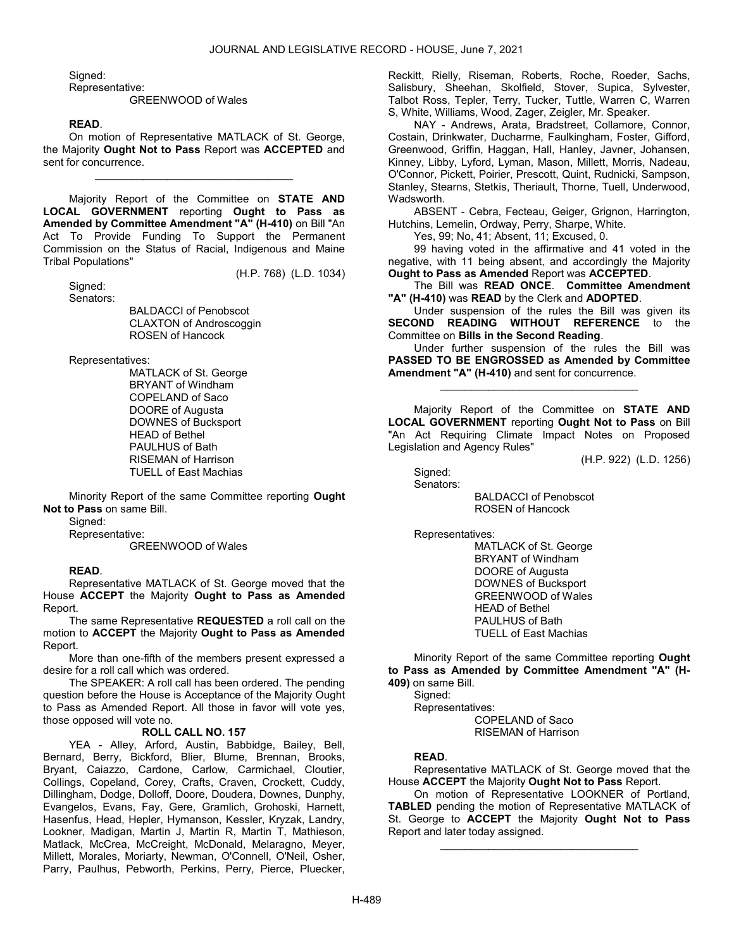Signed:

Representative:

GREENWOOD of Wales

#### READ.

 On motion of Representative MATLACK of St. George, the Majority Ought Not to Pass Report was ACCEPTED and sent for concurrence.

\_\_\_\_\_\_\_\_\_\_\_\_\_\_\_\_\_\_\_\_\_\_\_\_\_\_\_\_\_\_\_\_\_

 Majority Report of the Committee on STATE AND LOCAL GOVERNMENT reporting Ought to Pass as Amended by Committee Amendment "A" (H-410) on Bill "An Act To Provide Funding To Support the Permanent Commission on the Status of Racial, Indigenous and Maine Tribal Populations"

(H.P. 768) (L.D. 1034)

 Signed: Senators:

> BALDACCI of Penobscot CLAXTON of Androscoggin ROSEN of Hancock

Representatives:

 MATLACK of St. George BRYANT of Windham COPELAND of Saco DOORE of Augusta DOWNES of Bucksport HEAD of Bethel PAULHUS of Bath RISEMAN of Harrison TUELL of East Machias

 Minority Report of the same Committee reporting Ought Not to Pass on same Bill.

Signed:

Representative:

GREENWOOD of Wales

#### READ.

 Representative MATLACK of St. George moved that the House ACCEPT the Majority Ought to Pass as Amended Report.

 The same Representative REQUESTED a roll call on the motion to ACCEPT the Majority Ought to Pass as Amended Report.

 More than one-fifth of the members present expressed a desire for a roll call which was ordered.

 The SPEAKER: A roll call has been ordered. The pending question before the House is Acceptance of the Majority Ought to Pass as Amended Report. All those in favor will vote yes, those opposed will vote no.

#### ROLL CALL NO. 157

 YEA - Alley, Arford, Austin, Babbidge, Bailey, Bell, Bernard, Berry, Bickford, Blier, Blume, Brennan, Brooks, Bryant, Caiazzo, Cardone, Carlow, Carmichael, Cloutier, Collings, Copeland, Corey, Crafts, Craven, Crockett, Cuddy, Dillingham, Dodge, Dolloff, Doore, Doudera, Downes, Dunphy, Evangelos, Evans, Fay, Gere, Gramlich, Grohoski, Harnett, Hasenfus, Head, Hepler, Hymanson, Kessler, Kryzak, Landry, Lookner, Madigan, Martin J, Martin R, Martin T, Mathieson, Matlack, McCrea, McCreight, McDonald, Melaragno, Meyer, Millett, Morales, Moriarty, Newman, O'Connell, O'Neil, Osher, Parry, Paulhus, Pebworth, Perkins, Perry, Pierce, Pluecker, Reckitt, Rielly, Riseman, Roberts, Roche, Roeder, Sachs, Salisbury, Sheehan, Skolfield, Stover, Supica, Sylvester, Talbot Ross, Tepler, Terry, Tucker, Tuttle, Warren C, Warren S, White, Williams, Wood, Zager, Zeigler, Mr. Speaker.

 NAY - Andrews, Arata, Bradstreet, Collamore, Connor, Costain, Drinkwater, Ducharme, Faulkingham, Foster, Gifford, Greenwood, Griffin, Haggan, Hall, Hanley, Javner, Johansen, Kinney, Libby, Lyford, Lyman, Mason, Millett, Morris, Nadeau, O'Connor, Pickett, Poirier, Prescott, Quint, Rudnicki, Sampson, Stanley, Stearns, Stetkis, Theriault, Thorne, Tuell, Underwood, Wadsworth.

 ABSENT - Cebra, Fecteau, Geiger, Grignon, Harrington, Hutchins, Lemelin, Ordway, Perry, Sharpe, White.

Yes, 99; No, 41; Absent, 11; Excused, 0.

 99 having voted in the affirmative and 41 voted in the negative, with 11 being absent, and accordingly the Majority Ought to Pass as Amended Report was ACCEPTED.

 The Bill was READ ONCE. Committee Amendment "A" (H-410) was READ by the Clerk and ADOPTED.

 Under suspension of the rules the Bill was given its SECOND READING WITHOUT REFERENCE to the Committee on Bills in the Second Reading.

 Under further suspension of the rules the Bill was PASSED TO BE ENGROSSED as Amended by Committee Amendment "A" (H-410) and sent for concurrence.

\_\_\_\_\_\_\_\_\_\_\_\_\_\_\_\_\_\_\_\_\_\_\_\_\_\_\_\_\_\_\_\_\_

 Majority Report of the Committee on STATE AND LOCAL GOVERNMENT reporting Ought Not to Pass on Bill "An Act Requiring Climate Impact Notes on Proposed Legislation and Agency Rules"

(H.P. 922) (L.D. 1256)

 Signed: Senators:

 BALDACCI of Penobscot ROSEN of Hancock

Representatives:

 MATLACK of St. George BRYANT of Windham DOORE of Augusta DOWNES of Bucksport GREENWOOD of Wales HEAD of Bethel PAULHUS of Bath TUELL of East Machias

 Minority Report of the same Committee reporting Ought to Pass as Amended by Committee Amendment "A" (H-409) on same Bill.

Signed:

Representatives:

 COPELAND of Saco RISEMAN of Harrison

# READ.

 Representative MATLACK of St. George moved that the House ACCEPT the Majority Ought Not to Pass Report.

 On motion of Representative LOOKNER of Portland, TABLED pending the motion of Representative MATLACK of St. George to **ACCEPT** the Majority **Ought Not to Pass** Report and later today assigned.

\_\_\_\_\_\_\_\_\_\_\_\_\_\_\_\_\_\_\_\_\_\_\_\_\_\_\_\_\_\_\_\_\_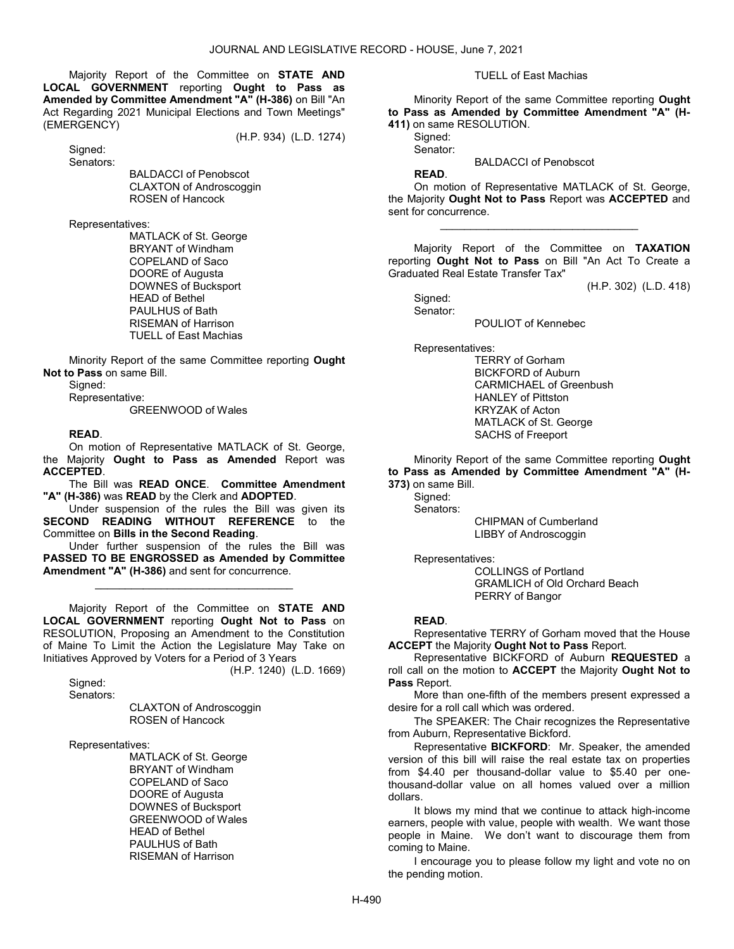Majority Report of the Committee on STATE AND LOCAL GOVERNMENT reporting Ought to Pass as Amended by Committee Amendment "A" (H-386) on Bill "An Act Regarding 2021 Municipal Elections and Town Meetings" (EMERGENCY)

(H.P. 934) (L.D. 1274)

 Signed: Senators:

> BALDACCI of Penobscot CLAXTON of Androscoggin ROSEN of Hancock

Representatives:

 MATLACK of St. George BRYANT of Windham COPELAND of Saco DOORE of Augusta DOWNES of Bucksport HEAD of Bethel PAULHUS of Bath RISEMAN of Harrison TUELL of East Machias

 Minority Report of the same Committee reporting Ought Not to Pass on same Bill.

Signed:

Representative:

GREENWOOD of Wales

# READ.

 On motion of Representative MATLACK of St. George, the Majority Ought to Pass as Amended Report was ACCEPTED.

 The Bill was READ ONCE. Committee Amendment "A" (H-386) was READ by the Clerk and ADOPTED.

 Under suspension of the rules the Bill was given its SECOND READING WITHOUT REFERENCE to the Committee on Bills in the Second Reading.

 Under further suspension of the rules the Bill was PASSED TO BE ENGROSSED as Amended by Committee Amendment "A" (H-386) and sent for concurrence.

\_\_\_\_\_\_\_\_\_\_\_\_\_\_\_\_\_\_\_\_\_\_\_\_\_\_\_\_\_\_\_\_\_

 Majority Report of the Committee on STATE AND LOCAL GOVERNMENT reporting Ought Not to Pass on RESOLUTION, Proposing an Amendment to the Constitution of Maine To Limit the Action the Legislature May Take on Initiatives Approved by Voters for a Period of 3 Years (H.P. 1240) (L.D. 1669)

Signed:

Senators:

 CLAXTON of Androscoggin ROSEN of Hancock

Representatives:

 MATLACK of St. George BRYANT of Windham COPELAND of Saco DOORE of Augusta DOWNES of Bucksport GREENWOOD of Wales HEAD of Bethel PAULHUS of Bath RISEMAN of Harrison

TUELL of East Machias

 Minority Report of the same Committee reporting Ought to Pass as Amended by Committee Amendment "A" (H-411) on same RESOLUTION.

Signed: Senator:

READ.

BALDACCI of Penobscot

 On motion of Representative MATLACK of St. George, the Majority Ought Not to Pass Report was ACCEPTED and sent for concurrence.

\_\_\_\_\_\_\_\_\_\_\_\_\_\_\_\_\_\_\_\_\_\_\_\_\_\_\_\_\_\_\_\_\_

 Majority Report of the Committee on TAXATION reporting Ought Not to Pass on Bill "An Act To Create a Graduated Real Estate Transfer Tax"

(H.P. 302) (L.D. 418)

 Signed: Senator:

POULIOT of Kennebec

Representatives:

 TERRY of Gorham BICKFORD of Auburn CARMICHAEL of Greenbush HANLEY of Pittston KRYZAK of Acton MATLACK of St. George SACHS of Freeport

 Minority Report of the same Committee reporting Ought to Pass as Amended by Committee Amendment "A" (H-373) on same Bill.

Sianed:

 Senators: CHIPMAN of Cumberland LIBBY of Androscoggin

Representatives:

 COLLINGS of Portland GRAMLICH of Old Orchard Beach PERRY of Bangor

#### READ.

 Representative TERRY of Gorham moved that the House **ACCEPT** the Majority **Ought Not to Pass** Report.

 Representative BICKFORD of Auburn REQUESTED a roll call on the motion to ACCEPT the Majority Ought Not to Pass Report.

 More than one-fifth of the members present expressed a desire for a roll call which was ordered.

 The SPEAKER: The Chair recognizes the Representative from Auburn, Representative Bickford.

 Representative BICKFORD: Mr. Speaker, the amended version of this bill will raise the real estate tax on properties from \$4.40 per thousand-dollar value to \$5.40 per onethousand-dollar value on all homes valued over a million dollars.

 It blows my mind that we continue to attack high-income earners, people with value, people with wealth. We want those people in Maine. We don't want to discourage them from coming to Maine.

 I encourage you to please follow my light and vote no on the pending motion.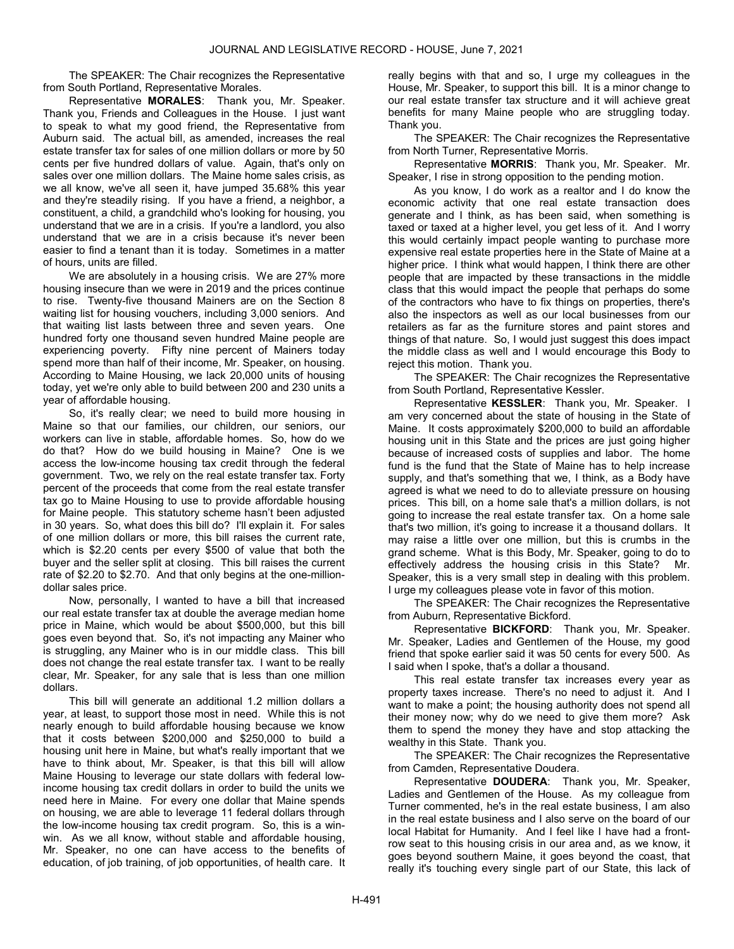The SPEAKER: The Chair recognizes the Representative from South Portland, Representative Morales.

 Representative MORALES: Thank you, Mr. Speaker. Thank you, Friends and Colleagues in the House. I just want to speak to what my good friend, the Representative from Auburn said. The actual bill, as amended, increases the real estate transfer tax for sales of one million dollars or more by 50 cents per five hundred dollars of value. Again, that's only on sales over one million dollars. The Maine home sales crisis, as we all know, we've all seen it, have jumped 35.68% this year and they're steadily rising. If you have a friend, a neighbor, a constituent, a child, a grandchild who's looking for housing, you understand that we are in a crisis. If you're a landlord, you also understand that we are in a crisis because it's never been easier to find a tenant than it is today. Sometimes in a matter of hours, units are filled.

 We are absolutely in a housing crisis. We are 27% more housing insecure than we were in 2019 and the prices continue to rise. Twenty-five thousand Mainers are on the Section 8 waiting list for housing vouchers, including 3,000 seniors. And that waiting list lasts between three and seven years. One hundred forty one thousand seven hundred Maine people are experiencing poverty. Fifty nine percent of Mainers today spend more than half of their income, Mr. Speaker, on housing. According to Maine Housing, we lack 20,000 units of housing today, yet we're only able to build between 200 and 230 units a year of affordable housing.

 So, it's really clear; we need to build more housing in Maine so that our families, our children, our seniors, our workers can live in stable, affordable homes. So, how do we do that? How do we build housing in Maine? One is we access the low-income housing tax credit through the federal government. Two, we rely on the real estate transfer tax. Forty percent of the proceeds that come from the real estate transfer tax go to Maine Housing to use to provide affordable housing for Maine people. This statutory scheme hasn't been adjusted in 30 years. So, what does this bill do? I'll explain it. For sales of one million dollars or more, this bill raises the current rate, which is \$2.20 cents per every \$500 of value that both the buyer and the seller split at closing. This bill raises the current rate of \$2.20 to \$2.70. And that only begins at the one-milliondollar sales price.

 Now, personally, I wanted to have a bill that increased our real estate transfer tax at double the average median home price in Maine, which would be about \$500,000, but this bill goes even beyond that. So, it's not impacting any Mainer who is struggling, any Mainer who is in our middle class. This bill does not change the real estate transfer tax. I want to be really clear, Mr. Speaker, for any sale that is less than one million dollars.

 This bill will generate an additional 1.2 million dollars a year, at least, to support those most in need. While this is not nearly enough to build affordable housing because we know that it costs between \$200,000 and \$250,000 to build a housing unit here in Maine, but what's really important that we have to think about, Mr. Speaker, is that this bill will allow Maine Housing to leverage our state dollars with federal lowincome housing tax credit dollars in order to build the units we need here in Maine. For every one dollar that Maine spends on housing, we are able to leverage 11 federal dollars through the low-income housing tax credit program. So, this is a winwin. As we all know, without stable and affordable housing, Mr. Speaker, no one can have access to the benefits of education, of job training, of job opportunities, of health care. It

really begins with that and so, I urge my colleagues in the House, Mr. Speaker, to support this bill. It is a minor change to our real estate transfer tax structure and it will achieve great benefits for many Maine people who are struggling today. Thank you.

 The SPEAKER: The Chair recognizes the Representative from North Turner, Representative Morris.

 Representative MORRIS: Thank you, Mr. Speaker. Mr. Speaker, I rise in strong opposition to the pending motion.

 As you know, I do work as a realtor and I do know the economic activity that one real estate transaction does generate and I think, as has been said, when something is taxed or taxed at a higher level, you get less of it. And I worry this would certainly impact people wanting to purchase more expensive real estate properties here in the State of Maine at a higher price. I think what would happen, I think there are other people that are impacted by these transactions in the middle class that this would impact the people that perhaps do some of the contractors who have to fix things on properties, there's also the inspectors as well as our local businesses from our retailers as far as the furniture stores and paint stores and things of that nature. So, I would just suggest this does impact the middle class as well and I would encourage this Body to reject this motion. Thank you.

 The SPEAKER: The Chair recognizes the Representative from South Portland, Representative Kessler.

Representative KESSLER: Thank you, Mr. Speaker. I am very concerned about the state of housing in the State of Maine. It costs approximately \$200,000 to build an affordable housing unit in this State and the prices are just going higher because of increased costs of supplies and labor. The home fund is the fund that the State of Maine has to help increase supply, and that's something that we, I think, as a Body have agreed is what we need to do to alleviate pressure on housing prices. This bill, on a home sale that's a million dollars, is not going to increase the real estate transfer tax. On a home sale that's two million, it's going to increase it a thousand dollars. It may raise a little over one million, but this is crumbs in the grand scheme. What is this Body, Mr. Speaker, going to do to effectively address the housing crisis in this State? Mr. Speaker, this is a very small step in dealing with this problem. I urge my colleagues please vote in favor of this motion.

 The SPEAKER: The Chair recognizes the Representative from Auburn, Representative Bickford.

 Representative BICKFORD: Thank you, Mr. Speaker. Mr. Speaker, Ladies and Gentlemen of the House, my good friend that spoke earlier said it was 50 cents for every 500. As I said when I spoke, that's a dollar a thousand.

 This real estate transfer tax increases every year as property taxes increase. There's no need to adjust it. And I want to make a point; the housing authority does not spend all their money now; why do we need to give them more? Ask them to spend the money they have and stop attacking the wealthy in this State. Thank you.

 The SPEAKER: The Chair recognizes the Representative from Camden, Representative Doudera.

 Representative DOUDERA: Thank you, Mr. Speaker, Ladies and Gentlemen of the House. As my colleague from Turner commented, he's in the real estate business, I am also in the real estate business and I also serve on the board of our local Habitat for Humanity. And I feel like I have had a frontrow seat to this housing crisis in our area and, as we know, it goes beyond southern Maine, it goes beyond the coast, that really it's touching every single part of our State, this lack of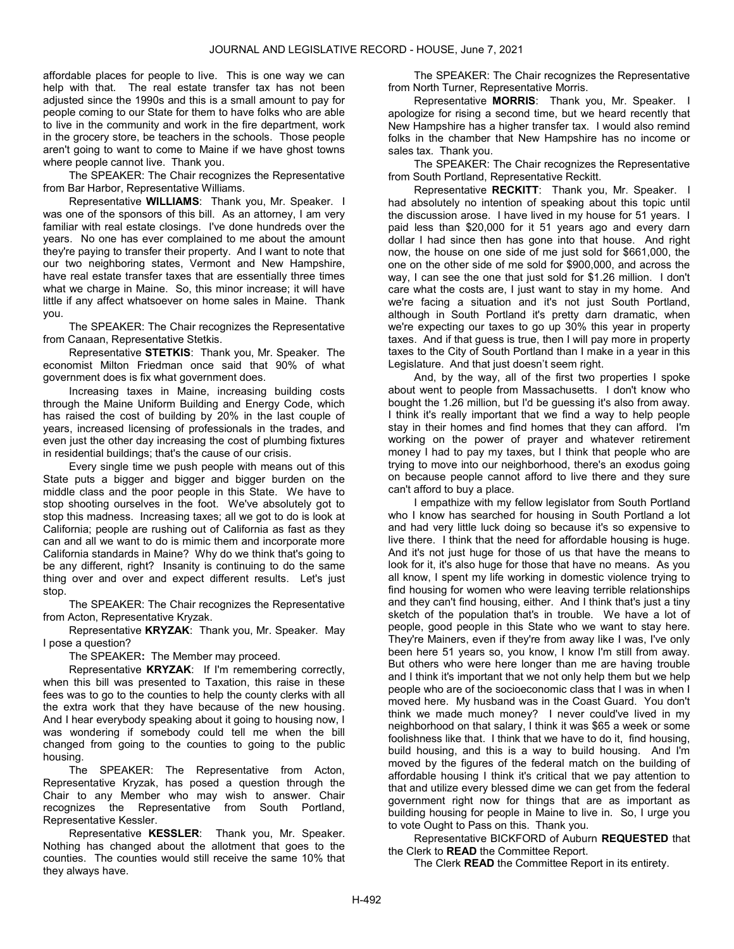affordable places for people to live. This is one way we can help with that. The real estate transfer tax has not been adjusted since the 1990s and this is a small amount to pay for people coming to our State for them to have folks who are able to live in the community and work in the fire department, work in the grocery store, be teachers in the schools. Those people aren't going to want to come to Maine if we have ghost towns where people cannot live. Thank you.

 The SPEAKER: The Chair recognizes the Representative from Bar Harbor, Representative Williams.

 Representative WILLIAMS: Thank you, Mr. Speaker. I was one of the sponsors of this bill. As an attorney, I am very familiar with real estate closings. I've done hundreds over the years. No one has ever complained to me about the amount they're paying to transfer their property. And I want to note that our two neighboring states, Vermont and New Hampshire, have real estate transfer taxes that are essentially three times what we charge in Maine. So, this minor increase; it will have little if any affect whatsoever on home sales in Maine. Thank you.

 The SPEAKER: The Chair recognizes the Representative from Canaan, Representative Stetkis.

 Representative STETKIS: Thank you, Mr. Speaker. The economist Milton Friedman once said that 90% of what government does is fix what government does.

 Increasing taxes in Maine, increasing building costs through the Maine Uniform Building and Energy Code, which has raised the cost of building by 20% in the last couple of years, increased licensing of professionals in the trades, and even just the other day increasing the cost of plumbing fixtures in residential buildings; that's the cause of our crisis.

 Every single time we push people with means out of this State puts a bigger and bigger and bigger burden on the middle class and the poor people in this State. We have to stop shooting ourselves in the foot. We've absolutely got to stop this madness. Increasing taxes; all we got to do is look at California; people are rushing out of California as fast as they can and all we want to do is mimic them and incorporate more California standards in Maine? Why do we think that's going to be any different, right? Insanity is continuing to do the same thing over and over and expect different results. Let's just stop.

 The SPEAKER: The Chair recognizes the Representative from Acton, Representative Kryzak.

 Representative KRYZAK: Thank you, Mr. Speaker. May I pose a question?

The SPEAKER: The Member may proceed.

Representative KRYZAK: If I'm remembering correctly, when this bill was presented to Taxation, this raise in these fees was to go to the counties to help the county clerks with all the extra work that they have because of the new housing. And I hear everybody speaking about it going to housing now, I was wondering if somebody could tell me when the bill changed from going to the counties to going to the public housing.

 The SPEAKER: The Representative from Acton, Representative Kryzak, has posed a question through the Chair to any Member who may wish to answer. Chair recognizes the Representative from South Portland, Representative Kessler.

Representative KESSLER: Thank you, Mr. Speaker. Nothing has changed about the allotment that goes to the counties. The counties would still receive the same 10% that they always have.

 The SPEAKER: The Chair recognizes the Representative from North Turner, Representative Morris.

 Representative MORRIS: Thank you, Mr. Speaker. I apologize for rising a second time, but we heard recently that New Hampshire has a higher transfer tax. I would also remind folks in the chamber that New Hampshire has no income or sales tax. Thank you.

 The SPEAKER: The Chair recognizes the Representative from South Portland, Representative Reckitt.

Representative RECKITT: Thank you, Mr. Speaker. I had absolutely no intention of speaking about this topic until the discussion arose. I have lived in my house for 51 years. I paid less than \$20,000 for it 51 years ago and every darn dollar I had since then has gone into that house. And right now, the house on one side of me just sold for \$661,000, the one on the other side of me sold for \$900,000, and across the way, I can see the one that just sold for \$1.26 million. I don't care what the costs are, I just want to stay in my home. And we're facing a situation and it's not just South Portland, although in South Portland it's pretty darn dramatic, when we're expecting our taxes to go up 30% this year in property taxes. And if that guess is true, then I will pay more in property taxes to the City of South Portland than I make in a year in this Legislature. And that just doesn't seem right.

 And, by the way, all of the first two properties I spoke about went to people from Massachusetts. I don't know who bought the 1.26 million, but I'd be guessing it's also from away. I think it's really important that we find a way to help people stay in their homes and find homes that they can afford. I'm working on the power of prayer and whatever retirement money I had to pay my taxes, but I think that people who are trying to move into our neighborhood, there's an exodus going on because people cannot afford to live there and they sure can't afford to buy a place.

 I empathize with my fellow legislator from South Portland who I know has searched for housing in South Portland a lot and had very little luck doing so because it's so expensive to live there. I think that the need for affordable housing is huge. And it's not just huge for those of us that have the means to look for it, it's also huge for those that have no means. As you all know, I spent my life working in domestic violence trying to find housing for women who were leaving terrible relationships and they can't find housing, either. And I think that's just a tiny sketch of the population that's in trouble. We have a lot of people, good people in this State who we want to stay here. They're Mainers, even if they're from away like I was, I've only been here 51 years so, you know, I know I'm still from away. But others who were here longer than me are having trouble and I think it's important that we not only help them but we help people who are of the socioeconomic class that I was in when I moved here. My husband was in the Coast Guard. You don't think we made much money? I never could've lived in my neighborhood on that salary, I think it was \$65 a week or some foolishness like that. I think that we have to do it, find housing, build housing, and this is a way to build housing. And I'm moved by the figures of the federal match on the building of affordable housing I think it's critical that we pay attention to that and utilize every blessed dime we can get from the federal government right now for things that are as important as building housing for people in Maine to live in. So, I urge you to vote Ought to Pass on this. Thank you.

 Representative BICKFORD of Auburn REQUESTED that the Clerk to READ the Committee Report.

The Clerk READ the Committee Report in its entirety.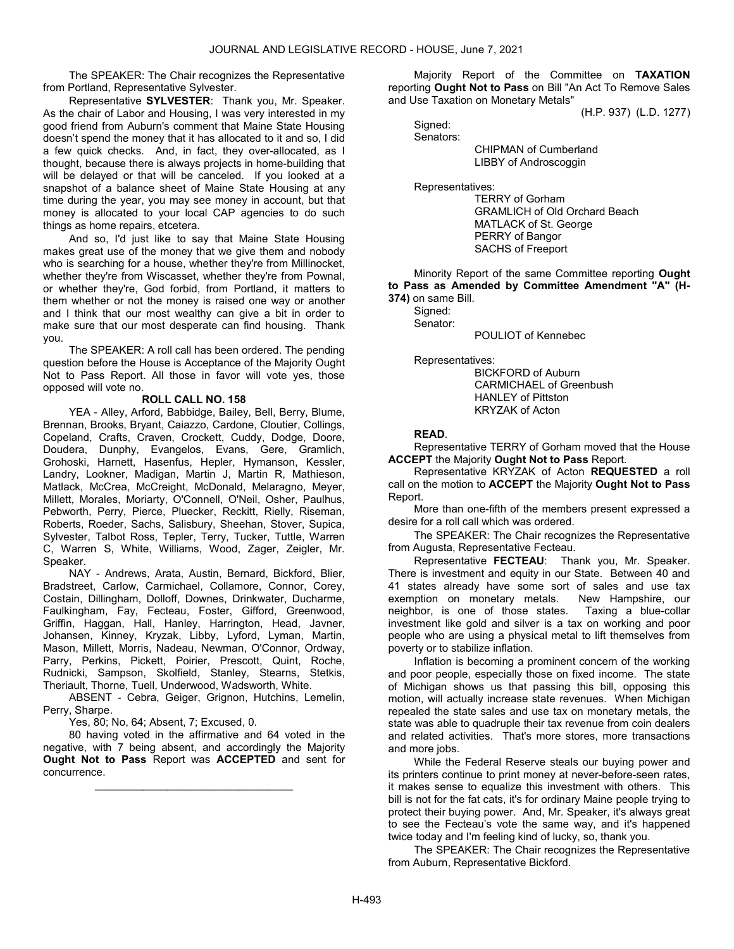The SPEAKER: The Chair recognizes the Representative from Portland, Representative Sylvester.

Representative SYLVESTER: Thank you, Mr. Speaker. As the chair of Labor and Housing, I was very interested in my good friend from Auburn's comment that Maine State Housing doesn't spend the money that it has allocated to it and so, I did a few quick checks. And, in fact, they over-allocated, as I thought, because there is always projects in home-building that will be delayed or that will be canceled. If you looked at a snapshot of a balance sheet of Maine State Housing at any time during the year, you may see money in account, but that money is allocated to your local CAP agencies to do such things as home repairs, etcetera.

 And so, I'd just like to say that Maine State Housing makes great use of the money that we give them and nobody who is searching for a house, whether they're from Millinocket, whether they're from Wiscasset, whether they're from Pownal, or whether they're, God forbid, from Portland, it matters to them whether or not the money is raised one way or another and I think that our most wealthy can give a bit in order to make sure that our most desperate can find housing. Thank you.

 The SPEAKER: A roll call has been ordered. The pending question before the House is Acceptance of the Majority Ought Not to Pass Report. All those in favor will vote yes, those opposed will vote no.

# ROLL CALL NO. 158

 YEA - Alley, Arford, Babbidge, Bailey, Bell, Berry, Blume, Brennan, Brooks, Bryant, Caiazzo, Cardone, Cloutier, Collings, Copeland, Crafts, Craven, Crockett, Cuddy, Dodge, Doore, Doudera, Dunphy, Evangelos, Evans, Gere, Gramlich, Grohoski, Harnett, Hasenfus, Hepler, Hymanson, Kessler, Landry, Lookner, Madigan, Martin J, Martin R, Mathieson, Matlack, McCrea, McCreight, McDonald, Melaragno, Meyer, Millett, Morales, Moriarty, O'Connell, O'Neil, Osher, Paulhus, Pebworth, Perry, Pierce, Pluecker, Reckitt, Rielly, Riseman, Roberts, Roeder, Sachs, Salisbury, Sheehan, Stover, Supica, Sylvester, Talbot Ross, Tepler, Terry, Tucker, Tuttle, Warren C, Warren S, White, Williams, Wood, Zager, Zeigler, Mr. Speaker.

 NAY - Andrews, Arata, Austin, Bernard, Bickford, Blier, Bradstreet, Carlow, Carmichael, Collamore, Connor, Corey, Costain, Dillingham, Dolloff, Downes, Drinkwater, Ducharme, Faulkingham, Fay, Fecteau, Foster, Gifford, Greenwood, Griffin, Haggan, Hall, Hanley, Harrington, Head, Javner, Johansen, Kinney, Kryzak, Libby, Lyford, Lyman, Martin, Mason, Millett, Morris, Nadeau, Newman, O'Connor, Ordway, Parry, Perkins, Pickett, Poirier, Prescott, Quint, Roche, Rudnicki, Sampson, Skolfield, Stanley, Stearns, Stetkis, Theriault, Thorne, Tuell, Underwood, Wadsworth, White.

 ABSENT - Cebra, Geiger, Grignon, Hutchins, Lemelin, Perry, Sharpe.

Yes, 80; No, 64; Absent, 7; Excused, 0.

 80 having voted in the affirmative and 64 voted in the negative, with 7 being absent, and accordingly the Majority Ought Not to Pass Report was ACCEPTED and sent for concurrence.

\_\_\_\_\_\_\_\_\_\_\_\_\_\_\_\_\_\_\_\_\_\_\_\_\_\_\_\_\_\_\_\_\_

 Majority Report of the Committee on TAXATION reporting Ought Not to Pass on Bill "An Act To Remove Sales and Use Taxation on Monetary Metals"

(H.P. 937) (L.D. 1277)

 Signed: Senators:

 CHIPMAN of Cumberland LIBBY of Androscoggin

Representatives:

 TERRY of Gorham GRAMLICH of Old Orchard Beach MATLACK of St. George PERRY of Bangor SACHS of Freeport

 Minority Report of the same Committee reporting Ought to Pass as Amended by Committee Amendment "A" (H-374) on same Bill.

Signed:

Senator:

POULIOT of Kennebec

Representatives:

 BICKFORD of Auburn CARMICHAEL of Greenbush HANLEY of Pittston KRYZAK of Acton

# READ.

 Representative TERRY of Gorham moved that the House ACCEPT the Majority Ought Not to Pass Report.

 Representative KRYZAK of Acton REQUESTED a roll call on the motion to ACCEPT the Majority Ought Not to Pass Report.

 More than one-fifth of the members present expressed a desire for a roll call which was ordered.

 The SPEAKER: The Chair recognizes the Representative from Augusta, Representative Fecteau.

 Representative FECTEAU: Thank you, Mr. Speaker. There is investment and equity in our State. Between 40 and 41 states already have some sort of sales and use tax exemption on monetary metals. New Hampshire, our neighbor, is one of those states. Taxing a blue-collar investment like gold and silver is a tax on working and poor people who are using a physical metal to lift themselves from poverty or to stabilize inflation.

 Inflation is becoming a prominent concern of the working and poor people, especially those on fixed income. The state of Michigan shows us that passing this bill, opposing this motion, will actually increase state revenues. When Michigan repealed the state sales and use tax on monetary metals, the state was able to quadruple their tax revenue from coin dealers and related activities. That's more stores, more transactions and more jobs.

 While the Federal Reserve steals our buying power and its printers continue to print money at never-before-seen rates, it makes sense to equalize this investment with others. This bill is not for the fat cats, it's for ordinary Maine people trying to protect their buying power. And, Mr. Speaker, it's always great to see the Fecteau's vote the same way, and it's happened twice today and I'm feeling kind of lucky, so, thank you.

 The SPEAKER: The Chair recognizes the Representative from Auburn, Representative Bickford.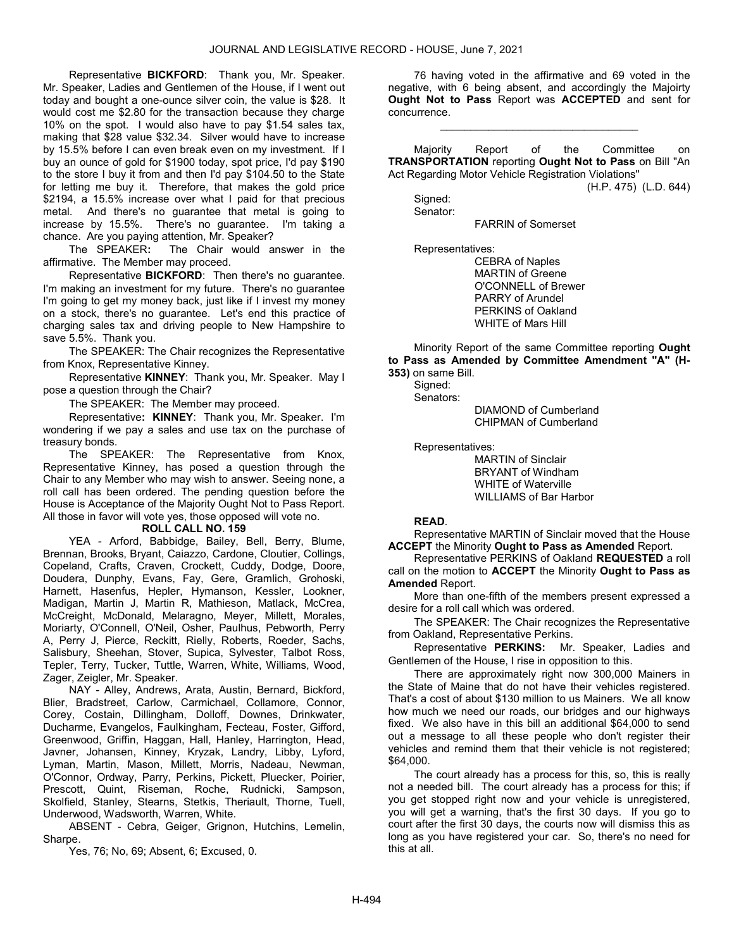Representative BICKFORD: Thank you, Mr. Speaker. Mr. Speaker, Ladies and Gentlemen of the House, if I went out today and bought a one-ounce silver coin, the value is \$28. It would cost me \$2.80 for the transaction because they charge 10% on the spot. I would also have to pay \$1.54 sales tax, making that \$28 value \$32.34. Silver would have to increase by 15.5% before I can even break even on my investment. If I buy an ounce of gold for \$1900 today, spot price, I'd pay \$190 to the store I buy it from and then I'd pay \$104.50 to the State for letting me buy it. Therefore, that makes the gold price \$2194, a 15.5% increase over what I paid for that precious metal. And there's no guarantee that metal is going to increase by 15.5%. There's no guarantee. I'm taking a chance. Are you paying attention, Mr. Speaker?

 The SPEAKER: The Chair would answer in the affirmative. The Member may proceed.

 Representative BICKFORD: Then there's no guarantee. I'm making an investment for my future. There's no guarantee I'm going to get my money back, just like if I invest my money on a stock, there's no guarantee. Let's end this practice of charging sales tax and driving people to New Hampshire to save 5.5%. Thank you.

 The SPEAKER: The Chair recognizes the Representative from Knox, Representative Kinney.

 Representative KINNEY: Thank you, Mr. Speaker. May I pose a question through the Chair?

The SPEAKER: The Member may proceed.

 Representative: KINNEY: Thank you, Mr. Speaker. I'm wondering if we pay a sales and use tax on the purchase of treasury bonds.

 The SPEAKER: The Representative from Knox, Representative Kinney, has posed a question through the Chair to any Member who may wish to answer. Seeing none, a roll call has been ordered. The pending question before the House is Acceptance of the Majority Ought Not to Pass Report. All those in favor will vote yes, those opposed will vote no.

#### ROLL CALL NO. 159

 YEA - Arford, Babbidge, Bailey, Bell, Berry, Blume, Brennan, Brooks, Bryant, Caiazzo, Cardone, Cloutier, Collings, Copeland, Crafts, Craven, Crockett, Cuddy, Dodge, Doore, Doudera, Dunphy, Evans, Fay, Gere, Gramlich, Grohoski, Harnett, Hasenfus, Hepler, Hymanson, Kessler, Lookner, Madigan, Martin J, Martin R, Mathieson, Matlack, McCrea, McCreight, McDonald, Melaragno, Meyer, Millett, Morales, Moriarty, O'Connell, O'Neil, Osher, Paulhus, Pebworth, Perry A, Perry J, Pierce, Reckitt, Rielly, Roberts, Roeder, Sachs, Salisbury, Sheehan, Stover, Supica, Sylvester, Talbot Ross, Tepler, Terry, Tucker, Tuttle, Warren, White, Williams, Wood, Zager, Zeigler, Mr. Speaker.

 NAY - Alley, Andrews, Arata, Austin, Bernard, Bickford, Blier, Bradstreet, Carlow, Carmichael, Collamore, Connor, Corey, Costain, Dillingham, Dolloff, Downes, Drinkwater, Ducharme, Evangelos, Faulkingham, Fecteau, Foster, Gifford, Greenwood, Griffin, Haggan, Hall, Hanley, Harrington, Head, Javner, Johansen, Kinney, Kryzak, Landry, Libby, Lyford, Lyman, Martin, Mason, Millett, Morris, Nadeau, Newman, O'Connor, Ordway, Parry, Perkins, Pickett, Pluecker, Poirier, Prescott, Quint, Riseman, Roche, Rudnicki, Sampson, Skolfield, Stanley, Stearns, Stetkis, Theriault, Thorne, Tuell, Underwood, Wadsworth, Warren, White.

 ABSENT - Cebra, Geiger, Grignon, Hutchins, Lemelin, Sharpe.

Yes, 76; No, 69; Absent, 6; Excused, 0.

 76 having voted in the affirmative and 69 voted in the negative, with 6 being absent, and accordingly the Majoirty Ought Not to Pass Report was ACCEPTED and sent for concurrence.

\_\_\_\_\_\_\_\_\_\_\_\_\_\_\_\_\_\_\_\_\_\_\_\_\_\_\_\_\_\_\_\_\_

 Majority Report of the Committee on TRANSPORTATION reporting Ought Not to Pass on Bill "An Act Regarding Motor Vehicle Registration Violations"

(H.P. 475) (L.D. 644)

 Signed: Senator:

FARRIN of Somerset

Representatives:

 CEBRA of Naples MARTIN of Greene O'CONNELL of Brewer PARRY of Arundel PERKINS of Oakland WHITE of Mars Hill

 Minority Report of the same Committee reporting Ought to Pass as Amended by Committee Amendment "A" (H-353) on same Bill.

Signed:

Senators:

 DIAMOND of Cumberland CHIPMAN of Cumberland

Representatives:

 MARTIN of Sinclair BRYANT of Windham WHITE of Waterville WILLIAMS of Bar Harbor

# READ.

 Representative MARTIN of Sinclair moved that the House ACCEPT the Minority Ought to Pass as Amended Report.

 Representative PERKINS of Oakland REQUESTED a roll call on the motion to ACCEPT the Minority Ought to Pass as Amended Report.

 More than one-fifth of the members present expressed a desire for a roll call which was ordered.

 The SPEAKER: The Chair recognizes the Representative from Oakland, Representative Perkins.

 Representative PERKINS: Mr. Speaker, Ladies and Gentlemen of the House, I rise in opposition to this.

 There are approximately right now 300,000 Mainers in the State of Maine that do not have their vehicles registered. That's a cost of about \$130 million to us Mainers. We all know how much we need our roads, our bridges and our highways fixed. We also have in this bill an additional \$64,000 to send out a message to all these people who don't register their vehicles and remind them that their vehicle is not registered; \$64,000.

 The court already has a process for this, so, this is really not a needed bill. The court already has a process for this; if you get stopped right now and your vehicle is unregistered, you will get a warning, that's the first 30 days. If you go to court after the first 30 days, the courts now will dismiss this as long as you have registered your car. So, there's no need for this at all.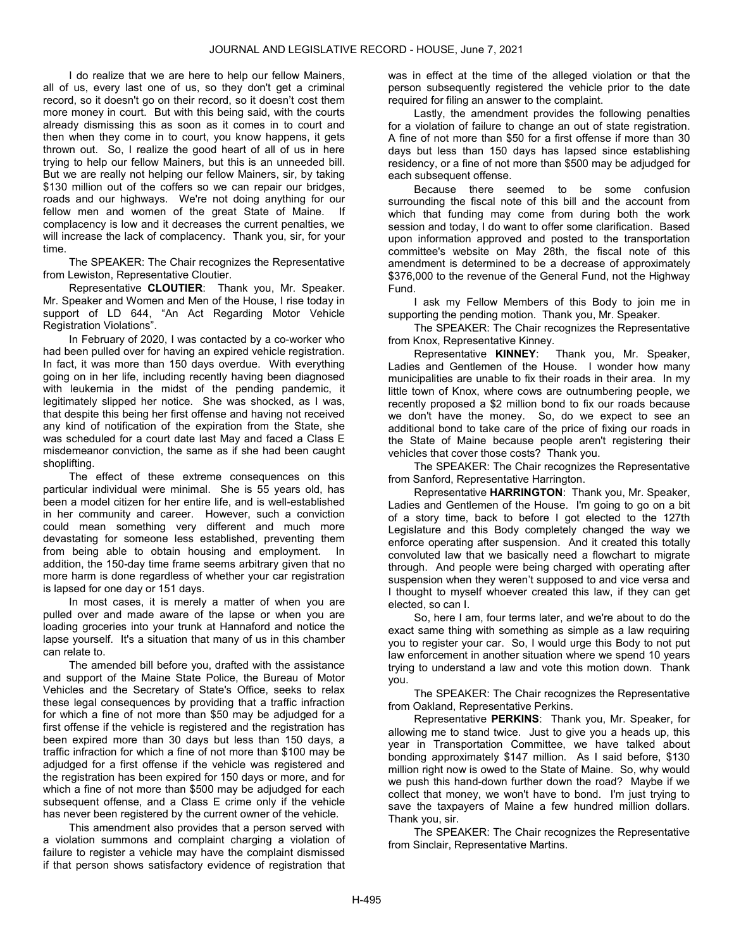I do realize that we are here to help our fellow Mainers, all of us, every last one of us, so they don't get a criminal record, so it doesn't go on their record, so it doesn't cost them more money in court. But with this being said, with the courts already dismissing this as soon as it comes in to court and then when they come in to court, you know happens, it gets thrown out. So, I realize the good heart of all of us in here trying to help our fellow Mainers, but this is an unneeded bill. But we are really not helping our fellow Mainers, sir, by taking \$130 million out of the coffers so we can repair our bridges. roads and our highways. We're not doing anything for our fellow men and women of the great State of Maine. If complacency is low and it decreases the current penalties, we will increase the lack of complacency. Thank you, sir, for your time.

 The SPEAKER: The Chair recognizes the Representative from Lewiston, Representative Cloutier.

 Representative CLOUTIER: Thank you, Mr. Speaker. Mr. Speaker and Women and Men of the House, I rise today in support of LD 644, "An Act Regarding Motor Vehicle Registration Violations".

 In February of 2020, I was contacted by a co-worker who had been pulled over for having an expired vehicle registration. In fact, it was more than 150 days overdue. With everything going on in her life, including recently having been diagnosed with leukemia in the midst of the pending pandemic, it legitimately slipped her notice. She was shocked, as I was, that despite this being her first offense and having not received any kind of notification of the expiration from the State, she was scheduled for a court date last May and faced a Class E misdemeanor conviction, the same as if she had been caught shoplifting.

 The effect of these extreme consequences on this particular individual were minimal. She is 55 years old, has been a model citizen for her entire life, and is well-established in her community and career. However, such a conviction could mean something very different and much more devastating for someone less established, preventing them from being able to obtain housing and employment. In addition, the 150-day time frame seems arbitrary given that no more harm is done regardless of whether your car registration is lapsed for one day or 151 days.

 In most cases, it is merely a matter of when you are pulled over and made aware of the lapse or when you are loading groceries into your trunk at Hannaford and notice the lapse yourself. It's a situation that many of us in this chamber can relate to.

 The amended bill before you, drafted with the assistance and support of the Maine State Police, the Bureau of Motor Vehicles and the Secretary of State's Office, seeks to relax these legal consequences by providing that a traffic infraction for which a fine of not more than \$50 may be adjudged for a first offense if the vehicle is registered and the registration has been expired more than 30 days but less than 150 days, a traffic infraction for which a fine of not more than \$100 may be adjudged for a first offense if the vehicle was registered and the registration has been expired for 150 days or more, and for which a fine of not more than \$500 may be adjudged for each subsequent offense, and a Class E crime only if the vehicle has never been registered by the current owner of the vehicle.

 This amendment also provides that a person served with a violation summons and complaint charging a violation of failure to register a vehicle may have the complaint dismissed if that person shows satisfactory evidence of registration that was in effect at the time of the alleged violation or that the person subsequently registered the vehicle prior to the date required for filing an answer to the complaint.

 Lastly, the amendment provides the following penalties for a violation of failure to change an out of state registration. A fine of not more than \$50 for a first offense if more than 30 days but less than 150 days has lapsed since establishing residency, or a fine of not more than \$500 may be adjudged for each subsequent offense.

 Because there seemed to be some confusion surrounding the fiscal note of this bill and the account from which that funding may come from during both the work session and today, I do want to offer some clarification. Based upon information approved and posted to the transportation committee's website on May 28th, the fiscal note of this amendment is determined to be a decrease of approximately \$376,000 to the revenue of the General Fund, not the Highway Fund.

 I ask my Fellow Members of this Body to join me in supporting the pending motion. Thank you, Mr. Speaker.

 The SPEAKER: The Chair recognizes the Representative from Knox, Representative Kinney.

 Representative KINNEY: Thank you, Mr. Speaker, Ladies and Gentlemen of the House. I wonder how many municipalities are unable to fix their roads in their area. In my little town of Knox, where cows are outnumbering people, we recently proposed a \$2 million bond to fix our roads because we don't have the money. So, do we expect to see an additional bond to take care of the price of fixing our roads in the State of Maine because people aren't registering their vehicles that cover those costs? Thank you.

 The SPEAKER: The Chair recognizes the Representative from Sanford, Representative Harrington.

 Representative HARRINGTON: Thank you, Mr. Speaker, Ladies and Gentlemen of the House. I'm going to go on a bit of a story time, back to before I got elected to the 127th Legislature and this Body completely changed the way we enforce operating after suspension. And it created this totally convoluted law that we basically need a flowchart to migrate through. And people were being charged with operating after suspension when they weren't supposed to and vice versa and I thought to myself whoever created this law, if they can get elected, so can I.

 So, here I am, four terms later, and we're about to do the exact same thing with something as simple as a law requiring you to register your car. So, I would urge this Body to not put law enforcement in another situation where we spend 10 years trying to understand a law and vote this motion down. Thank you.

 The SPEAKER: The Chair recognizes the Representative from Oakland, Representative Perkins.

 Representative PERKINS: Thank you, Mr. Speaker, for allowing me to stand twice. Just to give you a heads up, this year in Transportation Committee, we have talked about bonding approximately \$147 million. As I said before, \$130 million right now is owed to the State of Maine. So, why would we push this hand-down further down the road? Maybe if we collect that money, we won't have to bond. I'm just trying to save the taxpayers of Maine a few hundred million dollars. Thank you, sir.

 The SPEAKER: The Chair recognizes the Representative from Sinclair, Representative Martins.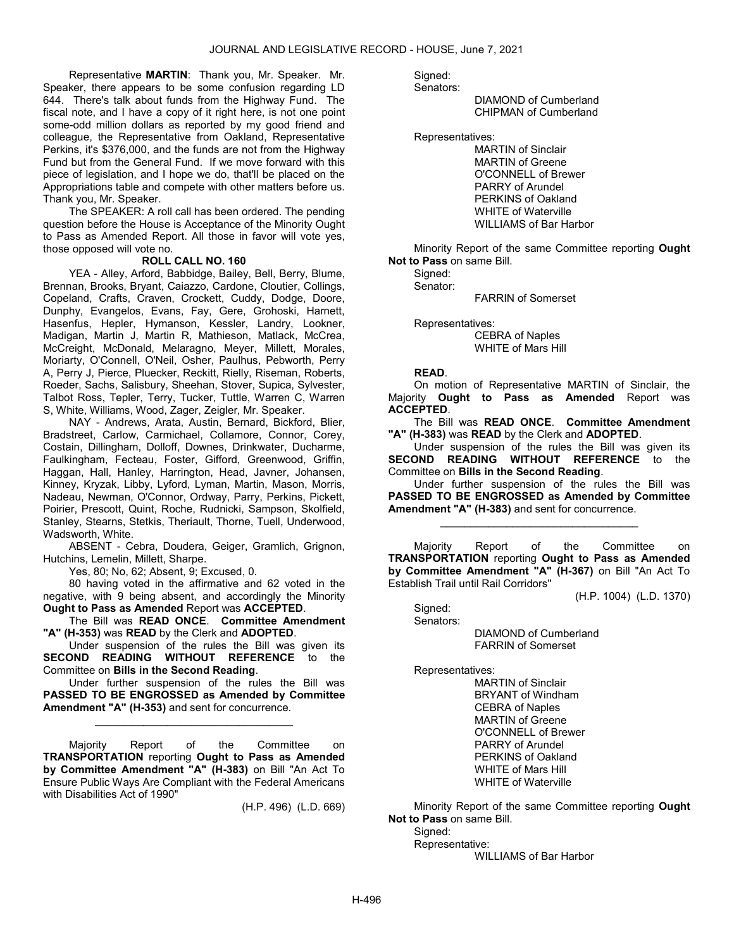Representative MARTIN: Thank you, Mr. Speaker. Mr. Speaker, there appears to be some confusion regarding LD 644. There's talk about funds from the Highway Fund. The fiscal note, and I have a copy of it right here, is not one point some-odd million dollars as reported by my good friend and colleague, the Representative from Oakland, Representative Perkins, it's \$376,000, and the funds are not from the Highway Fund but from the General Fund. If we move forward with this piece of legislation, and I hope we do, that'll be placed on the Appropriations table and compete with other matters before us. Thank you, Mr. Speaker.

 The SPEAKER: A roll call has been ordered. The pending question before the House is Acceptance of the Minority Ought to Pass as Amended Report. All those in favor will vote yes, those opposed will vote no.

#### ROLL CALL NO. 160

 YEA - Alley, Arford, Babbidge, Bailey, Bell, Berry, Blume, Brennan, Brooks, Bryant, Caiazzo, Cardone, Cloutier, Collings, Copeland, Crafts, Craven, Crockett, Cuddy, Dodge, Doore, Dunphy, Evangelos, Evans, Fay, Gere, Grohoski, Harnett, Hasenfus, Hepler, Hymanson, Kessler, Landry, Lookner, Madigan, Martin J, Martin R, Mathieson, Matlack, McCrea, McCreight, McDonald, Melaragno, Meyer, Millett, Morales, Moriarty, O'Connell, O'Neil, Osher, Paulhus, Pebworth, Perry A, Perry J, Pierce, Pluecker, Reckitt, Rielly, Riseman, Roberts, Roeder, Sachs, Salisbury, Sheehan, Stover, Supica, Sylvester, Talbot Ross, Tepler, Terry, Tucker, Tuttle, Warren C, Warren S, White, Williams, Wood, Zager, Zeigler, Mr. Speaker.

 NAY - Andrews, Arata, Austin, Bernard, Bickford, Blier, Bradstreet, Carlow, Carmichael, Collamore, Connor, Corey, Costain, Dillingham, Dolloff, Downes, Drinkwater, Ducharme, Faulkingham, Fecteau, Foster, Gifford, Greenwood, Griffin, Haggan, Hall, Hanley, Harrington, Head, Javner, Johansen, Kinney, Kryzak, Libby, Lyford, Lyman, Martin, Mason, Morris, Nadeau, Newman, O'Connor, Ordway, Parry, Perkins, Pickett, Poirier, Prescott, Quint, Roche, Rudnicki, Sampson, Skolfield, Stanley, Stearns, Stetkis, Theriault, Thorne, Tuell, Underwood, Wadsworth, White.

 ABSENT - Cebra, Doudera, Geiger, Gramlich, Grignon, Hutchins, Lemelin, Millett, Sharpe.

Yes, 80; No, 62; Absent, 9; Excused, 0.

 80 having voted in the affirmative and 62 voted in the negative, with 9 being absent, and accordingly the Minority Ought to Pass as Amended Report was ACCEPTED.

 The Bill was READ ONCE. Committee Amendment "A" (H-353) was READ by the Clerk and ADOPTED.

 Under suspension of the rules the Bill was given its SECOND READING WITHOUT REFERENCE to the Committee on Bills in the Second Reading.

 Under further suspension of the rules the Bill was PASSED TO BE ENGROSSED as Amended by Committee Amendment "A" (H-353) and sent for concurrence.

\_\_\_\_\_\_\_\_\_\_\_\_\_\_\_\_\_\_\_\_\_\_\_\_\_\_\_\_\_\_\_\_\_

 Majority Report of the Committee on TRANSPORTATION reporting Ought to Pass as Amended by Committee Amendment "A" (H-383) on Bill "An Act To Ensure Public Ways Are Compliant with the Federal Americans with Disabilities Act of 1990"

(H.P. 496) (L.D. 669)

Signed:

Senators:

 DIAMOND of Cumberland CHIPMAN of Cumberland

Representatives:

 MARTIN of Sinclair MARTIN of Greene O'CONNELL of Brewer PARRY of Arundel PERKINS of Oakland WHITE of Waterville WILLIAMS of Bar Harbor

 Minority Report of the same Committee reporting Ought Not to Pass on same Bill.

 Signed: Senator:

FARRIN of Somerset

Representatives:

 CEBRA of Naples WHITE of Mars Hill

#### READ.

 On motion of Representative MARTIN of Sinclair, the Majority Ought to Pass as Amended Report was ACCEPTED.

 The Bill was READ ONCE. Committee Amendment "A" (H-383) was READ by the Clerk and ADOPTED.

 Under suspension of the rules the Bill was given its SECOND READING WITHOUT REFERENCE to the Committee on Bills in the Second Reading.

 Under further suspension of the rules the Bill was PASSED TO BE ENGROSSED as Amended by Committee Amendment "A" (H-383) and sent for concurrence.

\_\_\_\_\_\_\_\_\_\_\_\_\_\_\_\_\_\_\_\_\_\_\_\_\_\_\_\_\_\_\_\_\_

 Majority Report of the Committee on TRANSPORTATION reporting Ought to Pass as Amended by Committee Amendment "A" (H-367) on Bill "An Act To Establish Trail until Rail Corridors"

(H.P. 1004) (L.D. 1370)

 Senators: DIAMOND of Cumberland FARRIN of Somerset

Representatives:

Signed:

 MARTIN of Sinclair BRYANT of Windham CEBRA of Naples MARTIN of Greene O'CONNELL of Brewer PARRY of Arundel PERKINS of Oakland WHITE of Mars Hill WHITE of Waterville

 Minority Report of the same Committee reporting Ought Not to Pass on same Bill.

 Signed: Representative:

WILLIAMS of Bar Harbor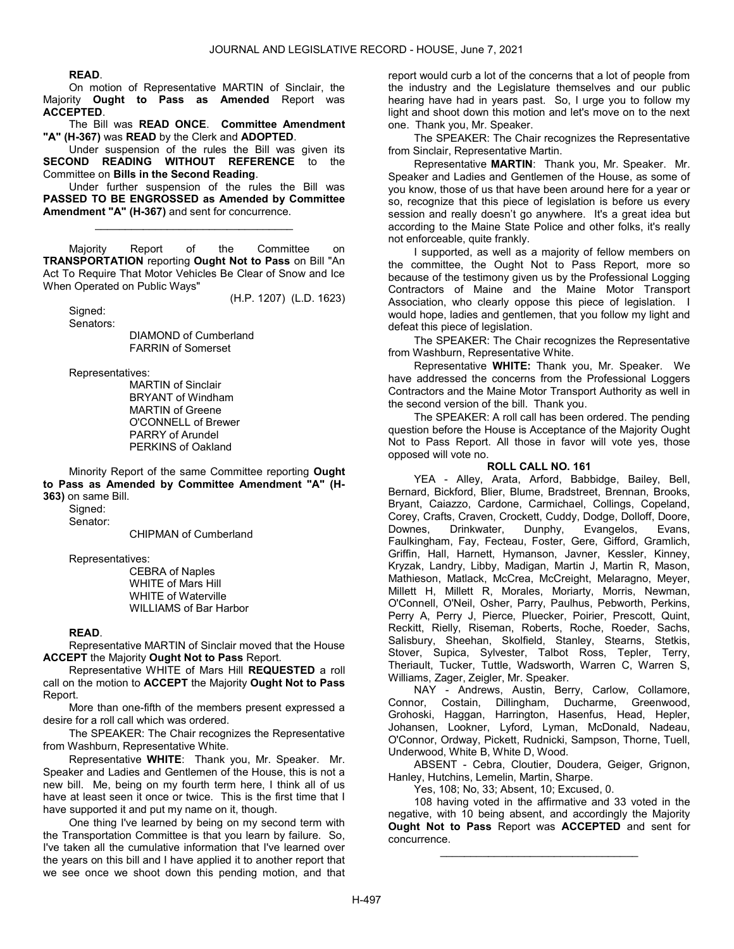#### READ.

 On motion of Representative MARTIN of Sinclair, the Majority Ought to Pass as Amended Report was ACCEPTED.

 The Bill was READ ONCE. Committee Amendment "A" (H-367) was READ by the Clerk and ADOPTED.

 Under suspension of the rules the Bill was given its SECOND READING WITHOUT REFERENCE to the Committee on Bills in the Second Reading.

 Under further suspension of the rules the Bill was PASSED TO BE ENGROSSED as Amended by Committee Amendment "A" (H-367) and sent for concurrence.

\_\_\_\_\_\_\_\_\_\_\_\_\_\_\_\_\_\_\_\_\_\_\_\_\_\_\_\_\_\_\_\_\_

 Majority Report of the Committee on TRANSPORTATION reporting Ought Not to Pass on Bill "An Act To Require That Motor Vehicles Be Clear of Snow and Ice When Operated on Public Ways"

(H.P. 1207) (L.D. 1623)

 Signed: Senators:

 DIAMOND of Cumberland FARRIN of Somerset

Representatives:

 MARTIN of Sinclair BRYANT of Windham MARTIN of Greene O'CONNELL of Brewer PARRY of Arundel PERKINS of Oakland

 Minority Report of the same Committee reporting Ought to Pass as Amended by Committee Amendment "A" (H-363) on same Bill.

Sianed: Senator:

CHIPMAN of Cumberland

Representatives:

 CEBRA of Naples WHITE of Mars Hill WHITE of Waterville WILLIAMS of Bar Harbor

#### READ.

 Representative MARTIN of Sinclair moved that the House ACCEPT the Majority Ought Not to Pass Report.

 Representative WHITE of Mars Hill REQUESTED a roll call on the motion to ACCEPT the Majority Ought Not to Pass Report.

 More than one-fifth of the members present expressed a desire for a roll call which was ordered.

 The SPEAKER: The Chair recognizes the Representative from Washburn, Representative White.

 Representative WHITE: Thank you, Mr. Speaker. Mr. Speaker and Ladies and Gentlemen of the House, this is not a new bill. Me, being on my fourth term here, I think all of us have at least seen it once or twice. This is the first time that I have supported it and put my name on it, though.

 One thing I've learned by being on my second term with the Transportation Committee is that you learn by failure. So, I've taken all the cumulative information that I've learned over the years on this bill and I have applied it to another report that we see once we shoot down this pending motion, and that report would curb a lot of the concerns that a lot of people from the industry and the Legislature themselves and our public hearing have had in years past. So, I urge you to follow my light and shoot down this motion and let's move on to the next one. Thank you, Mr. Speaker.

 The SPEAKER: The Chair recognizes the Representative from Sinclair, Representative Martin.

 Representative MARTIN: Thank you, Mr. Speaker. Mr. Speaker and Ladies and Gentlemen of the House, as some of you know, those of us that have been around here for a year or so, recognize that this piece of legislation is before us every session and really doesn't go anywhere. It's a great idea but according to the Maine State Police and other folks, it's really not enforceable, quite frankly.

 I supported, as well as a majority of fellow members on the committee, the Ought Not to Pass Report, more so because of the testimony given us by the Professional Logging Contractors of Maine and the Maine Motor Transport Association, who clearly oppose this piece of legislation. I would hope, ladies and gentlemen, that you follow my light and defeat this piece of legislation.

 The SPEAKER: The Chair recognizes the Representative from Washburn, Representative White.

 Representative WHITE: Thank you, Mr. Speaker. We have addressed the concerns from the Professional Loggers Contractors and the Maine Motor Transport Authority as well in the second version of the bill. Thank you.

 The SPEAKER: A roll call has been ordered. The pending question before the House is Acceptance of the Majority Ought Not to Pass Report. All those in favor will vote yes, those opposed will vote no.

# ROLL CALL NO. 161

 YEA - Alley, Arata, Arford, Babbidge, Bailey, Bell, Bernard, Bickford, Blier, Blume, Bradstreet, Brennan, Brooks, Bryant, Caiazzo, Cardone, Carmichael, Collings, Copeland, Corey, Crafts, Craven, Crockett, Cuddy, Dodge, Dolloff, Doore, Downes, Drinkwater, Dunphy, Evangelos, Evans, Faulkingham, Fay, Fecteau, Foster, Gere, Gifford, Gramlich, Griffin, Hall, Harnett, Hymanson, Javner, Kessler, Kinney, Kryzak, Landry, Libby, Madigan, Martin J, Martin R, Mason, Mathieson, Matlack, McCrea, McCreight, Melaragno, Meyer, Millett H, Millett R, Morales, Moriarty, Morris, Newman, O'Connell, O'Neil, Osher, Parry, Paulhus, Pebworth, Perkins, Perry A, Perry J, Pierce, Pluecker, Poirier, Prescott, Quint, Reckitt, Rielly, Riseman, Roberts, Roche, Roeder, Sachs, Salisbury, Sheehan, Skolfield, Stanley, Stearns, Stetkis, Stover, Supica, Sylvester, Talbot Ross, Tepler, Terry, Theriault, Tucker, Tuttle, Wadsworth, Warren C, Warren S, Williams, Zager, Zeigler, Mr. Speaker.

 NAY - Andrews, Austin, Berry, Carlow, Collamore, Connor, Costain, Dillingham, Ducharme, Greenwood, Grohoski, Haggan, Harrington, Hasenfus, Head, Hepler, Johansen, Lookner, Lyford, Lyman, McDonald, Nadeau, O'Connor, Ordway, Pickett, Rudnicki, Sampson, Thorne, Tuell, Underwood, White B, White D, Wood.

 ABSENT - Cebra, Cloutier, Doudera, Geiger, Grignon, Hanley, Hutchins, Lemelin, Martin, Sharpe.

Yes, 108; No, 33; Absent, 10; Excused, 0.

 108 having voted in the affirmative and 33 voted in the negative, with 10 being absent, and accordingly the Majority Ought Not to Pass Report was ACCEPTED and sent for concurrence.

\_\_\_\_\_\_\_\_\_\_\_\_\_\_\_\_\_\_\_\_\_\_\_\_\_\_\_\_\_\_\_\_\_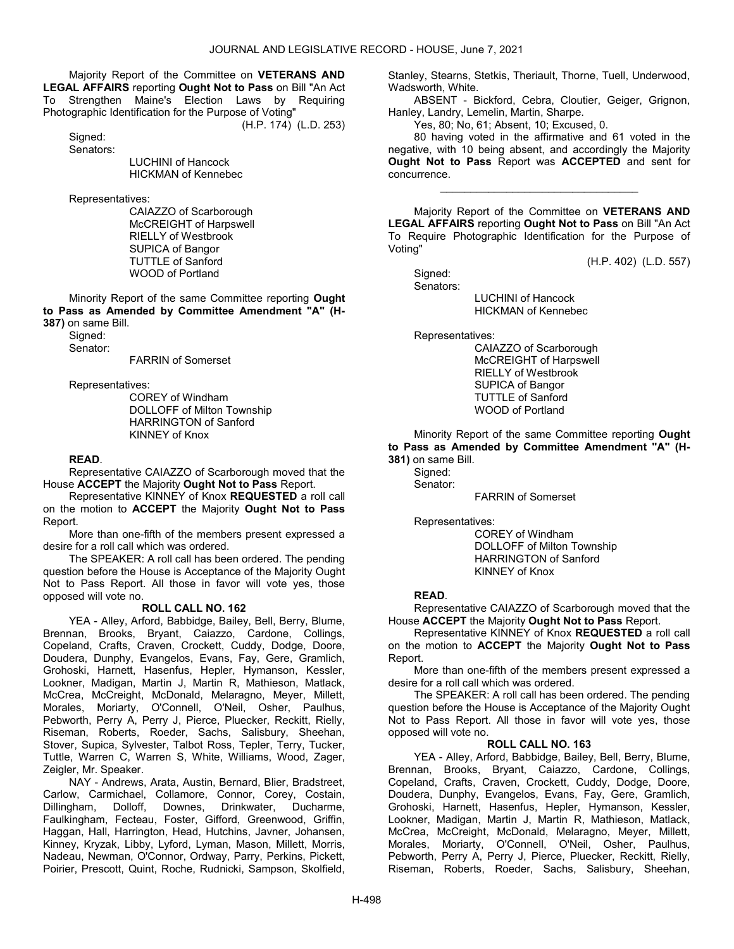Majority Report of the Committee on VETERANS AND LEGAL AFFAIRS reporting Ought Not to Pass on Bill "An Act To Strengthen Maine's Election Laws by Requiring Photographic Identification for the Purpose of Voting"

(H.P. 174) (L.D. 253)

Sianed: Senators:

> LUCHINI of Hancock HICKMAN of Kennebec

Representatives:

 CAIAZZO of Scarborough McCREIGHT of Harpswell RIELLY of Westbrook SUPICA of Bangor TUTTLE of Sanford WOOD of Portland

 Minority Report of the same Committee reporting Ought to Pass as Amended by Committee Amendment "A" (H-387) on same Bill.

 Signed: Senator:

FARRIN of Somerset

Representatives:

 COREY of Windham DOLLOFF of Milton Township HARRINGTON of Sanford KINNEY of Knox

#### READ.

 Representative CAIAZZO of Scarborough moved that the House ACCEPT the Majority Ought Not to Pass Report.

 Representative KINNEY of Knox REQUESTED a roll call on the motion to ACCEPT the Majority Ought Not to Pass Report.

 More than one-fifth of the members present expressed a desire for a roll call which was ordered.

 The SPEAKER: A roll call has been ordered. The pending question before the House is Acceptance of the Majority Ought Not to Pass Report. All those in favor will vote yes, those opposed will vote no.

### ROLL CALL NO. 162

 YEA - Alley, Arford, Babbidge, Bailey, Bell, Berry, Blume, Brennan, Brooks, Bryant, Caiazzo, Cardone, Collings, Copeland, Crafts, Craven, Crockett, Cuddy, Dodge, Doore, Doudera, Dunphy, Evangelos, Evans, Fay, Gere, Gramlich, Grohoski, Harnett, Hasenfus, Hepler, Hymanson, Kessler, Lookner, Madigan, Martin J, Martin R, Mathieson, Matlack, McCrea, McCreight, McDonald, Melaragno, Meyer, Millett, Morales, Moriarty, O'Connell, O'Neil, Osher, Paulhus, Pebworth, Perry A, Perry J, Pierce, Pluecker, Reckitt, Rielly, Riseman, Roberts, Roeder, Sachs, Salisbury, Sheehan, Stover, Supica, Sylvester, Talbot Ross, Tepler, Terry, Tucker, Tuttle, Warren C, Warren S, White, Williams, Wood, Zager, Zeigler, Mr. Speaker.

 NAY - Andrews, Arata, Austin, Bernard, Blier, Bradstreet, Carlow, Carmichael, Collamore, Connor, Corey, Costain, Dillingham, Dolloff, Downes, Drinkwater, Ducharme, Faulkingham, Fecteau, Foster, Gifford, Greenwood, Griffin, Haggan, Hall, Harrington, Head, Hutchins, Javner, Johansen, Kinney, Kryzak, Libby, Lyford, Lyman, Mason, Millett, Morris, Nadeau, Newman, O'Connor, Ordway, Parry, Perkins, Pickett, Poirier, Prescott, Quint, Roche, Rudnicki, Sampson, Skolfield, Stanley, Stearns, Stetkis, Theriault, Thorne, Tuell, Underwood, Wadsworth, White.

 ABSENT - Bickford, Cebra, Cloutier, Geiger, Grignon, Hanley, Landry, Lemelin, Martin, Sharpe.

Yes, 80; No, 61; Absent, 10; Excused, 0.

 80 having voted in the affirmative and 61 voted in the negative, with 10 being absent, and accordingly the Majority Ought Not to Pass Report was ACCEPTED and sent for concurrence.

\_\_\_\_\_\_\_\_\_\_\_\_\_\_\_\_\_\_\_\_\_\_\_\_\_\_\_\_\_\_\_\_\_

 Majority Report of the Committee on VETERANS AND LEGAL AFFAIRS reporting Ought Not to Pass on Bill "An Act To Require Photographic Identification for the Purpose of Voting"

(H.P. 402) (L.D. 557)

 Signed: Senators:

 LUCHINI of Hancock HICKMAN of Kennebec

Representatives:

 CAIAZZO of Scarborough McCREIGHT of Harpswell RIELLY of Westbrook SUPICA of Bangor TUTTLE of Sanford WOOD of Portland

 Minority Report of the same Committee reporting Ought to Pass as Amended by Committee Amendment "A" (H-381) on same Bill.

 Signed: Senator:

FARRIN of Somerset

Representatives:

 COREY of Windham DOLLOFF of Milton Township HARRINGTON of Sanford KINNEY of Knox

#### READ.

 Representative CAIAZZO of Scarborough moved that the House ACCEPT the Majority Ought Not to Pass Report.

 Representative KINNEY of Knox REQUESTED a roll call on the motion to ACCEPT the Majority Ought Not to Pass Report.

 More than one-fifth of the members present expressed a desire for a roll call which was ordered.

 The SPEAKER: A roll call has been ordered. The pending question before the House is Acceptance of the Majority Ought Not to Pass Report. All those in favor will vote yes, those opposed will vote no.

# ROLL CALL NO. 163

 YEA - Alley, Arford, Babbidge, Bailey, Bell, Berry, Blume, Brennan, Brooks, Bryant, Caiazzo, Cardone, Collings, Copeland, Crafts, Craven, Crockett, Cuddy, Dodge, Doore, Doudera, Dunphy, Evangelos, Evans, Fay, Gere, Gramlich, Grohoski, Harnett, Hasenfus, Hepler, Hymanson, Kessler, Lookner, Madigan, Martin J, Martin R, Mathieson, Matlack, McCrea, McCreight, McDonald, Melaragno, Meyer, Millett, Morales, Moriarty, O'Connell, O'Neil, Osher, Paulhus, Pebworth, Perry A, Perry J, Pierce, Pluecker, Reckitt, Rielly, Riseman, Roberts, Roeder, Sachs, Salisbury, Sheehan,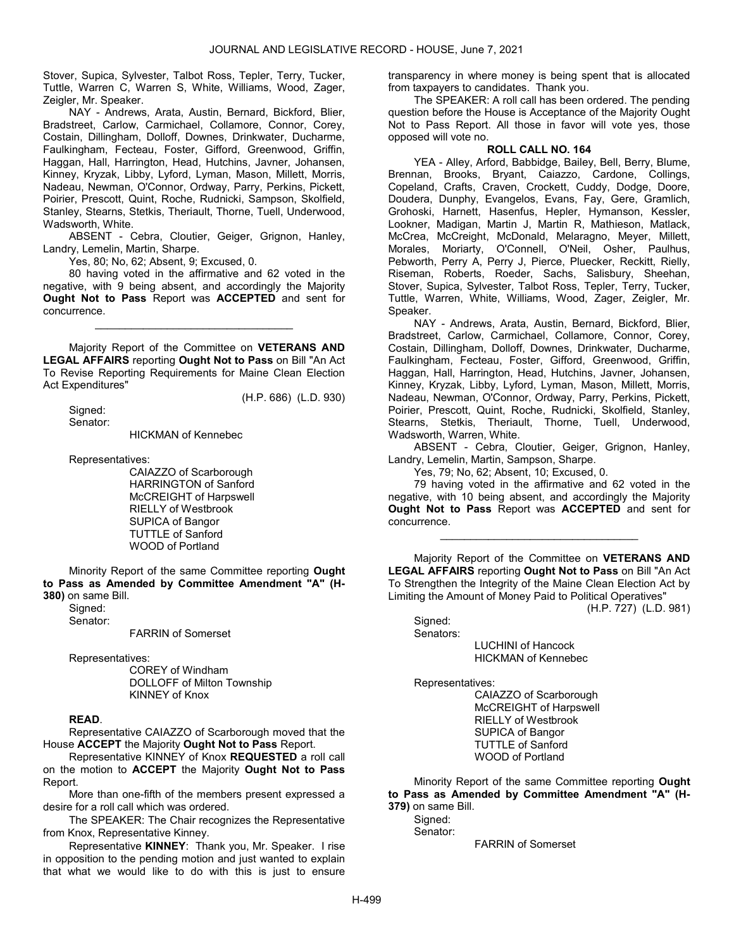Stover, Supica, Sylvester, Talbot Ross, Tepler, Terry, Tucker, Tuttle, Warren C, Warren S, White, Williams, Wood, Zager, Zeigler, Mr. Speaker.

 NAY - Andrews, Arata, Austin, Bernard, Bickford, Blier, Bradstreet, Carlow, Carmichael, Collamore, Connor, Corey, Costain, Dillingham, Dolloff, Downes, Drinkwater, Ducharme, Faulkingham, Fecteau, Foster, Gifford, Greenwood, Griffin, Haggan, Hall, Harrington, Head, Hutchins, Javner, Johansen, Kinney, Kryzak, Libby, Lyford, Lyman, Mason, Millett, Morris, Nadeau, Newman, O'Connor, Ordway, Parry, Perkins, Pickett, Poirier, Prescott, Quint, Roche, Rudnicki, Sampson, Skolfield, Stanley, Stearns, Stetkis, Theriault, Thorne, Tuell, Underwood, Wadsworth, White.

 ABSENT - Cebra, Cloutier, Geiger, Grignon, Hanley, Landry, Lemelin, Martin, Sharpe.

Yes, 80; No, 62; Absent, 9; Excused, 0.

 80 having voted in the affirmative and 62 voted in the negative, with 9 being absent, and accordingly the Majority Ought Not to Pass Report was ACCEPTED and sent for concurrence.

\_\_\_\_\_\_\_\_\_\_\_\_\_\_\_\_\_\_\_\_\_\_\_\_\_\_\_\_\_\_\_\_\_

 Majority Report of the Committee on VETERANS AND LEGAL AFFAIRS reporting Ought Not to Pass on Bill "An Act To Revise Reporting Requirements for Maine Clean Election Act Expenditures"

(H.P. 686) (L.D. 930)

 Signed: Senator:

HICKMAN of Kennebec

Representatives:

 CAIAZZO of Scarborough HARRINGTON of Sanford McCREIGHT of Harpswell RIELLY of Westbrook SUPICA of Bangor TUTTLE of Sanford WOOD of Portland

 Minority Report of the same Committee reporting Ought to Pass as Amended by Committee Amendment "A" (H-380) on same Bill.

 Signed: Senator:

FARRIN of Somerset

Representatives:

 COREY of Windham DOLLOFF of Milton Township KINNEY of Knox

# READ.

 Representative CAIAZZO of Scarborough moved that the House ACCEPT the Majority Ought Not to Pass Report.

 Representative KINNEY of Knox REQUESTED a roll call on the motion to ACCEPT the Majority Ought Not to Pass Report.

 More than one-fifth of the members present expressed a desire for a roll call which was ordered.

 The SPEAKER: The Chair recognizes the Representative from Knox, Representative Kinney.

 Representative KINNEY: Thank you, Mr. Speaker. I rise in opposition to the pending motion and just wanted to explain that what we would like to do with this is just to ensure transparency in where money is being spent that is allocated from taxpayers to candidates. Thank you.

 The SPEAKER: A roll call has been ordered. The pending question before the House is Acceptance of the Majority Ought Not to Pass Report. All those in favor will vote yes, those opposed will vote no.

# ROLL CALL NO. 164

 YEA - Alley, Arford, Babbidge, Bailey, Bell, Berry, Blume, Brennan, Brooks, Bryant, Caiazzo, Cardone, Collings, Copeland, Crafts, Craven, Crockett, Cuddy, Dodge, Doore, Doudera, Dunphy, Evangelos, Evans, Fay, Gere, Gramlich, Grohoski, Harnett, Hasenfus, Hepler, Hymanson, Kessler, Lookner, Madigan, Martin J, Martin R, Mathieson, Matlack, McCrea, McCreight, McDonald, Melaragno, Meyer, Millett, Morales, Moriarty, O'Connell, O'Neil, Osher, Paulhus, Pebworth, Perry A, Perry J, Pierce, Pluecker, Reckitt, Rielly, Riseman, Roberts, Roeder, Sachs, Salisbury, Sheehan, Stover, Supica, Sylvester, Talbot Ross, Tepler, Terry, Tucker, Tuttle, Warren, White, Williams, Wood, Zager, Zeigler, Mr. Speaker.

 NAY - Andrews, Arata, Austin, Bernard, Bickford, Blier, Bradstreet, Carlow, Carmichael, Collamore, Connor, Corey, Costain, Dillingham, Dolloff, Downes, Drinkwater, Ducharme, Faulkingham, Fecteau, Foster, Gifford, Greenwood, Griffin, Haggan, Hall, Harrington, Head, Hutchins, Javner, Johansen, Kinney, Kryzak, Libby, Lyford, Lyman, Mason, Millett, Morris, Nadeau, Newman, O'Connor, Ordway, Parry, Perkins, Pickett, Poirier, Prescott, Quint, Roche, Rudnicki, Skolfield, Stanley, Stearns, Stetkis, Theriault, Thorne, Tuell, Underwood, Wadsworth, Warren, White.

 ABSENT - Cebra, Cloutier, Geiger, Grignon, Hanley, Landry, Lemelin, Martin, Sampson, Sharpe.

Yes, 79; No, 62; Absent, 10; Excused, 0.

 79 having voted in the affirmative and 62 voted in the negative, with 10 being absent, and accordingly the Majority Ought Not to Pass Report was ACCEPTED and sent for concurrence.

\_\_\_\_\_\_\_\_\_\_\_\_\_\_\_\_\_\_\_\_\_\_\_\_\_\_\_\_\_\_\_\_\_

 Majority Report of the Committee on VETERANS AND LEGAL AFFAIRS reporting Ought Not to Pass on Bill "An Act To Strengthen the Integrity of the Maine Clean Election Act by Limiting the Amount of Money Paid to Political Operatives"

(H.P. 727) (L.D. 981)

Sianed: Senators:

 LUCHINI of Hancock HICKMAN of Kennebec

Representatives:

 CAIAZZO of Scarborough McCREIGHT of Harpswell RIELLY of Westbrook SUPICA of Bangor TUTTLE of Sanford WOOD of Portland

 Minority Report of the same Committee reporting Ought to Pass as Amended by Committee Amendment "A" (H-379) on same Bill.

Sianed: Senator:

FARRIN of Somerset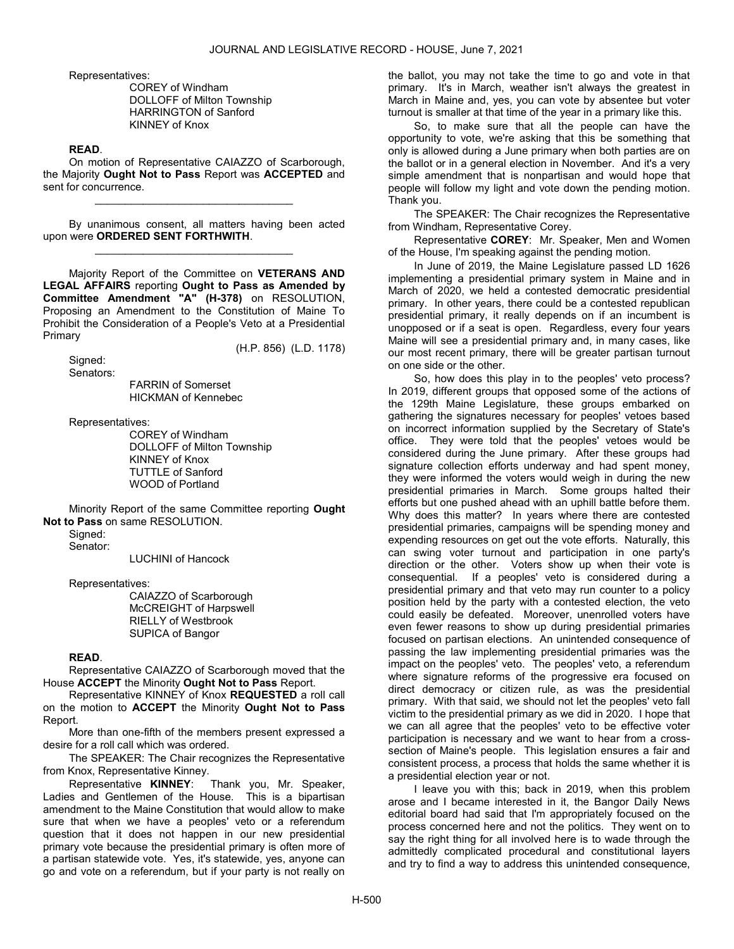Representatives:

 COREY of Windham DOLLOFF of Milton Township HARRINGTON of Sanford KINNEY of Knox

# READ.

 On motion of Representative CAIAZZO of Scarborough, the Majority Ought Not to Pass Report was ACCEPTED and sent for concurrence.

\_\_\_\_\_\_\_\_\_\_\_\_\_\_\_\_\_\_\_\_\_\_\_\_\_\_\_\_\_\_\_\_\_

 By unanimous consent, all matters having been acted upon were ORDERED SENT FORTHWITH. \_\_\_\_\_\_\_\_\_\_\_\_\_\_\_\_\_\_\_\_\_\_\_\_\_\_\_\_\_\_\_\_\_

 Majority Report of the Committee on VETERANS AND LEGAL AFFAIRS reporting Ought to Pass as Amended by Committee Amendment "A" (H-378) on RESOLUTION, Proposing an Amendment to the Constitution of Maine To Prohibit the Consideration of a People's Veto at a Presidential Primary

(H.P. 856) (L.D. 1178)

 Signed: Senators:

 FARRIN of Somerset HICKMAN of Kennebec

Representatives:

 COREY of Windham DOLLOFF of Milton Township KINNEY of Knox TUTTLE of Sanford WOOD of Portland

 Minority Report of the same Committee reporting Ought Not to Pass on same RESOLUTION.

 Signed: Senator:

LUCHINI of Hancock

Representatives:

 CAIAZZO of Scarborough McCREIGHT of Harpswell RIELLY of Westbrook SUPICA of Bangor

#### READ.

 Representative CAIAZZO of Scarborough moved that the House ACCEPT the Minority Ought Not to Pass Report.

 Representative KINNEY of Knox REQUESTED a roll call on the motion to ACCEPT the Minority Ought Not to Pass Report.

 More than one-fifth of the members present expressed a desire for a roll call which was ordered.

 The SPEAKER: The Chair recognizes the Representative from Knox, Representative Kinney.

Representative KINNEY: Thank you, Mr. Speaker, Ladies and Gentlemen of the House. This is a bipartisan amendment to the Maine Constitution that would allow to make sure that when we have a peoples' veto or a referendum question that it does not happen in our new presidential primary vote because the presidential primary is often more of a partisan statewide vote. Yes, it's statewide, yes, anyone can go and vote on a referendum, but if your party is not really on

the ballot, you may not take the time to go and vote in that primary. It's in March, weather isn't always the greatest in March in Maine and, yes, you can vote by absentee but voter turnout is smaller at that time of the year in a primary like this.

 So, to make sure that all the people can have the opportunity to vote, we're asking that this be something that only is allowed during a June primary when both parties are on the ballot or in a general election in November. And it's a very simple amendment that is nonpartisan and would hope that people will follow my light and vote down the pending motion. Thank you.

 The SPEAKER: The Chair recognizes the Representative from Windham, Representative Corey.

 Representative COREY: Mr. Speaker, Men and Women of the House, I'm speaking against the pending motion.

 In June of 2019, the Maine Legislature passed LD 1626 implementing a presidential primary system in Maine and in March of 2020, we held a contested democratic presidential primary. In other years, there could be a contested republican presidential primary, it really depends on if an incumbent is unopposed or if a seat is open. Regardless, every four years Maine will see a presidential primary and, in many cases, like our most recent primary, there will be greater partisan turnout on one side or the other.

 So, how does this play in to the peoples' veto process? In 2019, different groups that opposed some of the actions of the 129th Maine Legislature, these groups embarked on gathering the signatures necessary for peoples' vetoes based on incorrect information supplied by the Secretary of State's office. They were told that the peoples' vetoes would be considered during the June primary. After these groups had signature collection efforts underway and had spent monev. they were informed the voters would weigh in during the new presidential primaries in March. Some groups halted their efforts but one pushed ahead with an uphill battle before them. Why does this matter? In years where there are contested presidential primaries, campaigns will be spending money and expending resources on get out the vote efforts. Naturally, this can swing voter turnout and participation in one party's direction or the other. Voters show up when their vote is consequential. If a peoples' veto is considered during a presidential primary and that veto may run counter to a policy position held by the party with a contested election, the veto could easily be defeated. Moreover, unenrolled voters have even fewer reasons to show up during presidential primaries focused on partisan elections. An unintended consequence of passing the law implementing presidential primaries was the impact on the peoples' veto. The peoples' veto, a referendum where signature reforms of the progressive era focused on direct democracy or citizen rule, as was the presidential primary. With that said, we should not let the peoples' veto fall victim to the presidential primary as we did in 2020. I hope that we can all agree that the peoples' veto to be effective voter participation is necessary and we want to hear from a crosssection of Maine's people. This legislation ensures a fair and consistent process, a process that holds the same whether it is a presidential election year or not.

 I leave you with this; back in 2019, when this problem arose and I became interested in it, the Bangor Daily News editorial board had said that I'm appropriately focused on the process concerned here and not the politics. They went on to say the right thing for all involved here is to wade through the admittedly complicated procedural and constitutional layers and try to find a way to address this unintended consequence,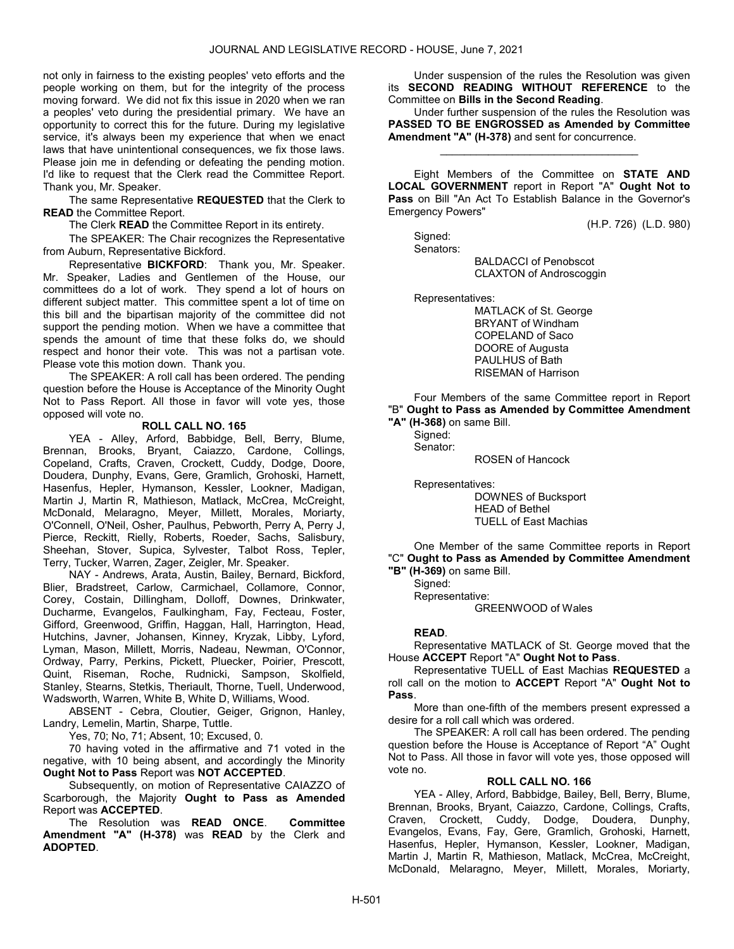not only in fairness to the existing peoples' veto efforts and the people working on them, but for the integrity of the process moving forward. We did not fix this issue in 2020 when we ran a peoples' veto during the presidential primary. We have an opportunity to correct this for the future. During my legislative service, it's always been my experience that when we enact laws that have unintentional consequences, we fix those laws. Please join me in defending or defeating the pending motion. I'd like to request that the Clerk read the Committee Report. Thank you, Mr. Speaker.

 The same Representative REQUESTED that the Clerk to READ the Committee Report.

The Clerk READ the Committee Report in its entirety.

 The SPEAKER: The Chair recognizes the Representative from Auburn, Representative Bickford.

 Representative BICKFORD: Thank you, Mr. Speaker. Mr. Speaker, Ladies and Gentlemen of the House, our committees do a lot of work. They spend a lot of hours on different subject matter. This committee spent a lot of time on this bill and the bipartisan majority of the committee did not support the pending motion. When we have a committee that spends the amount of time that these folks do, we should respect and honor their vote. This was not a partisan vote. Please vote this motion down. Thank you.

 The SPEAKER: A roll call has been ordered. The pending question before the House is Acceptance of the Minority Ought Not to Pass Report. All those in favor will vote yes, those opposed will vote no.

# ROLL CALL NO. 165

 YEA - Alley, Arford, Babbidge, Bell, Berry, Blume, Brennan, Brooks, Bryant, Caiazzo, Cardone, Collings, Copeland, Crafts, Craven, Crockett, Cuddy, Dodge, Doore, Doudera, Dunphy, Evans, Gere, Gramlich, Grohoski, Harnett, Hasenfus, Hepler, Hymanson, Kessler, Lookner, Madigan, Martin J, Martin R, Mathieson, Matlack, McCrea, McCreight, McDonald, Melaragno, Meyer, Millett, Morales, Moriarty, O'Connell, O'Neil, Osher, Paulhus, Pebworth, Perry A, Perry J, Pierce, Reckitt, Rielly, Roberts, Roeder, Sachs, Salisbury, Sheehan, Stover, Supica, Sylvester, Talbot Ross, Tepler, Terry, Tucker, Warren, Zager, Zeigler, Mr. Speaker.

 NAY - Andrews, Arata, Austin, Bailey, Bernard, Bickford, Blier, Bradstreet, Carlow, Carmichael, Collamore, Connor, Corey, Costain, Dillingham, Dolloff, Downes, Drinkwater, Ducharme, Evangelos, Faulkingham, Fay, Fecteau, Foster, Gifford, Greenwood, Griffin, Haggan, Hall, Harrington, Head, Hutchins, Javner, Johansen, Kinney, Kryzak, Libby, Lyford, Lyman, Mason, Millett, Morris, Nadeau, Newman, O'Connor, Ordway, Parry, Perkins, Pickett, Pluecker, Poirier, Prescott, Quint, Riseman, Roche, Rudnicki, Sampson, Skolfield, Stanley, Stearns, Stetkis, Theriault, Thorne, Tuell, Underwood, Wadsworth, Warren, White B, White D, Williams, Wood.

 ABSENT - Cebra, Cloutier, Geiger, Grignon, Hanley, Landry, Lemelin, Martin, Sharpe, Tuttle.

Yes, 70; No, 71; Absent, 10; Excused, 0.

 70 having voted in the affirmative and 71 voted in the negative, with 10 being absent, and accordingly the Minority Ought Not to Pass Report was NOT ACCEPTED.

 Subsequently, on motion of Representative CAIAZZO of Scarborough, the Majority Ought to Pass as Amended Report was ACCEPTED.

 The Resolution was READ ONCE. Committee Amendment "A" (H-378) was READ by the Clerk and ADOPTED.

 Under suspension of the rules the Resolution was given its SECOND READING WITHOUT REFERENCE to the Committee on Bills in the Second Reading.

 Under further suspension of the rules the Resolution was PASSED TO BE ENGROSSED as Amended by Committee Amendment "A" (H-378) and sent for concurrence.

\_\_\_\_\_\_\_\_\_\_\_\_\_\_\_\_\_\_\_\_\_\_\_\_\_\_\_\_\_\_\_\_\_

 Eight Members of the Committee on STATE AND LOCAL GOVERNMENT report in Report "A" Ought Not to Pass on Bill "An Act To Establish Balance in the Governor's Emergency Powers"

(H.P. 726) (L.D. 980)

 Signed: Senators:

 BALDACCI of Penobscot CLAXTON of Androscoggin

Representatives:

 MATLACK of St. George BRYANT of Windham COPELAND of Saco DOORE of Augusta PAULHUS of Bath RISEMAN of Harrison

 Four Members of the same Committee report in Report "B" Ought to Pass as Amended by Committee Amendment "A" (H-368) on same Bill.

 Signed: Senator:

ROSEN of Hancock

 Representatives: DOWNES of Bucksport HEAD of Bethel TUELL of East Machias

 One Member of the same Committee reports in Report "C" Ought to Pass as Amended by Committee Amendment "B" (H-369) on same Bill.

 Signed: Representative:

GREENWOOD of Wales

# READ.

 Representative MATLACK of St. George moved that the House ACCEPT Report "A" Ought Not to Pass.

 Representative TUELL of East Machias REQUESTED a roll call on the motion to **ACCEPT** Report "A" **Ought Not to** Pass.

 More than one-fifth of the members present expressed a desire for a roll call which was ordered.

 The SPEAKER: A roll call has been ordered. The pending question before the House is Acceptance of Report "A" Ought Not to Pass. All those in favor will vote yes, those opposed will vote no.

# ROLL CALL NO. 166

 YEA - Alley, Arford, Babbidge, Bailey, Bell, Berry, Blume, Brennan, Brooks, Bryant, Caiazzo, Cardone, Collings, Crafts, Craven, Crockett, Cuddy, Dodge, Doudera, Dunphy, Evangelos, Evans, Fay, Gere, Gramlich, Grohoski, Harnett, Hasenfus, Hepler, Hymanson, Kessler, Lookner, Madigan, Martin J, Martin R, Mathieson, Matlack, McCrea, McCreight, McDonald, Melaragno, Meyer, Millett, Morales, Moriarty,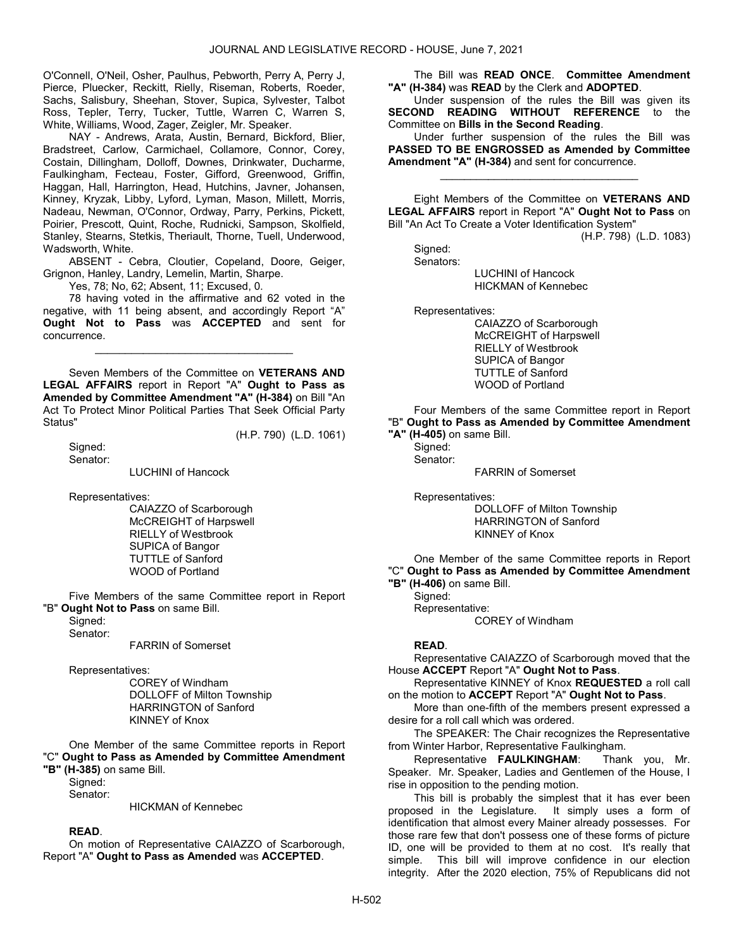O'Connell, O'Neil, Osher, Paulhus, Pebworth, Perry A, Perry J, Pierce, Pluecker, Reckitt, Rielly, Riseman, Roberts, Roeder, Sachs, Salisbury, Sheehan, Stover, Supica, Sylvester, Talbot Ross, Tepler, Terry, Tucker, Tuttle, Warren C, Warren S, White, Williams, Wood, Zager, Zeigler, Mr. Speaker.

 NAY - Andrews, Arata, Austin, Bernard, Bickford, Blier, Bradstreet, Carlow, Carmichael, Collamore, Connor, Corey, Costain, Dillingham, Dolloff, Downes, Drinkwater, Ducharme, Faulkingham, Fecteau, Foster, Gifford, Greenwood, Griffin, Haggan, Hall, Harrington, Head, Hutchins, Javner, Johansen, Kinney, Kryzak, Libby, Lyford, Lyman, Mason, Millett, Morris, Nadeau, Newman, O'Connor, Ordway, Parry, Perkins, Pickett, Poirier, Prescott, Quint, Roche, Rudnicki, Sampson, Skolfield, Stanley, Stearns, Stetkis, Theriault, Thorne, Tuell, Underwood, Wadsworth, White.

 ABSENT - Cebra, Cloutier, Copeland, Doore, Geiger, Grignon, Hanley, Landry, Lemelin, Martin, Sharpe.

Yes, 78; No, 62; Absent, 11; Excused, 0.

 78 having voted in the affirmative and 62 voted in the negative, with 11 being absent, and accordingly Report "A" Ought Not to Pass was ACCEPTED and sent for concurrence.

\_\_\_\_\_\_\_\_\_\_\_\_\_\_\_\_\_\_\_\_\_\_\_\_\_\_\_\_\_\_\_\_\_

 Seven Members of the Committee on VETERANS AND LEGAL AFFAIRS report in Report "A" Ought to Pass as Amended by Committee Amendment "A" (H-384) on Bill "An Act To Protect Minor Political Parties That Seek Official Party Status" (H.P. 790) (L.D. 1061)

 Signed: Senator:

LUCHINI of Hancock

Representatives:

 CAIAZZO of Scarborough McCREIGHT of Harpswell RIELLY of Westbrook SUPICA of Bangor TUTTLE of Sanford WOOD of Portland

 Five Members of the same Committee report in Report "B" Ought Not to Pass on same Bill.

Signed:

Senator:

FARRIN of Somerset

Representatives:

 COREY of Windham DOLLOFF of Milton Township HARRINGTON of Sanford KINNEY of Knox

 One Member of the same Committee reports in Report "C" Ought to Pass as Amended by Committee Amendment "B" (H-385) on same Bill.

 Signed: Senator:

HICKMAN of Kennebec

# READ.

 On motion of Representative CAIAZZO of Scarborough, Report "A" Ought to Pass as Amended was ACCEPTED.

 The Bill was READ ONCE. Committee Amendment "A" (H-384) was READ by the Clerk and ADOPTED.

 Under suspension of the rules the Bill was given its SECOND READING WITHOUT REFERENCE to the Committee on Bills in the Second Reading.

 Under further suspension of the rules the Bill was PASSED TO BE ENGROSSED as Amended by Committee Amendment "A" (H-384) and sent for concurrence.

\_\_\_\_\_\_\_\_\_\_\_\_\_\_\_\_\_\_\_\_\_\_\_\_\_\_\_\_\_\_\_\_\_

 Eight Members of the Committee on VETERANS AND LEGAL AFFAIRS report in Report "A" Ought Not to Pass on Bill "An Act To Create a Voter Identification System"

(H.P. 798) (L.D. 1083)

 Signed: Senators:

 LUCHINI of Hancock HICKMAN of Kennebec

Representatives:

 CAIAZZO of Scarborough McCREIGHT of Harpswell RIELLY of Westbrook SUPICA of Bangor TUTTLE of Sanford WOOD of Portland

 Four Members of the same Committee report in Report "B" Ought to Pass as Amended by Committee Amendment "A" (H-405) on same Bill.

Signed:

Senator:

FARRIN of Somerset

Representatives:

 DOLLOFF of Milton Township HARRINGTON of Sanford KINNEY of Knox

 One Member of the same Committee reports in Report "C" Ought to Pass as Amended by Committee Amendment "B" (H-406) on same Bill.

 Signed: Representative: COREY of Windham

# READ.

 Representative CAIAZZO of Scarborough moved that the House ACCEPT Report "A" Ought Not to Pass.

 Representative KINNEY of Knox REQUESTED a roll call on the motion to ACCEPT Report "A" Ought Not to Pass.

 More than one-fifth of the members present expressed a desire for a roll call which was ordered.

 The SPEAKER: The Chair recognizes the Representative from Winter Harbor, Representative Faulkingham.

 Representative FAULKINGHAM: Thank you, Mr. Speaker. Mr. Speaker, Ladies and Gentlemen of the House, I rise in opposition to the pending motion.

 This bill is probably the simplest that it has ever been proposed in the Legislature. It simply uses a form of identification that almost every Mainer already possesses. For those rare few that don't possess one of these forms of picture ID, one will be provided to them at no cost. It's really that simple. This bill will improve confidence in our election integrity. After the 2020 election, 75% of Republicans did not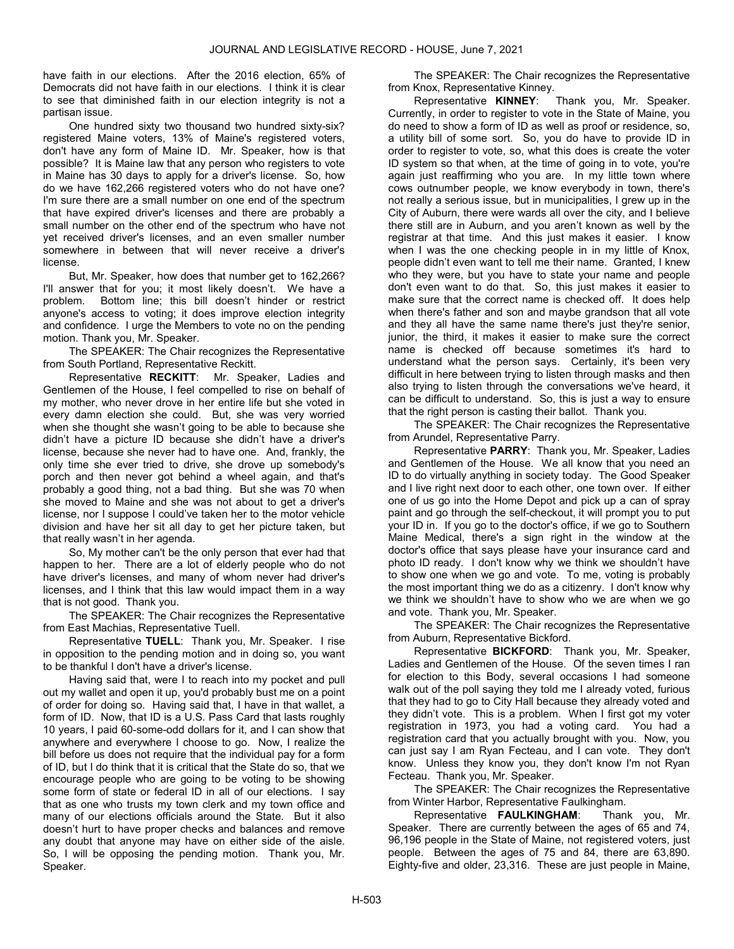have faith in our elections. After the 2016 election, 65% of Democrats did not have faith in our elections. I think it is clear to see that diminished faith in our election integrity is not a partisan issue.

 One hundred sixty two thousand two hundred sixty-six? registered Maine voters, 13% of Maine's registered voters, don't have any form of Maine ID. Mr. Speaker, how is that possible? It is Maine law that any person who registers to vote in Maine has 30 days to apply for a driver's license. So, how do we have 162,266 registered voters who do not have one? I'm sure there are a small number on one end of the spectrum that have expired driver's licenses and there are probably a small number on the other end of the spectrum who have not yet received driver's licenses, and an even smaller number somewhere in between that will never receive a driver's license.

 But, Mr. Speaker, how does that number get to 162,266? I'll answer that for you; it most likely doesn't. We have a problem. Bottom line; this bill doesn't hinder or restrict anyone's access to voting; it does improve election integrity and confidence. I urge the Members to vote no on the pending motion. Thank you, Mr. Speaker.

 The SPEAKER: The Chair recognizes the Representative from South Portland, Representative Reckitt.

 Representative RECKITT: Mr. Speaker, Ladies and Gentlemen of the House, I feel compelled to rise on behalf of my mother, who never drove in her entire life but she voted in every damn election she could. But, she was very worried when she thought she wasn't going to be able to because she didn't have a picture ID because she didn't have a driver's license, because she never had to have one. And, frankly, the only time she ever tried to drive, she drove up somebody's porch and then never got behind a wheel again, and that's probably a good thing, not a bad thing. But she was 70 when she moved to Maine and she was not about to get a driver's license, nor I suppose I could've taken her to the motor vehicle division and have her sit all day to get her picture taken, but that really wasn't in her agenda.

 So, My mother can't be the only person that ever had that happen to her. There are a lot of elderly people who do not have driver's licenses, and many of whom never had driver's licenses, and I think that this law would impact them in a way that is not good. Thank you.

 The SPEAKER: The Chair recognizes the Representative from East Machias, Representative Tuell.

 Representative TUELL: Thank you, Mr. Speaker. I rise in opposition to the pending motion and in doing so, you want to be thankful I don't have a driver's license.

 Having said that, were I to reach into my pocket and pull out my wallet and open it up, you'd probably bust me on a point of order for doing so. Having said that, I have in that wallet, a form of ID. Now, that ID is a U.S. Pass Card that lasts roughly 10 years, I paid 60-some-odd dollars for it, and I can show that anywhere and everywhere I choose to go. Now, I realize the bill before us does not require that the individual pay for a form of ID, but I do think that it is critical that the State do so, that we encourage people who are going to be voting to be showing some form of state or federal ID in all of our elections. I say that as one who trusts my town clerk and my town office and many of our elections officials around the State. But it also doesn't hurt to have proper checks and balances and remove any doubt that anyone may have on either side of the aisle. So, I will be opposing the pending motion. Thank you, Mr. Speaker.

The SPEAKER: The Chair recognizes the Representative

from Knox, Representative Kinney.<br>Representative KINNEY: Thank you, Mr. Speaker. Currently, in order to register to vote in the State of Maine, you do need to show a form of ID as well as proof or residence, so, a utility bill of some sort. So, you do have to provide ID in order to register to vote, so, what this does is create the voter ID system so that when, at the time of going in to vote, you're again just reaffirming who you are. In my little town where cows outnumber people, we know everybody in town, there's not really a serious issue, but in municipalities, I grew up in the City of Auburn, there were wards all over the city, and I believe there still are in Auburn, and you aren't known as well by the registrar at that time. And this just makes it easier. I know when I was the one checking people in in my little of Knox, people didn't even want to tell me their name. Granted, I knew who they were, but you have to state your name and people don't even want to do that. So, this just makes it easier to make sure that the correct name is checked off. It does help when there's father and son and maybe grandson that all vote and they all have the same name there's just they're senior, junior, the third, it makes it easier to make sure the correct name is checked off because sometimes it's hard to understand what the person says. Certainly, it's been very difficult in here between trying to listen through masks and then also trying to listen through the conversations we've heard, it can be difficult to understand. So, this is just a way to ensure that the right person is casting their ballot. Thank you.

 The SPEAKER: The Chair recognizes the Representative from Arundel, Representative Parry.

 Representative PARRY: Thank you, Mr. Speaker, Ladies and Gentlemen of the House. We all know that you need an ID to do virtually anything in society today. The Good Speaker and I live right next door to each other, one town over. If either one of us go into the Home Depot and pick up a can of spray paint and go through the self-checkout, it will prompt you to put your ID in. If you go to the doctor's office, if we go to Southern Maine Medical, there's a sign right in the window at the doctor's office that says please have your insurance card and photo ID ready. I don't know why we think we shouldn't have to show one when we go and vote. To me, voting is probably the most important thing we do as a citizenry. I don't know why we think we shouldn't have to show who we are when we go and vote. Thank you, Mr. Speaker.

 The SPEAKER: The Chair recognizes the Representative from Auburn, Representative Bickford.

 Representative BICKFORD: Thank you, Mr. Speaker, Ladies and Gentlemen of the House. Of the seven times I ran for election to this Body, several occasions I had someone walk out of the poll saying they told me I already voted, furious that they had to go to City Hall because they already voted and they didn't vote. This is a problem. When I first got my voter registration in 1973, you had a voting card. You had a registration card that you actually brought with you. Now, you can just say I am Ryan Fecteau, and I can vote. They don't know. Unless they know you, they don't know I'm not Ryan Fecteau. Thank you, Mr. Speaker.

 The SPEAKER: The Chair recognizes the Representative from Winter Harbor, Representative Faulkingham.

 Representative FAULKINGHAM: Thank you, Mr. Speaker. There are currently between the ages of 65 and 74, 96,196 people in the State of Maine, not registered voters, just people. Between the ages of 75 and 84, there are 63,890. Eighty-five and older, 23,316. These are just people in Maine,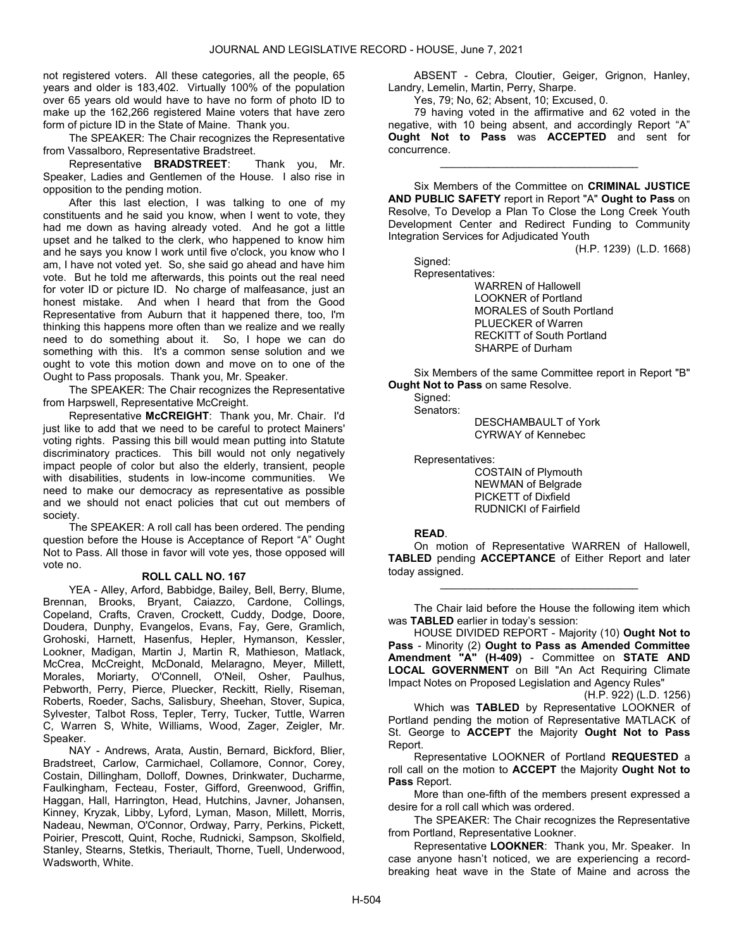not registered voters. All these categories, all the people, 65 years and older is 183,402. Virtually 100% of the population over 65 years old would have to have no form of photo ID to make up the 162,266 registered Maine voters that have zero form of picture ID in the State of Maine. Thank you.

 The SPEAKER: The Chair recognizes the Representative from Vassalboro, Representative Bradstreet.

 Representative BRADSTREET: Thank you, Mr. Speaker, Ladies and Gentlemen of the House. I also rise in opposition to the pending motion.

 After this last election, I was talking to one of my constituents and he said you know, when I went to vote, they had me down as having already voted. And he got a little upset and he talked to the clerk, who happened to know him and he says you know I work until five o'clock, you know who I am, I have not voted yet. So, she said go ahead and have him vote. But he told me afterwards, this points out the real need for voter ID or picture ID. No charge of malfeasance, just an honest mistake. And when I heard that from the Good Representative from Auburn that it happened there, too, I'm thinking this happens more often than we realize and we really need to do something about it. So, I hope we can do something with this. It's a common sense solution and we ought to vote this motion down and move on to one of the Ought to Pass proposals. Thank you, Mr. Speaker.

 The SPEAKER: The Chair recognizes the Representative from Harpswell, Representative McCreight.

 Representative McCREIGHT: Thank you, Mr. Chair. I'd just like to add that we need to be careful to protect Mainers' voting rights. Passing this bill would mean putting into Statute discriminatory practices. This bill would not only negatively impact people of color but also the elderly, transient, people with disabilities, students in low-income communities. We need to make our democracy as representative as possible and we should not enact policies that cut out members of society.

 The SPEAKER: A roll call has been ordered. The pending question before the House is Acceptance of Report "A" Ought Not to Pass. All those in favor will vote yes, those opposed will vote no.

# ROLL CALL NO. 167

 YEA - Alley, Arford, Babbidge, Bailey, Bell, Berry, Blume, Brennan, Brooks, Bryant, Caiazzo, Cardone, Collings, Copeland, Crafts, Craven, Crockett, Cuddy, Dodge, Doore, Doudera, Dunphy, Evangelos, Evans, Fay, Gere, Gramlich, Grohoski, Harnett, Hasenfus, Hepler, Hymanson, Kessler, Lookner, Madigan, Martin J, Martin R, Mathieson, Matlack, McCrea, McCreight, McDonald, Melaragno, Meyer, Millett, Morales, Moriarty, O'Connell, O'Neil, Osher, Paulhus, Pebworth, Perry, Pierce, Pluecker, Reckitt, Rielly, Riseman, Roberts, Roeder, Sachs, Salisbury, Sheehan, Stover, Supica, Sylvester, Talbot Ross, Tepler, Terry, Tucker, Tuttle, Warren C, Warren S, White, Williams, Wood, Zager, Zeigler, Mr. Speaker.

 NAY - Andrews, Arata, Austin, Bernard, Bickford, Blier, Bradstreet, Carlow, Carmichael, Collamore, Connor, Corey, Costain, Dillingham, Dolloff, Downes, Drinkwater, Ducharme, Faulkingham, Fecteau, Foster, Gifford, Greenwood, Griffin, Haggan, Hall, Harrington, Head, Hutchins, Javner, Johansen, Kinney, Kryzak, Libby, Lyford, Lyman, Mason, Millett, Morris, Nadeau, Newman, O'Connor, Ordway, Parry, Perkins, Pickett, Poirier, Prescott, Quint, Roche, Rudnicki, Sampson, Skolfield, Stanley, Stearns, Stetkis, Theriault, Thorne, Tuell, Underwood, Wadsworth, White.

 ABSENT - Cebra, Cloutier, Geiger, Grignon, Hanley, Landry, Lemelin, Martin, Perry, Sharpe.

Yes, 79; No, 62; Absent, 10; Excused, 0.

 79 having voted in the affirmative and 62 voted in the negative, with 10 being absent, and accordingly Report "A" Ought Not to Pass was ACCEPTED and sent for concurrence.

\_\_\_\_\_\_\_\_\_\_\_\_\_\_\_\_\_\_\_\_\_\_\_\_\_\_\_\_\_\_\_\_\_

 Six Members of the Committee on CRIMINAL JUSTICE AND PUBLIC SAFETY report in Report "A" Ought to Pass on Resolve, To Develop a Plan To Close the Long Creek Youth Development Center and Redirect Funding to Community Integration Services for Adjudicated Youth

(H.P. 1239) (L.D. 1668)

Signed:

Representatives:

 WARREN of Hallowell LOOKNER of Portland MORALES of South Portland PLUECKER of Warren RECKITT of South Portland SHARPE of Durham

 Six Members of the same Committee report in Report "B" Ought Not to Pass on same Resolve.

Signed:

Senators:

 DESCHAMBAULT of York CYRWAY of Kennebec

Representatives:

 COSTAIN of Plymouth NEWMAN of Belgrade PICKETT of Dixfield RUDNICKI of Fairfield

#### READ.

 On motion of Representative WARREN of Hallowell, TABLED pending ACCEPTANCE of Either Report and later today assigned.

\_\_\_\_\_\_\_\_\_\_\_\_\_\_\_\_\_\_\_\_\_\_\_\_\_\_\_\_\_\_\_\_\_

 The Chair laid before the House the following item which was TABLED earlier in today's session:

 HOUSE DIVIDED REPORT - Majority (10) Ought Not to Pass - Minority (2) Ought to Pass as Amended Committee Amendment "A" (H-409) - Committee on STATE AND LOCAL GOVERNMENT on Bill "An Act Requiring Climate Impact Notes on Proposed Legislation and Agency Rules"

(H.P. 922) (L.D. 1256) Which was TABLED by Representative LOOKNER of Portland pending the motion of Representative MATLACK of St. George to ACCEPT the Majority Ought Not to Pass Report.

 Representative LOOKNER of Portland REQUESTED a roll call on the motion to ACCEPT the Majority Ought Not to Pass Report.

 More than one-fifth of the members present expressed a desire for a roll call which was ordered.

 The SPEAKER: The Chair recognizes the Representative from Portland, Representative Lookner.

 Representative LOOKNER: Thank you, Mr. Speaker. In case anyone hasn't noticed, we are experiencing a recordbreaking heat wave in the State of Maine and across the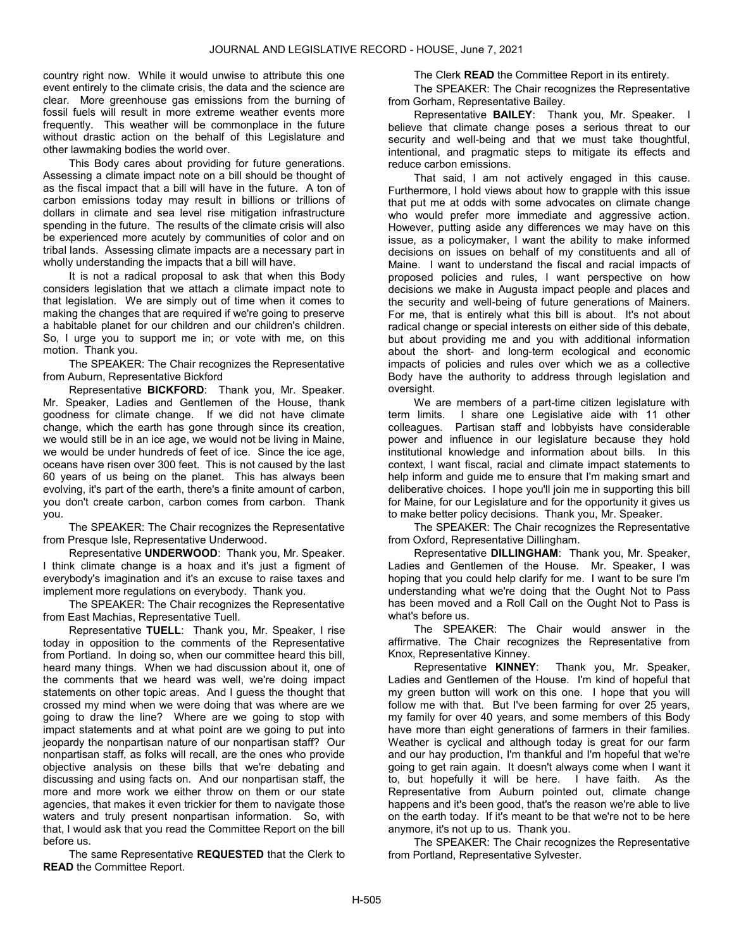country right now. While it would unwise to attribute this one event entirely to the climate crisis, the data and the science are clear. More greenhouse gas emissions from the burning of fossil fuels will result in more extreme weather events more frequently. This weather will be commonplace in the future without drastic action on the behalf of this Legislature and other lawmaking bodies the world over.

 This Body cares about providing for future generations. Assessing a climate impact note on a bill should be thought of as the fiscal impact that a bill will have in the future. A ton of carbon emissions today may result in billions or trillions of dollars in climate and sea level rise mitigation infrastructure spending in the future. The results of the climate crisis will also be experienced more acutely by communities of color and on tribal lands. Assessing climate impacts are a necessary part in wholly understanding the impacts that a bill will have.

 It is not a radical proposal to ask that when this Body considers legislation that we attach a climate impact note to that legislation. We are simply out of time when it comes to making the changes that are required if we're going to preserve a habitable planet for our children and our children's children. So, I urge you to support me in; or vote with me, on this motion. Thank you.

 The SPEAKER: The Chair recognizes the Representative from Auburn, Representative Bickford

Representative **BICKFORD:** Thank you, Mr. Speaker. Mr. Speaker, Ladies and Gentlemen of the House, thank goodness for climate change. If we did not have climate change, which the earth has gone through since its creation, we would still be in an ice age, we would not be living in Maine, we would be under hundreds of feet of ice. Since the ice age, oceans have risen over 300 feet. This is not caused by the last 60 years of us being on the planet. This has always been evolving, it's part of the earth, there's a finite amount of carbon, you don't create carbon, carbon comes from carbon. Thank you.

 The SPEAKER: The Chair recognizes the Representative from Presque Isle, Representative Underwood.

 Representative UNDERWOOD: Thank you, Mr. Speaker. I think climate change is a hoax and it's just a figment of everybody's imagination and it's an excuse to raise taxes and implement more regulations on everybody. Thank you.

 The SPEAKER: The Chair recognizes the Representative from East Machias, Representative Tuell.

 Representative TUELL: Thank you, Mr. Speaker, I rise today in opposition to the comments of the Representative from Portland. In doing so, when our committee heard this bill, heard many things. When we had discussion about it, one of the comments that we heard was well, we're doing impact statements on other topic areas. And I guess the thought that crossed my mind when we were doing that was where are we going to draw the line? Where are we going to stop with impact statements and at what point are we going to put into jeopardy the nonpartisan nature of our nonpartisan staff? Our nonpartisan staff, as folks will recall, are the ones who provide objective analysis on these bills that we're debating and discussing and using facts on. And our nonpartisan staff, the more and more work we either throw on them or our state agencies, that makes it even trickier for them to navigate those waters and truly present nonpartisan information. So, with that, I would ask that you read the Committee Report on the bill before us.

The same Representative REQUESTED that the Clerk to READ the Committee Report.

The Clerk **READ** the Committee Report in its entirety.

 The SPEAKER: The Chair recognizes the Representative from Gorham, Representative Bailey.

Representative BAILEY: Thank you, Mr. Speaker. I believe that climate change poses a serious threat to our security and well-being and that we must take thoughtful, intentional, and pragmatic steps to mitigate its effects and reduce carbon emissions.

 That said, I am not actively engaged in this cause. Furthermore, I hold views about how to grapple with this issue that put me at odds with some advocates on climate change who would prefer more immediate and aggressive action. However, putting aside any differences we may have on this issue, as a policymaker, I want the ability to make informed decisions on issues on behalf of my constituents and all of Maine. I want to understand the fiscal and racial impacts of proposed policies and rules, I want perspective on how decisions we make in Augusta impact people and places and the security and well-being of future generations of Mainers. For me, that is entirely what this bill is about. It's not about radical change or special interests on either side of this debate, but about providing me and you with additional information about the short- and long-term ecological and economic impacts of policies and rules over which we as a collective Body have the authority to address through legislation and oversight.

 We are members of a part-time citizen legislature with term limits. I share one Legislative aide with 11 other colleagues. Partisan staff and lobbyists have considerable power and influence in our legislature because they hold institutional knowledge and information about bills. In this context, I want fiscal, racial and climate impact statements to help inform and guide me to ensure that I'm making smart and deliberative choices. I hope you'll join me in supporting this bill for Maine, for our Legislature and for the opportunity it gives us to make better policy decisions. Thank you, Mr. Speaker.

 The SPEAKER: The Chair recognizes the Representative from Oxford, Representative Dillingham.

 Representative DILLINGHAM: Thank you, Mr. Speaker, Ladies and Gentlemen of the House. Mr. Speaker, I was hoping that you could help clarify for me. I want to be sure I'm understanding what we're doing that the Ought Not to Pass has been moved and a Roll Call on the Ought Not to Pass is what's before us.

 The SPEAKER: The Chair would answer in the affirmative. The Chair recognizes the Representative from Knox, Representative Kinney.

 Representative KINNEY: Thank you, Mr. Speaker, Ladies and Gentlemen of the House. I'm kind of hopeful that my green button will work on this one. I hope that you will follow me with that. But I've been farming for over 25 years, my family for over 40 years, and some members of this Body have more than eight generations of farmers in their families. Weather is cyclical and although today is great for our farm and our hay production, I'm thankful and I'm hopeful that we're going to get rain again. It doesn't always come when I want it to, but hopefully it will be here. I have faith. As the Representative from Auburn pointed out, climate change happens and it's been good, that's the reason we're able to live on the earth today. If it's meant to be that we're not to be here anymore, it's not up to us. Thank you.

 The SPEAKER: The Chair recognizes the Representative from Portland, Representative Sylvester.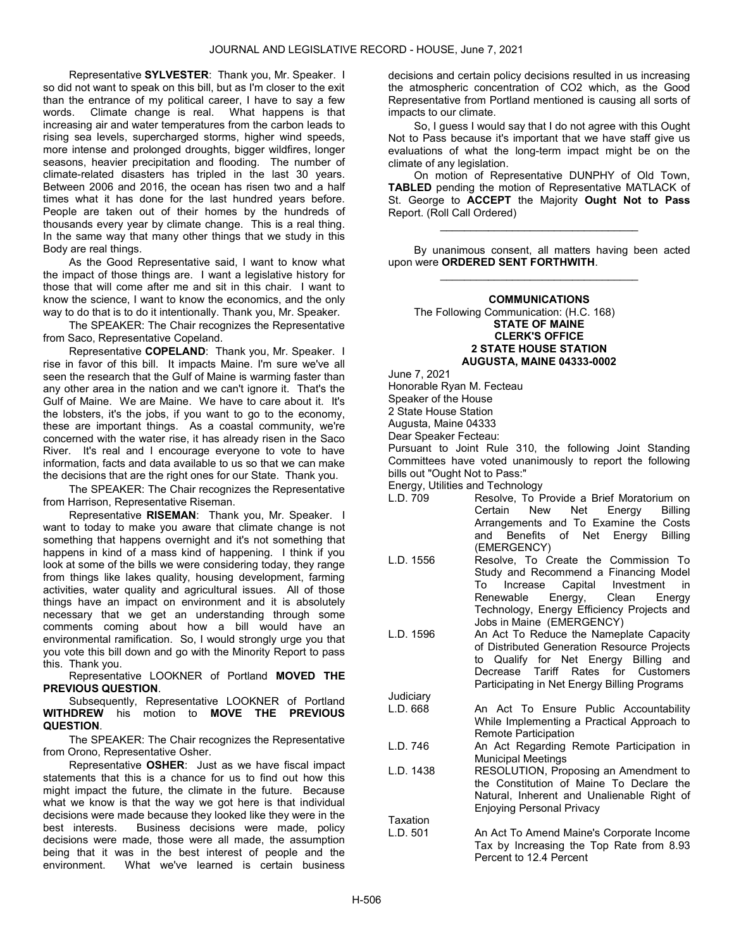Representative SYLVESTER: Thank you, Mr. Speaker. I so did not want to speak on this bill, but as I'm closer to the exit than the entrance of my political career, I have to say a few words. Climate change is real. What happens is that increasing air and water temperatures from the carbon leads to rising sea levels, supercharged storms, higher wind speeds, more intense and prolonged droughts, bigger wildfires, longer seasons, heavier precipitation and flooding. The number of climate-related disasters has tripled in the last 30 years. Between 2006 and 2016, the ocean has risen two and a half times what it has done for the last hundred years before. People are taken out of their homes by the hundreds of thousands every year by climate change. This is a real thing. In the same way that many other things that we study in this Body are real things.

 As the Good Representative said, I want to know what the impact of those things are. I want a legislative history for those that will come after me and sit in this chair. I want to know the science, I want to know the economics, and the only way to do that is to do it intentionally. Thank you, Mr. Speaker.

 The SPEAKER: The Chair recognizes the Representative from Saco, Representative Copeland.

 Representative COPELAND: Thank you, Mr. Speaker. I rise in favor of this bill. It impacts Maine. I'm sure we've all seen the research that the Gulf of Maine is warming faster than any other area in the nation and we can't ignore it. That's the Gulf of Maine. We are Maine. We have to care about it. It's the lobsters, it's the jobs, if you want to go to the economy, these are important things. As a coastal community, we're concerned with the water rise, it has already risen in the Saco River. It's real and I encourage everyone to vote to have information, facts and data available to us so that we can make the decisions that are the right ones for our State. Thank you.

 The SPEAKER: The Chair recognizes the Representative from Harrison, Representative Riseman.

Representative RISEMAN: Thank you, Mr. Speaker. I want to today to make you aware that climate change is not something that happens overnight and it's not something that happens in kind of a mass kind of happening. I think if you look at some of the bills we were considering today, they range from things like lakes quality, housing development, farming activities, water quality and agricultural issues. All of those things have an impact on environment and it is absolutely necessary that we get an understanding through some comments coming about how a bill would have an environmental ramification. So, I would strongly urge you that you vote this bill down and go with the Minority Report to pass this. Thank you.

 Representative LOOKNER of Portland MOVED THE PREVIOUS QUESTION.

 Subsequently, Representative LOOKNER of Portland WITHDREW his motion to MOVE THE PREVIOUS QUESTION.

 The SPEAKER: The Chair recognizes the Representative from Orono, Representative Osher.

 Representative OSHER: Just as we have fiscal impact statements that this is a chance for us to find out how this might impact the future, the climate in the future. Because what we know is that the way we got here is that individual decisions were made because they looked like they were in the best interests. Business decisions were made, policy decisions were made, those were all made, the assumption being that it was in the best interest of people and the environment. What we've learned is certain business

decisions and certain policy decisions resulted in us increasing the atmospheric concentration of CO2 which, as the Good Representative from Portland mentioned is causing all sorts of impacts to our climate.

 So, I guess I would say that I do not agree with this Ought Not to Pass because it's important that we have staff give us evaluations of what the long-term impact might be on the climate of any legislation.

 On motion of Representative DUNPHY of Old Town, TABLED pending the motion of Representative MATLACK of St. George to ACCEPT the Majority Ought Not to Pass Report. (Roll Call Ordered)

\_\_\_\_\_\_\_\_\_\_\_\_\_\_\_\_\_\_\_\_\_\_\_\_\_\_\_\_\_\_\_\_\_

 By unanimous consent, all matters having been acted upon were ORDERED SENT FORTHWITH. \_\_\_\_\_\_\_\_\_\_\_\_\_\_\_\_\_\_\_\_\_\_\_\_\_\_\_\_\_\_\_\_\_

# COMMUNICATIONS The Following Communication: (H.C. 168) STATE OF MAINE CLERK'S OFFICE 2 STATE HOUSE STATION AUGUSTA, MAINE 04333-0002

June 7, 2021

Honorable Ryan M. Fecteau

Speaker of the House

2 State House Station

Augusta, Maine 04333

Dear Speaker Fecteau:

Pursuant to Joint Rule 310, the following Joint Standing Committees have voted unanimously to report the following bills out "Ought Not to Pass:"

Energy, Utilities and Technology

- L.D. 709 Resolve, To Provide a Brief Moratorium on Certain New Net Energy Billing Arrangements and To Examine the Costs and Benefits of Net Energy Billing (EMERGENCY)
- L.D. 1556 Resolve, To Create the Commission To Study and Recommend a Financing Model To Increase Capital Investment in Renewable Energy, Clean Energy Technology, Energy Efficiency Projects and Jobs in Maine (EMERGENCY)
- L.D. 1596 An Act To Reduce the Nameplate Capacity of Distributed Generation Resource Projects to Qualify for Net Energy Billing and Decrease Tariff Rates for Customers Participating in Net Energy Billing Programs
- **Judiciary** L.D. 668 An Act To Ensure Public Accountability While Implementing a Practical Approach to Remote Participation
- L.D. 746 An Act Regarding Remote Participation in Municipal Meetings
- L.D. 1438 RESOLUTION, Proposing an Amendment to the Constitution of Maine To Declare the Natural, Inherent and Unalienable Right of Enjoying Personal Privacy Taxation
- L.D. 501 An Act To Amend Maine's Corporate Income Tax by Increasing the Top Rate from 8.93 Percent to 12.4 Percent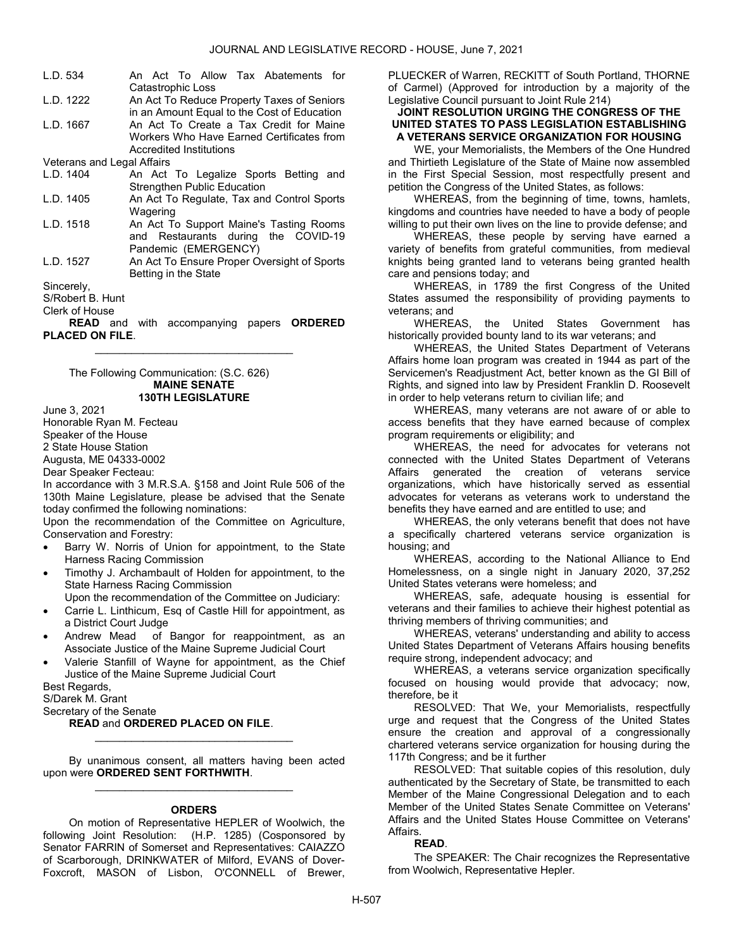| L.D. 534                   | An Act To Allow Tax Abatements for          |
|----------------------------|---------------------------------------------|
|                            | Catastrophic Loss                           |
| L.D. 1222                  | An Act To Reduce Property Taxes of Seniors  |
|                            | in an Amount Equal to the Cost of Education |
| L.D. 1667                  | An Act To Create a Tax Credit for Maine     |
|                            | Workers Who Have Earned Certificates from   |
|                            | Accredited Institutions                     |
| Veterans and Legal Affairs |                                             |
| L.D. 1404                  | An Act To Legalize Sports Betting and       |
|                            | <b>Strengthen Public Education</b>          |
| L.D. 1405                  | An Act To Regulate, Tax and Control Sports  |
|                            | Wagering                                    |
| L.D. 1518                  | An Act To Support Maine's Tasting Rooms     |
|                            | and Restaurants during the COVID-19         |
|                            | Pandemic (EMERGENCY)                        |
| L.D. 1527                  | An Act To Ensure Proper Oversight of Sports |
|                            | Betting in the State                        |
| Sincerely,                 |                                             |
| S/Robert B. Hunt           |                                             |

Clerk of House

**READ** and with accompanying papers **ORDERED** PLACED ON FILE. \_\_\_\_\_\_\_\_\_\_\_\_\_\_\_\_\_\_\_\_\_\_\_\_\_\_\_\_\_\_\_\_\_

 The Following Communication: (S.C. 626) MAINE SENATE 130TH LEGISLATURE

June 3, 2021

Honorable Ryan M. Fecteau

Speaker of the House

2 State House Station

Augusta, ME 04333-0002

Dear Speaker Fecteau:

In accordance with 3 M.R.S.A. §158 and Joint Rule 506 of the 130th Maine Legislature, please be advised that the Senate today confirmed the following nominations:

Upon the recommendation of the Committee on Agriculture, Conservation and Forestry:

- Barry W. Norris of Union for appointment, to the State Harness Racing Commission
- Timothy J. Archambault of Holden for appointment, to the State Harness Racing Commission

Upon the recommendation of the Committee on Judiciary:

- Carrie L. Linthicum, Esq of Castle Hill for appointment, as a District Court Judge
- Andrew Mead of Bangor for reappointment, as an Associate Justice of the Maine Supreme Judicial Court
- Valerie Stanfill of Wayne for appointment, as the Chief Justice of the Maine Supreme Judicial Court

Best Regards,

S/Darek M. Grant

Secretary of the Senate

#### READ and ORDERED PLACED ON FILE.

 By unanimous consent, all matters having been acted upon were ORDERED SENT FORTHWITH. \_\_\_\_\_\_\_\_\_\_\_\_\_\_\_\_\_\_\_\_\_\_\_\_\_\_\_\_\_\_\_\_\_

\_\_\_\_\_\_\_\_\_\_\_\_\_\_\_\_\_\_\_\_\_\_\_\_\_\_\_\_\_\_\_\_\_

#### **ORDERS**

 On motion of Representative HEPLER of Woolwich, the following Joint Resolution: (H.P. 1285) (Cosponsored by Senator FARRIN of Somerset and Representatives: CAIAZZO of Scarborough, DRINKWATER of Milford, EVANS of Dover-Foxcroft, MASON of Lisbon, O'CONNELL of Brewer, PLUECKER of Warren, RECKITT of South Portland, THORNE of Carmel) (Approved for introduction by a majority of the Legislative Council pursuant to Joint Rule 214)

# JOINT RESOLUTION URGING THE CONGRESS OF THE UNITED STATES TO PASS LEGISLATION ESTABLISHING A VETERANS SERVICE ORGANIZATION FOR HOUSING

 WE, your Memorialists, the Members of the One Hundred and Thirtieth Legislature of the State of Maine now assembled in the First Special Session, most respectfully present and petition the Congress of the United States, as follows:

 WHEREAS, from the beginning of time, towns, hamlets, kingdoms and countries have needed to have a body of people willing to put their own lives on the line to provide defense; and

 WHEREAS, these people by serving have earned a variety of benefits from grateful communities, from medieval knights being granted land to veterans being granted health care and pensions today; and

 WHEREAS, in 1789 the first Congress of the United States assumed the responsibility of providing payments to veterans; and

 WHEREAS, the United States Government has historically provided bounty land to its war veterans; and

 WHEREAS, the United States Department of Veterans Affairs home loan program was created in 1944 as part of the Servicemen's Readjustment Act, better known as the GI Bill of Rights, and signed into law by President Franklin D. Roosevelt in order to help veterans return to civilian life; and

 WHEREAS, many veterans are not aware of or able to access benefits that they have earned because of complex program requirements or eligibility; and

 WHEREAS, the need for advocates for veterans not connected with the United States Department of Veterans Affairs generated the creation of veterans service organizations, which have historically served as essential advocates for veterans as veterans work to understand the benefits they have earned and are entitled to use; and

 WHEREAS, the only veterans benefit that does not have a specifically chartered veterans service organization is housing; and

 WHEREAS, according to the National Alliance to End Homelessness, on a single night in January 2020, 37,252 United States veterans were homeless; and

 WHEREAS, safe, adequate housing is essential for veterans and their families to achieve their highest potential as thriving members of thriving communities; and

 WHEREAS, veterans' understanding and ability to access United States Department of Veterans Affairs housing benefits require strong, independent advocacy; and

 WHEREAS, a veterans service organization specifically focused on housing would provide that advocacy; now, therefore, be it

 RESOLVED: That We, your Memorialists, respectfully urge and request that the Congress of the United States ensure the creation and approval of a congressionally chartered veterans service organization for housing during the 117th Congress; and be it further

 RESOLVED: That suitable copies of this resolution, duly authenticated by the Secretary of State, be transmitted to each Member of the Maine Congressional Delegation and to each Member of the United States Senate Committee on Veterans' Affairs and the United States House Committee on Veterans' Affairs.

#### READ.

 The SPEAKER: The Chair recognizes the Representative from Woolwich, Representative Hepler.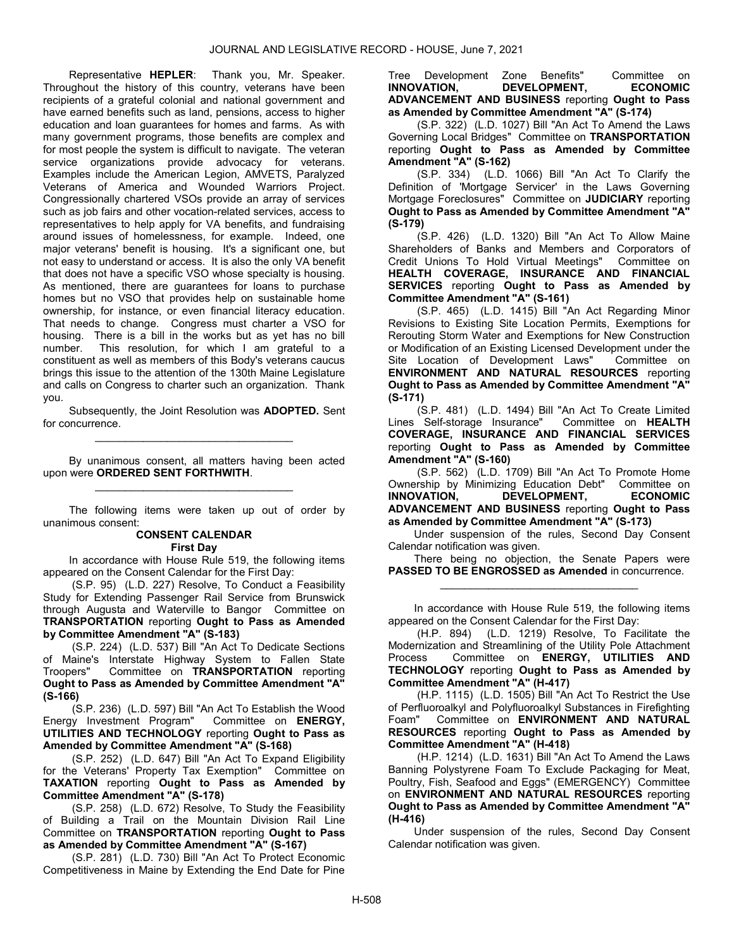Representative HEPLER: Thank you, Mr. Speaker. Throughout the history of this country, veterans have been recipients of a grateful colonial and national government and have earned benefits such as land, pensions, access to higher education and loan guarantees for homes and farms. As with many government programs, those benefits are complex and for most people the system is difficult to navigate. The veteran service organizations provide advocacy for veterans. Examples include the American Legion, AMVETS, Paralyzed Veterans of America and Wounded Warriors Project. Congressionally chartered VSOs provide an array of services such as job fairs and other vocation-related services, access to representatives to help apply for VA benefits, and fundraising around issues of homelessness, for example. Indeed, one major veterans' benefit is housing. It's a significant one, but not easy to understand or access. It is also the only VA benefit that does not have a specific VSO whose specialty is housing. As mentioned, there are guarantees for loans to purchase homes but no VSO that provides help on sustainable home ownership, for instance, or even financial literacy education. That needs to change. Congress must charter a VSO for housing. There is a bill in the works but as yet has no bill number. This resolution, for which I am grateful to a constituent as well as members of this Body's veterans caucus brings this issue to the attention of the 130th Maine Legislature and calls on Congress to charter such an organization. Thank you.

 Subsequently, the Joint Resolution was ADOPTED. Sent for concurrence. \_\_\_\_\_\_\_\_\_\_\_\_\_\_\_\_\_\_\_\_\_\_\_\_\_\_\_\_\_\_\_\_\_

 By unanimous consent, all matters having been acted upon were ORDERED SENT FORTHWITH. \_\_\_\_\_\_\_\_\_\_\_\_\_\_\_\_\_\_\_\_\_\_\_\_\_\_\_\_\_\_\_\_\_

 The following items were taken up out of order by unanimous consent:

> CONSENT CALENDAR First Day

 In accordance with House Rule 519, the following items appeared on the Consent Calendar for the First Day:

 (S.P. 95) (L.D. 227) Resolve, To Conduct a Feasibility Study for Extending Passenger Rail Service from Brunswick through Augusta and Waterville to Bangor Committee on TRANSPORTATION reporting Ought to Pass as Amended by Committee Amendment "A" (S-183)

 (S.P. 224) (L.D. 537) Bill "An Act To Dedicate Sections of Maine's Interstate Highway System to Fallen State<br>Troopers" Committee on TRANSPORTATION reporting Committee on TRANSPORTATION reporting Ought to Pass as Amended by Committee Amendment "A" (S-166)

 (S.P. 236) (L.D. 597) Bill "An Act To Establish the Wood Energy Investment Program" Committee on ENERGY, UTILITIES AND TECHNOLOGY reporting Ought to Pass as Amended by Committee Amendment "A" (S-168)

 (S.P. 252) (L.D. 647) Bill "An Act To Expand Eligibility for the Veterans' Property Tax Exemption" Committee on TAXATION reporting Ought to Pass as Amended by Committee Amendment "A" (S-178)

 (S.P. 258) (L.D. 672) Resolve, To Study the Feasibility of Building a Trail on the Mountain Division Rail Line Committee on TRANSPORTATION reporting Ought to Pass as Amended by Committee Amendment "A" (S-167)

 (S.P. 281) (L.D. 730) Bill "An Act To Protect Economic Competitiveness in Maine by Extending the End Date for Pine

Tree Development Zone Benefits" Committee on<br> **INNOVATION, DEVELOPMENT, ECONOMIC** DEVELOPMENT, ADVANCEMENT AND BUSINESS reporting Ought to Pass as Amended by Committee Amendment "A" (S-174)

 (S.P. 322) (L.D. 1027) Bill "An Act To Amend the Laws Governing Local Bridges" Committee on TRANSPORTATION reporting Ought to Pass as Amended by Committee Amendment "A" (S-162)

 (S.P. 334) (L.D. 1066) Bill "An Act To Clarify the Definition of 'Mortgage Servicer' in the Laws Governing Mortgage Foreclosures" Committee on JUDICIARY reporting Ought to Pass as Amended by Committee Amendment "A" (S-179)

 (S.P. 426) (L.D. 1320) Bill "An Act To Allow Maine Shareholders of Banks and Members and Corporators of Credit Unions To Hold Virtual Meetings" Committee on HEALTH COVERAGE, INSURANCE AND FINANCIAL SERVICES reporting Ought to Pass as Amended by Committee Amendment "A" (S-161)

 (S.P. 465) (L.D. 1415) Bill "An Act Regarding Minor Revisions to Existing Site Location Permits, Exemptions for Rerouting Storm Water and Exemptions for New Construction or Modification of an Existing Licensed Development under the Site Location of Development Laws" Committee on ENVIRONMENT AND NATURAL RESOURCES reporting Ought to Pass as Amended by Committee Amendment "A" (S-171)

 (S.P. 481) (L.D. 1494) Bill "An Act To Create Limited Lines Self-storage Insurance" Committee on HEALTH COVERAGE, INSURANCE AND FINANCIAL SERVICES reporting Ought to Pass as Amended by Committee Amendment "A" (S-160)

 (S.P. 562) (L.D. 1709) Bill "An Act To Promote Home Ownership by Minimizing Education Debt" Committee on INNOVATION, DEVELOPMENT, ECONOMIC ADVANCEMENT AND BUSINESS reporting Ought to Pass as Amended by Committee Amendment "A" (S-173)

 Under suspension of the rules, Second Day Consent Calendar notification was given.

 There being no objection, the Senate Papers were PASSED TO BE ENGROSSED as Amended in concurrence. \_\_\_\_\_\_\_\_\_\_\_\_\_\_\_\_\_\_\_\_\_\_\_\_\_\_\_\_\_\_\_\_\_

 In accordance with House Rule 519, the following items appeared on the Consent Calendar for the First Day:

 (H.P. 894) (L.D. 1219) Resolve, To Facilitate the Modernization and Streamlining of the Utility Pole Attachment Process Committee on ENERGY, UTILITIES AND TECHNOLOGY reporting Ought to Pass as Amended by Committee Amendment "A" (H-417)

 (H.P. 1115) (L.D. 1505) Bill "An Act To Restrict the Use of Perfluoroalkyl and Polyfluoroalkyl Substances in Firefighting Foam" Committee on ENVIRONMENT AND NATURAL RESOURCES reporting Ought to Pass as Amended by Committee Amendment "A" (H-418)

 (H.P. 1214) (L.D. 1631) Bill "An Act To Amend the Laws Banning Polystyrene Foam To Exclude Packaging for Meat, Poultry, Fish, Seafood and Eggs" (EMERGENCY) Committee on ENVIRONMENT AND NATURAL RESOURCES reporting Ought to Pass as Amended by Committee Amendment "A" (H-416)

 Under suspension of the rules, Second Day Consent Calendar notification was given.